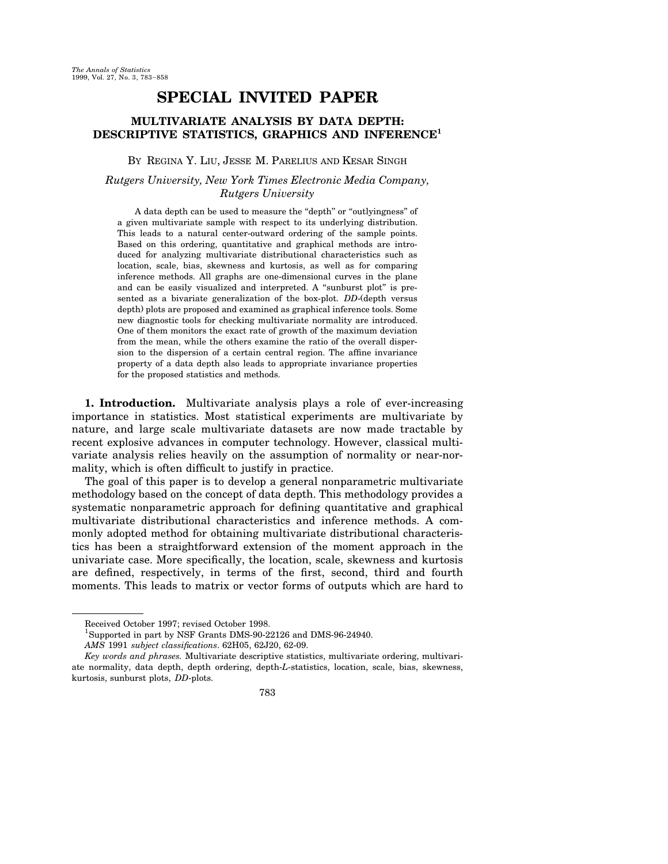## **SPECIAL INVITED PAPER**

## **MULTIVARIATE ANALYSIS BY DATA DEPTH: DESCRIPTIVE STATISTICS, GRAPHICS AND INFERENCE<sup>1</sup>**

BY REGINA Y. LIU, JESSE M. PARELIUS AND KESAR SINGH

## *Rutgers University, New York Times Electronic Media Company, Rutgers University*

A data depth can be used to measure the ''depth'' or ''outlyingness'' of a given multivariate sample with respect to its underlying distribution. This leads to a natural center-outward ordering of the sample points. Based on this ordering, quantitative and graphical methods are introduced for analyzing multivariate distributional characteristics such as location, scale, bias, skewness and kurtosis, as well as for comparing inference methods. All graphs are one-dimensional curves in the plane and can be easily visualized and interpreted. A ''sunburst plot'' is presented as a bivariate generalization of the box-plot. *DD*- (depth versus depth) plots are proposed and examined as graphical inference tools. Some new diagnostic tools for checking multivariate normality are introduced. One of them monitors the exact rate of growth of the maximum deviation from the mean, while the others examine the ratio of the overall dispersion to the dispersion of a certain central region. The affine invariance property of a data depth also leads to appropriate invariance properties for the proposed statistics and methods.

**1. Introduction.** Multivariate analysis plays a role of ever-increasing importance in statistics. Most statistical experiments are multivariate by nature, and large scale multivariate datasets are now made tractable by recent explosive advances in computer technology. However, classical multivariate analysis relies heavily on the assumption of normality or near-normality, which is often difficult to justify in practice.

The goal of this paper is to develop a general nonparametric multivariate methodology based on the concept of data depth. This methodology provides a systematic nonparametric approach for defining quantitative and graphical multivariate distributional characteristics and inference methods. A commonly adopted method for obtaining multivariate distributional characteristics has been a straightforward extension of the moment approach in the univariate case. More specifically, the location, scale, skewness and kurtosis are defined, respectively, in terms of the first, second, third and fourth moments. This leads to matrix or vector forms of outputs which are hard to

Received October 1997; revised October 1998.

 $^{1}$ Supported in part by NSF Grants DMS-90-22126 and DMS-96-24940.

*AMS* 1991 *subject classifications*. 62H05, 62J20, 62-09.

*Key words and phrases.* Multivariate descriptive statistics, multivariate ordering, multivariate normality, data depth, depth ordering, depth-*L*-statistics, location, scale, bias, skewness, kurtosis, sunburst plots, *DD*-plots.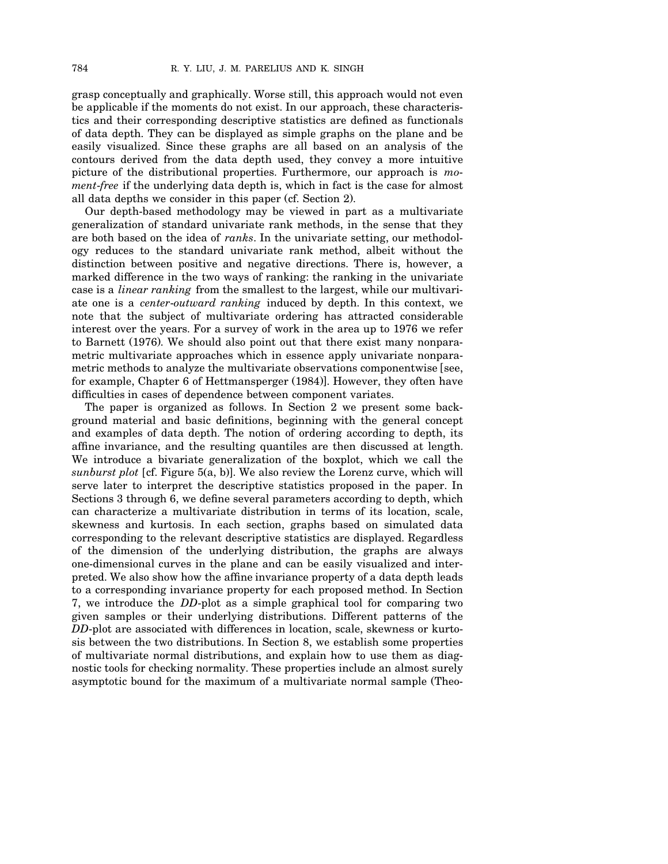grasp conceptually and graphically. Worse still, this approach would not even be applicable if the moments do not exist. In our approach, these characteristics and their corresponding descriptive statistics are defined as functionals of data depth. They can be displayed as simple graphs on the plane and be easily visualized. Since these graphs are all based on an analysis of the contours derived from the data depth used, they convey a more intuitive picture of the distributional properties. Furthermore, our approach is *moment*-*free* if the underlying data depth is, which in fact is the case for almost all data depths we consider in this paper (cf. Section 2).

Our depth-based methodology may be viewed in part as a multivariate generalization of standard univariate rank methods, in the sense that they are both based on the idea of *ranks*. In the univariate setting, our methodology reduces to the standard univariate rank method, albeit without the distinction between positive and negative directions. There is, however, a marked difference in the two ways of ranking: the ranking in the univariate case is a *linear ranking* from the smallest to the largest, while our multivariate one is a *center*-*outward ranking* induced by depth. In this context, we note that the subject of multivariate ordering has attracted considerable interest over the years. For a survey of work in the area up to 1976 we refer to Barnett (1976). We should also point out that there exist many nonparametric multivariate approaches which in essence apply univariate nonparametric methods to analyze the multivariate observations componentwise [see, for example, Chapter 6 of Hettmansperger (1984)]. However, they often have difficulties in cases of dependence between component variates.

The paper is organized as follows. In Section 2 we present some background material and basic definitions, beginning with the general concept and examples of data depth. The notion of ordering according to depth, its affine invariance, and the resulting quantiles are then discussed at length. We introduce a bivariate generalization of the boxplot, which we call the sunburst plot [cf. Figure 5(a, b)]. We also review the Lorenz curve, which will serve later to interpret the descriptive statistics proposed in the paper. In Sections 3 through 6, we define several parameters according to depth, which can characterize a multivariate distribution in terms of its location, scale, skewness and kurtosis. In each section, graphs based on simulated data corresponding to the relevant descriptive statistics are displayed. Regardless of the dimension of the underlying distribution, the graphs are always one-dimensional curves in the plane and can be easily visualized and interpreted. We also show how the affine invariance property of a data depth leads to a corresponding invariance property for each proposed method. In Section 7, we introduce the *DD*-plot as a simple graphical tool for comparing two given samples or their underlying distributions. Different patterns of the *DD*-plot are associated with differences in location, scale, skewness or kurtosis between the two distributions. In Section 8, we establish some properties of multivariate normal distributions, and explain how to use them as diagnostic tools for checking normality. These properties include an almost surely asymptotic bound for the maximum of a multivariate normal sample (Theo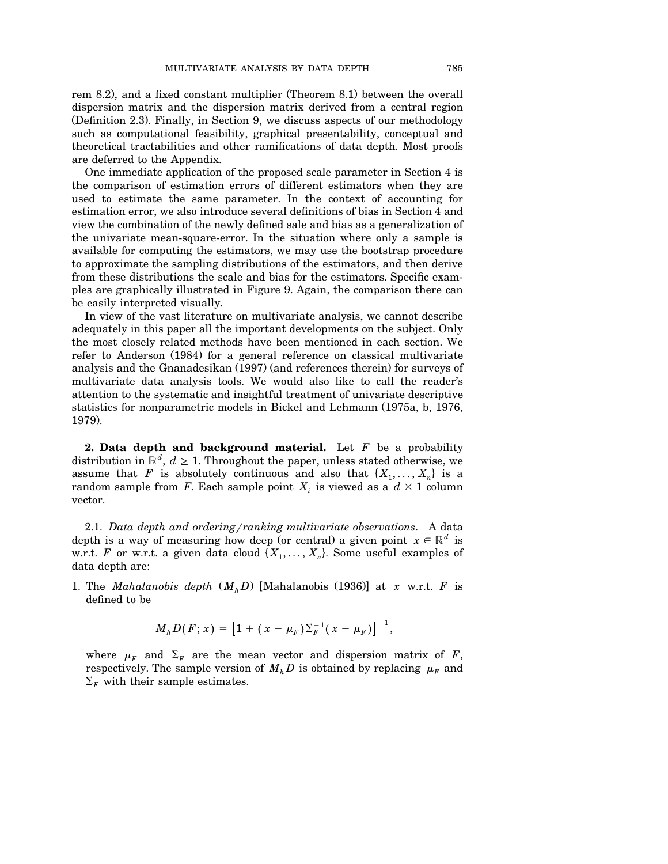rem 8.2), and a fixed constant multiplier (Theorem 8.1) between the overall dispersion matrix and the dispersion matrix derived from a central region (Definition 2.3). Finally, in Section 9, we discuss aspects of our methodology such as computational feasibility, graphical presentability, conceptual and theoretical tractabilities and other ramifications of data depth. Most proofs are deferred to the Appendix.

One immediate application of the proposed scale parameter in Section 4 is the comparison of estimation errors of different estimators when they are used to estimate the same parameter. In the context of accounting for estimation error, we also introduce several definitions of bias in Section 4 and view the combination of the newly defined sale and bias as a generalization of the univariate mean-square-error. In the situation where only a sample is available for computing the estimators, we may use the bootstrap procedure to approximate the sampling distributions of the estimators, and then derive from these distributions the scale and bias for the estimators. Specific examples are graphically illustrated in Figure 9. Again, the comparison there can be easily interpreted visually.

In view of the vast literature on multivariate analysis, we cannot describe adequately in this paper all the important developments on the subject. Only the most closely related methods have been mentioned in each section. We refer to Anderson (1984) for a general reference on classical multivariate analysis and the Gnanadesikan (1997) (and references therein) for surveys of multivariate data analysis tools. We would also like to call the reader's attention to the systematic and insightful treatment of univariate descriptive statistics for nonparametric models in Bickel and Lehmann (1975a, b, 1976, 1979..

**2. Data depth and background material.** Let *F* be a probability distribution in  $\mathbb{R}^d$ ,  $d \geq 1$ . Throughout the paper, unless stated otherwise, we assume that *F* is absolutely continuous and also that  $\{X_1, \ldots, X_n\}$  is a random sample from *F*. Each sample point  $X_i$  is viewed as a  $d \times 1$  column vector.

2.1. *Data depth and orderingranking multivariate observations*. A data depth is a way of measuring how deep (or central) a given point  $x \in \mathbb{R}^d$  is w.r.t. *F* or w.r.t. a given data cloud  $\{X_1, \ldots, X_n\}$ . Some useful examples of data depth are:

1. The *Mahalanobis depth*  $(M_h D)$  [Mahalanobis (1936)] at x w.r.t. *F* is defined to be

$$
M_h D(F; x) = [1 + (x - \mu_F) \Sigma_F^{-1} (x - \mu_F)]^{-1},
$$

where  $\mu_F$  and  $\Sigma_F$  are the mean vector and dispersion matrix of *F*, respectively. The sample version of  $M_h D$  is obtained by replacing  $\mu_F$  and  $\Sigma_F$  with their sample estimates.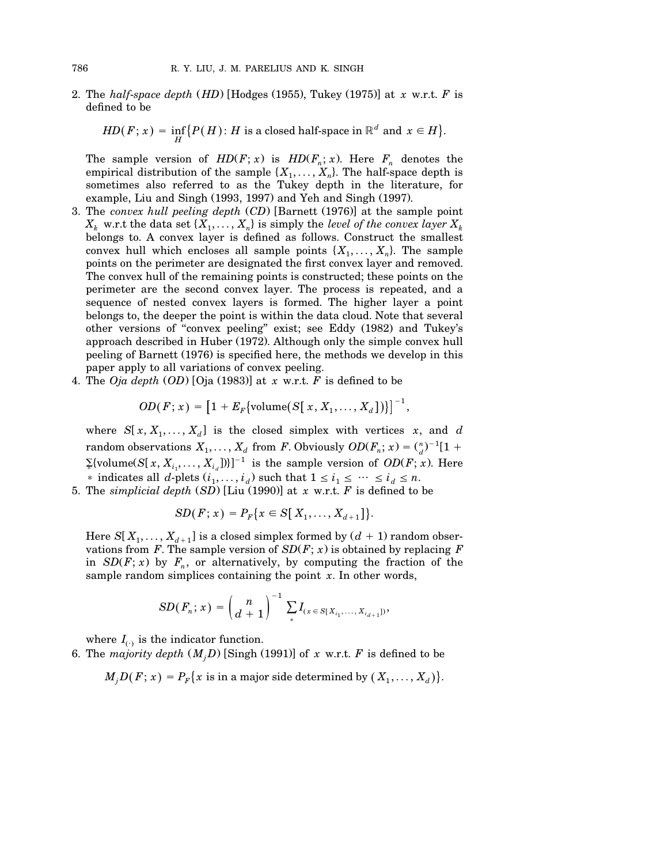2. The *half-space depth*  $(HD)$  [Hodges (1955), Tukey (1975)] at  $x$  w.r.t.  $F$  is defined to be

 $HD(F; x) = \inf_{H} {P(H) : H \text{ is a closed half-space in } \mathbb{R}^d \text{ and } x \in H}.$ 

The sample version of  $HD(F; x)$  is  $HD(F_n; x)$ . Here  $F_n$  denotes the empirical distribution of the sample  $\{X_1, \ldots, X_n\}$ . The half-space depth is sometimes also referred to as the Tukey depth in the literature, for example, Liu and Singh (1993, 1997) and Yeh and Singh (1997).

- 3. The *convex hull peeling depth* (CD) [Barnett (1976)] at the sample point  $X_k$  w.r.t the data set  $\{X_1, \ldots, X_n\}$  is simply the *level of the convex layer*  $X_k$ belongs to. A convex layer is defined as follows. Construct the smallest convex hull which encloses all sample points  $\{X_1, \ldots, X_n\}$ . The sample points on the perimeter are designated the first convex layer and removed. The convex hull of the remaining points is constructed; these points on the perimeter are the second convex layer. The process is repeated, and a sequence of nested convex layers is formed. The higher layer a point belongs to, the deeper the point is within the data cloud. Note that several other versions of "convex peeling" exist; see Eddy (1982) and Tukey's approach described in Huber (1972). Although only the simple convex hull peeling of Barnett (1976) is specified here, the methods we develop in this paper apply to all variations of convex peeling.
- 4. The *Oja depth*  $(OD)$  [Oja (1983)] at x w.r.t.  $\overrightarrow{F}$  is defined to be

$$
OD(F; x) = [1 + E_F[volume(S[x, X_1, ..., X_d])]]^{-1},
$$

where  $S[x, X_1, \ldots, X_d]$  is the closed simplex with vertices *x*, and *d random observations*  $X_1, \ldots, X_d$  from *F*. Obviously  $OD(F_n; x) = {n \choose d}^{-1} [1 +$  $\sum_{i}$ {volume(*S*[*x*, *X*<sub>*i*<sub>1</sub></sub>,..., *X*<sub>*i*<sub>d</sub></sub>])}]<sup>-1</sup> is the sample version of *OD*(*F*; *x*). Here \* indicates all *d*-plets  $(i_1, \ldots, i_d)$  such that  $1 \le i_1 \le \cdots \le i_d \le n$ .

5. The *simplicial depth*  $(SD)$  [Liu (1990)] at x w.r.t. *F* is defined to be

$$
SD(F; x) = P_F\{x \in S[X_1, \ldots, X_{d+1}]\}.
$$

Here  $S[X_1, \ldots, X_{d+1}]$  is a closed simplex formed by  $(d+1)$  random observations from *F*. The sample version of  $SD(F; x)$  is obtained by replacing *F* in *SD(F; x)* by  $F_n$ , or alternatively, by computing the fraction of the sample random simplices containing the point *x*. In other words,

$$
SD(F_n; x) = {n \choose d+1}^{-1} \sum_{*} I_{(x \in S[X_{i_1},...,X_{i_{d+1}}])},
$$

where  $I_{(.)}$  is the indicator function.

6. The *majority depth*  $(M_j D)$  [Singh (1991)] of x w.r.t. *F* is defined to be

 $M_i D(F; x) = P_F\{x \text{ is in a major side determined by } (X_1, \ldots, X_d)\}.$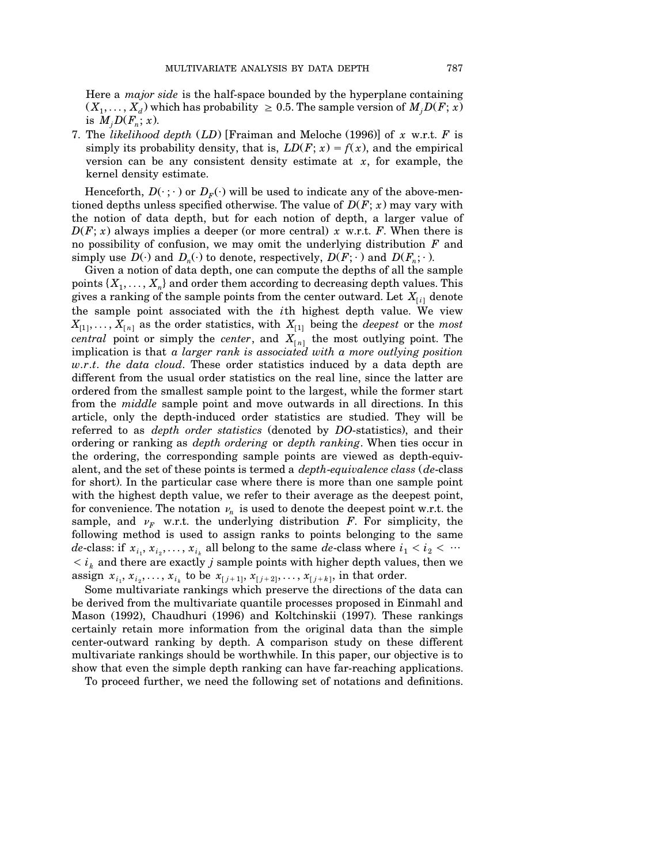Here a *major side* is the half-space bounded by the hyperplane containing  $(X_1, \ldots, X_d)$  which has probability  $\geq 0.5$ . The sample version of  $M_jD(F; x)$ is  $M_i D(F_n; x)$ .

7. The *likelihood depth*  $(LD)$  [Fraiman and Meloche (1996)] of x w.r.t.  $F$  is simply its probability density, that is,  $LD(F; x) = f(x)$ , and the empirical version can be any consistent density estimate at *x*, for example, the kernel density estimate.

Henceforth,  $D(\cdot; \cdot)$  or  $D_F(\cdot)$  will be used to indicate any of the above-mentioned depths unless specified otherwise. The value of  $D(F; x)$  may vary with the notion of data depth, but for each notion of depth, a larger value of  $D(F; x)$  always implies a deeper (or more central) x w.r.t. F. When there is no possibility of confusion, we may omit the underlying distribution *F* and simply use  $D(\cdot)$  and  $D_n(\cdot)$  to denote, respectively,  $D(F;\cdot)$  and  $D(F_n;\cdot)$ .

Given a notion of data depth, one can compute the depths of all the sample points  $\{X_1, \ldots, X_n\}$  and order them according to decreasing depth values. This gives a ranking of the sample points from the center outward. Let  $X_{[i]}$  denote the sample point associated with the *i*th highest depth value. We view  $X_{[1]}, \ldots, X_{[n]}$  as the order statistics, with  $X_{[1]}$  being the *deepest* or the *most central* point or simply the *center*, and  $X_{[n]}$  the most outlying point. The implication is that *a larger rank is associated with a more outlying position w*.*r*.*t*. *the data cloud*. These order statistics induced by a data depth are different from the usual order statistics on the real line, since the latter are ordered from the smallest sample point to the largest, while the former start from the *middle* sample point and move outwards in all directions. In this article, only the depth-induced order statistics are studied. They will be referred to as *depth order statistics* (denoted by *DO*-statistics), and their ordering or ranking as *depth ordering* or *depth ranking*. When ties occur in the ordering, the corresponding sample points are viewed as depth-equivalent, and the set of these points is termed a *depth-equivalence class (de-class* for short). In the particular case where there is more than one sample point with the highest depth value, we refer to their average as the deepest point, for convenience. The notation  $\nu_n$  is used to denote the deepest point w.r.t. the sample, and  $\nu_F$  w.r.t. the underlying distribution *F*. For simplicity, the following method is used to assign ranks to points belonging to the same  $de$ -class: if  $x_{i_1}, x_{i_2}, \ldots, x_{i_k}$  all belong to the same  $de$ -class where  $i_1 < i_2 < \cdots$  $\langle i_k \rangle$  and there are exactly *j* sample points with higher depth values, then we  $a$  assign  $x_{i_1}, x_{i_2}, \ldots, x_{i_k}$  to be  $x_{[j+1]}, x_{[j+2]}, \ldots, x_{[j+k]},$  in that order.

Some multivariate rankings which preserve the directions of the data can be derived from the multivariate quantile processes proposed in Einmahl and Mason (1992), Chaudhuri (1996) and Koltchinskii (1997). These rankings certainly retain more information from the original data than the simple center-outward ranking by depth. A comparison study on these different multivariate rankings should be worthwhile. In this paper, our objective is to show that even the simple depth ranking can have far-reaching applications.

To proceed further, we need the following set of notations and definitions.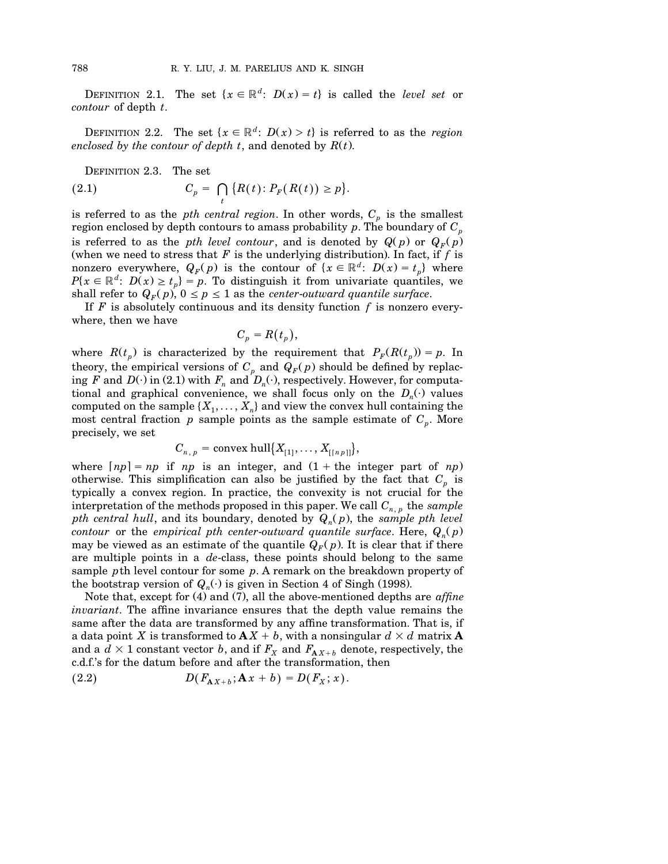**DEFINITION** 2.1. The set  $\{x \in \mathbb{R}^d : D(x) = t\}$  is called the *level set* or *contour* of depth *t*.

**DEFINITION 2.2.** The set  $\{x \in \mathbb{R}^d : D(x) > t\}$  is referred to as the *region enclosed by the contour of depth t*, and denoted by  $R(t)$ .

DEFINITION 2.3. The set

$$
(2.1) \tCp = \bigcap_{t} \{R(t): PF(R(t)) \ge p\}.
$$

is referred to as the *pth central region*. In other words,  $C_p$  is the smallest region enclosed by depth contours to amass probability p. The boundary of  $C_p$ is referred to as the *pth level contour*, and is denoted by  $Q(p)$  or  $Q_F(p)$ . (when we need to stress that  $F$  is the underlying distribution). In fact, if  $f$  is nonzero everywhere,  $Q_F(p)$  is the contour of  $\{x \in \mathbb{R}^d: D(x) = t_p\}$  where  $P(x \in \mathbb{R}^d$ :  $D(x) \ge t_p$  = *p*. To distinguish it from univariate quantiles, we shall refer to  $Q_F(p)$ ,  $0 \le p \le 1$  as the *center-outward quantile surface*.

If *F* is absolutely continuous and its density function *f* is nonzero everywhere, then we have

 $C_p = R(t_p),$ 

where  $R(t_p)$  is characterized by the requirement that  $P_F(R(t_p)) = p$ . In theory, the empirical versions of  $C_p$  and  $Q_F(p)$  should be defined by replacing *F* and  $D(\cdot)$  in (2.1) with  $F_n$  and  $D_n(\cdot)$ , respectively. However, for computational and graphical convenience, we shall focus only on the  $D_n(\cdot)$  values computed on the sample  $\{X_1, \ldots, X_n\}$  and view the convex hull containing the most central fraction  $p$  sample points as the sample estimate of  $C_p$ . More precisely, we set

$$
C_{n, p} = \text{convex hull}\{X_{[1]}, \ldots, X_{[n p]}\},
$$

where  $\lceil np \rceil = np$  if *np* is an integer, and  $(1 + \text{the integer part of } np)$ otherwise. This simplification can also be justified by the fact that  $C_n$  is typically a convex region. In practice, the convexity is not crucial for the interpretation of the methods proposed in this paper. We call  $C_{n,p}$  the *sample pth central hull*, and its boundary, denoted by  $Q_n(p)$ , the *sample pth level contour* or the *empirical pth center-outward quantile surface*. Here,  $Q_n(p)$ may be viewed as an estimate of the quantile  $Q_F(p)$ . It is clear that if there are multiple points in a *de*-class, these points should belong to the same sample *p*th level contour for some *p*. A remark on the breakdown property of the bootstrap version of  $Q_n(\cdot)$  is given in Section 4 of Singh (1998).

Note that, except for (4) and (7), all the above-mentioned depths are *affine invariant*. The affine invariance ensures that the depth value remains the same after the data are transformed by any affine transformation. That is, if a data point *X* is transformed to  $AX + b$ , with a nonsingular  $d \times d$  matrix **A** and a  $d \times 1$  constant vector *b*, and if  $F_X$  and  $F_{AX+b}$  denote, respectively, the c.d.f.'s for the datum before and after the transformation, then

(2.2) 
$$
D(F_{\mathbf{A}X+b};\mathbf{A}x+b)=D(F_X;x).
$$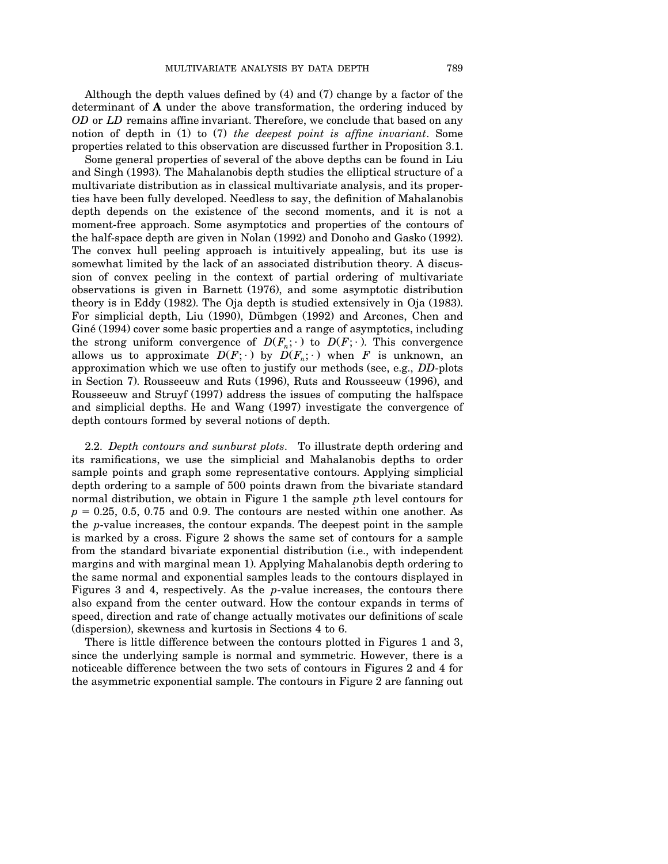Although the depth values defined by  $(4)$  and  $(7)$  change by a factor of the determinant of **A** under the above transformation, the ordering induced by *OD* or *LD* remains affine invariant. Therefore, we conclude that based on any notion of depth in (1) to (7) the deepest point is affine invariant. Some properties related to this observation are discussed further in Proposition 3.1.

Some general properties of several of the above depths can be found in Liu and Singh (1993). The Mahalanobis depth studies the elliptical structure of a multivariate distribution as in classical multivariate analysis, and its properties have been fully developed. Needless to say, the definition of Mahalanobis depth depends on the existence of the second moments, and it is not a moment-free approach. Some asymptotics and properties of the contours of the half-space depth are given in Nolan  $(1992)$  and Donoho and Gasko  $(1992)$ . The convex hull peeling approach is intuitively appealing, but its use is somewhat limited by the lack of an associated distribution theory. A discussion of convex peeling in the context of partial ordering of multivariate observations is given in Barnett (1976), and some asymptotic distribution theory is in Eddy  $(1982)$ . The Oja depth is studied extensively in Oja  $(1983)$ . For simplicial depth, Liu (1990), Dümbgen (1992) and Arcones, Chen and Gine (1994) cover some basic properties and a range of asymptotics, including the strong uniform convergence of  $D(F_n; \cdot)$  to  $D(F; \cdot)$ . This convergence allows us to approximate  $D(F; \cdot)$  by  $D(F_n; \cdot)$  when *F* is unknown, an approximation which we use often to justify our methods (see, e.g., *DD*-plots in Section 7). Rousseeuw and Ruts (1996), Ruts and Rousseeuw (1996), and Rousseeuw and Struyf (1997) address the issues of computing the halfspace and simplicial depths. He and Wang (1997) investigate the convergence of depth contours formed by several notions of depth.

2.2. *Depth contours and sunburst plots*. To illustrate depth ordering and its ramifications, we use the simplicial and Mahalanobis depths to order sample points and graph some representative contours. Applying simplicial depth ordering to a sample of 500 points drawn from the bivariate standard normal distribution, we obtain in Figure 1 the sample *p*th level contours for  $p = 0.25, 0.5, 0.75$  and 0.9. The contours are nested within one another. As the *p*-value increases, the contour expands. The deepest point in the sample is marked by a cross. Figure 2 shows the same set of contours for a sample from the standard bivariate exponential distribution (i.e., with independent margins and with marginal mean 1). Applying Mahalanobis depth ordering to the same normal and exponential samples leads to the contours displayed in Figures 3 and 4, respectively. As the *p*-value increases, the contours there also expand from the center outward. How the contour expands in terms of speed, direction and rate of change actually motivates our definitions of scale (dispersion), skewness and kurtosis in Sections 4 to 6.

There is little difference between the contours plotted in Figures 1 and 3, since the underlying sample is normal and symmetric. However, there is a noticeable difference between the two sets of contours in Figures 2 and 4 for the asymmetric exponential sample. The contours in Figure 2 are fanning out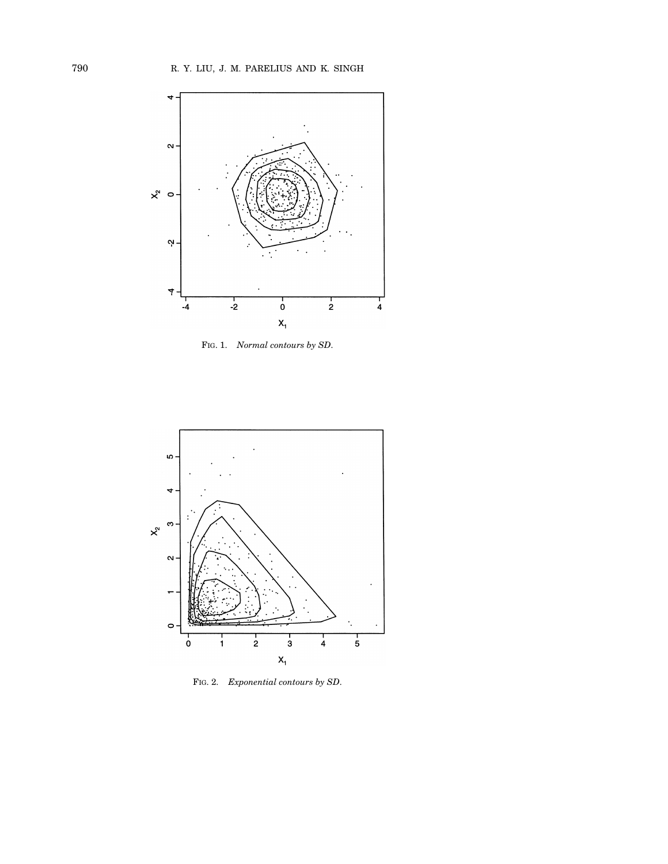

FIG. 1. *Normal contours by SD*.



FIG. 2. *Exponential contours by SD*.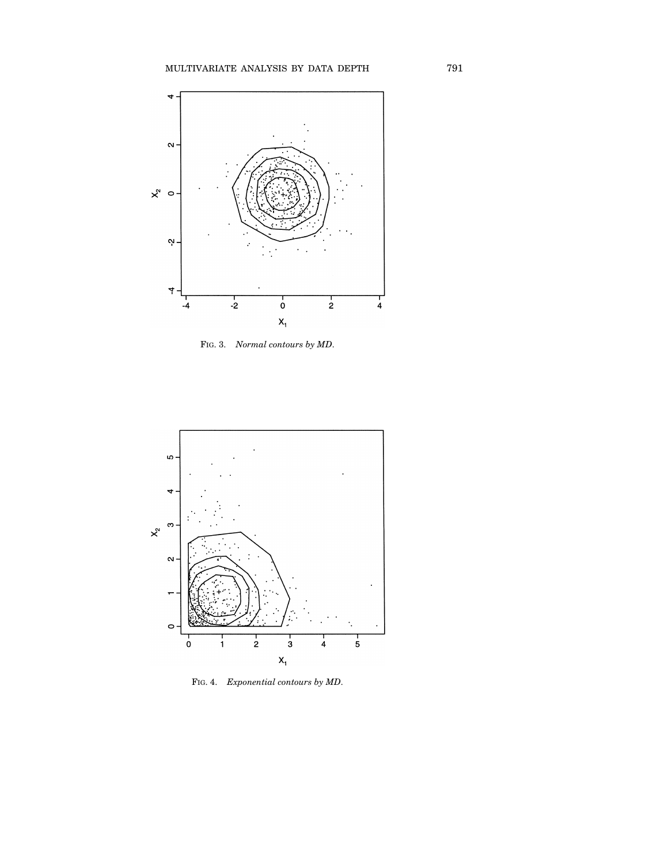

FIG. 3. *Normal contours by MD*.



FIG. 4. *Exponential contours by MD*.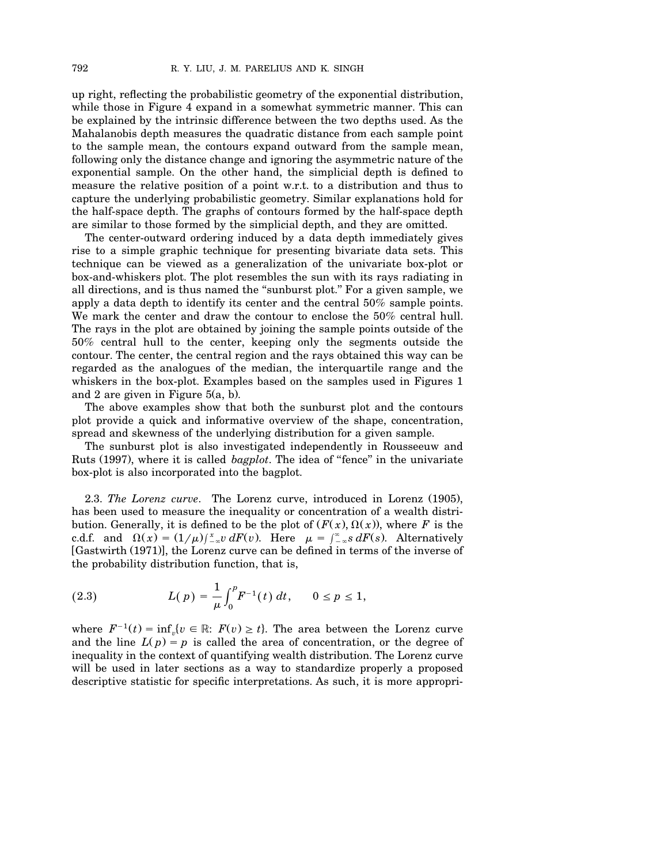up right, reflecting the probabilistic geometry of the exponential distribution, while those in Figure 4 expand in a somewhat symmetric manner. This can be explained by the intrinsic difference between the two depths used. As the Mahalanobis depth measures the quadratic distance from each sample point to the sample mean, the contours expand outward from the sample mean, following only the distance change and ignoring the asymmetric nature of the exponential sample. On the other hand, the simplicial depth is defined to measure the relative position of a point w.r.t. to a distribution and thus to capture the underlying probabilistic geometry. Similar explanations hold for the half-space depth. The graphs of contours formed by the half-space depth are similar to those formed by the simplicial depth, and they are omitted.

The center-outward ordering induced by a data depth immediately gives rise to a simple graphic technique for presenting bivariate data sets. This technique can be viewed as a generalization of the univariate box-plot or box-and-whiskers plot. The plot resembles the sun with its rays radiating in all directions, and is thus named the ''sunburst plot.'' For a given sample, we apply a data depth to identify its center and the central 50% sample points. We mark the center and draw the contour to enclose the 50% central hull. The rays in the plot are obtained by joining the sample points outside of the 50% central hull to the center, keeping only the segments outside the contour. The center, the central region and the rays obtained this way can be regarded as the analogues of the median, the interquartile range and the whiskers in the box-plot. Examples based on the samples used in Figures 1 and 2 are given in Figure  $5(a, b)$ .

The above examples show that both the sunburst plot and the contours plot provide a quick and informative overview of the shape, concentration, spread and skewness of the underlying distribution for a given sample.

The sunburst plot is also investigated independently in Rousseeuw and Ruts (1997), where it is called *bagplot*. The idea of "fence" in the univariate box-plot is also incorporated into the bagplot.

2.3. *The Lorenz curve*. The Lorenz curve, introduced in Lorenz (1905), has been used to measure the inequality or concentration of a wealth distribution. Generally, it is defined to be the plot of  $(F(x), \Omega(x))$ , where F is the c.d.f. and  $\Omega(x) = (1/\mu) \int_{-\infty}^{x} v \, dF(v)$ . Here  $\mu = \int_{-\infty}^{\infty} s \, dF(s)$ . Alternatively [Gastwirth (1971)], the Lorenz curve can be defined in terms of the inverse of the probability distribution function, that is,

(2.3) 
$$
L(p) = \frac{1}{\mu} \int_0^p F^{-1}(t) dt, \quad 0 \le p \le 1,
$$

where  $F^{-1}(t) = \inf_{v} \{v \in \mathbb{R} : F(v) \geq t\}$ . The area between the Lorenz curve and the line  $L(p) = p$  is called the area of concentration, or the degree of inequality in the context of quantifying wealth distribution. The Lorenz curve will be used in later sections as a way to standardize properly a proposed descriptive statistic for specific interpretations. As such, it is more appropri-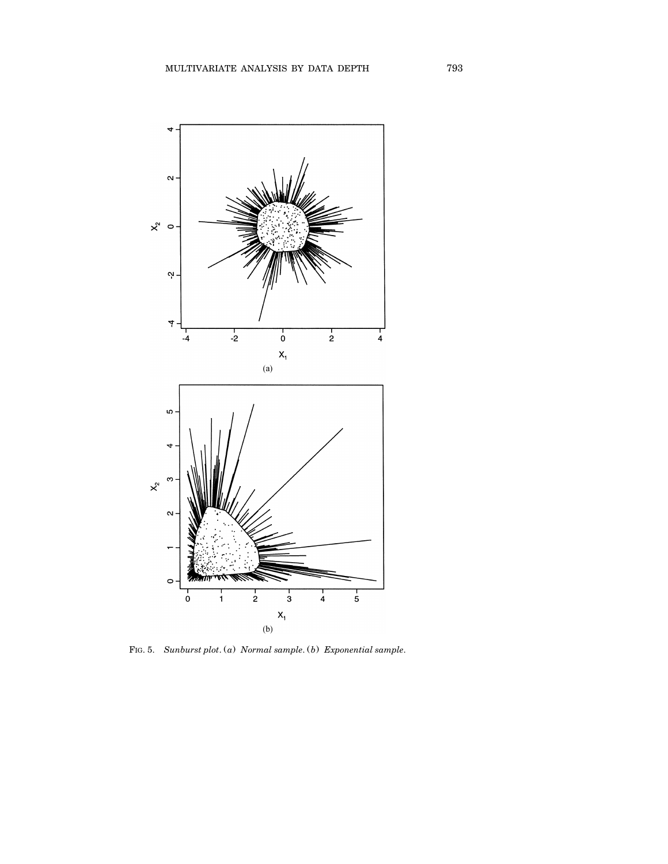

FIG. 5. *Sunburst plot.* (a) *Normal sample.* (b) *Exponential sample.*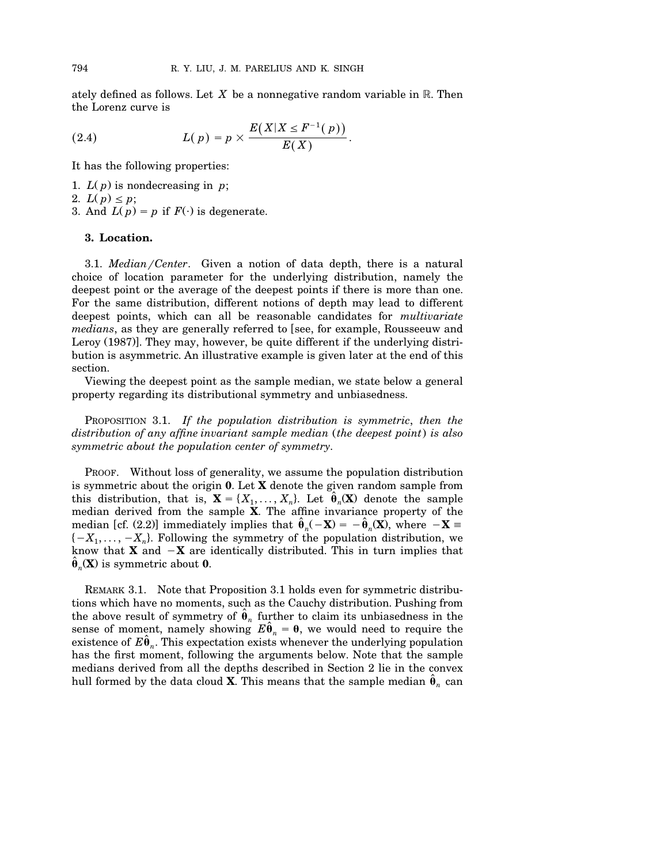ately defined as follows. Let  $X$  be a nonnegative random variable in  $\mathbb{R}$ . Then the Lorenz curve is

(2.4) 
$$
L(p) = p \times \frac{E(X|X \leq F^{-1}(p))}{E(X)}.
$$

It has the following properties:

- 1.  $L(p)$  is nondecreasing in *p*;
- 2.  $L(p) \leq p$ ;
- 3. And  $L(p) = p$  if  $F(\cdot)$  is degenerate.

## **3. Location.**

3.1. *MedianCenter*. Given a notion of data depth, there is a natural choice of location parameter for the underlying distribution, namely the deepest point or the average of the deepest points if there is more than one. For the same distribution, different notions of depth may lead to different deepest points, which can all be reasonable candidates for *multivariate medians*, as they are generally referred to [see, for example, Rousseeuw and Leroy (1987)]. They may, however, be quite different if the underlying distribution is asymmetric. An illustrative example is given later at the end of this section.

Viewing the deepest point as the sample median, we state below a general property regarding its distributional symmetry and unbiasedness.

PROPOSITION 3.1. *If the population distribution is symmetric*, *then the distribution of any affine invariant sample median (the deepest point) is also symmetric about the population center of symmetry*.

PROOF. Without loss of generality, we assume the population distribution is symmetric about the origin **0**. Let **X** denote the given random sample from this distribution, that is,  $\mathbf{X} = \{X_1, \ldots, X_n\}$ . Let  $\hat{\theta}_n(\mathbf{X})$  denote the sample median derived from the sample **X**. The affine invariance property of the median [cf. (2.2)] immediately implies that  $\hat{\theta}_n(-\mathbf{X}) = -\hat{\theta}_n(\mathbf{X})$ , where  $-\mathbf{X} \equiv$  $\{-X_1, \ldots, -X_n\}$ . Following the symmetry of the population distribution, we know that **X** and  $-X$  are identically distributed. This in turn implies that  $\hat{\boldsymbol{\theta}}_n(\mathbf{X})$  is symmetric about **0**.

REMARK 3.1. Note that Proposition 3.1 holds even for symmetric distributions which have no moments, such as the Cauchy distribution. Pushing from the above result of symmetry of  $\hat{\theta}_n$  further to claim its unbiasedness in the sense of moment, namely showing  $E\hat{\theta}_n = \theta$ , we would need to require the existence of  $E \hat{\theta}_n$ . This expectation exists whenever the underlying population has the first moment, following the arguments below. Note that the sample medians derived from all the depths described in Section 2 lie in the convex hull formed by the data cloud  $\tilde{\mathbf{X}}$ . This means that the sample median  $\hat{\boldsymbol{\theta}}_n$  can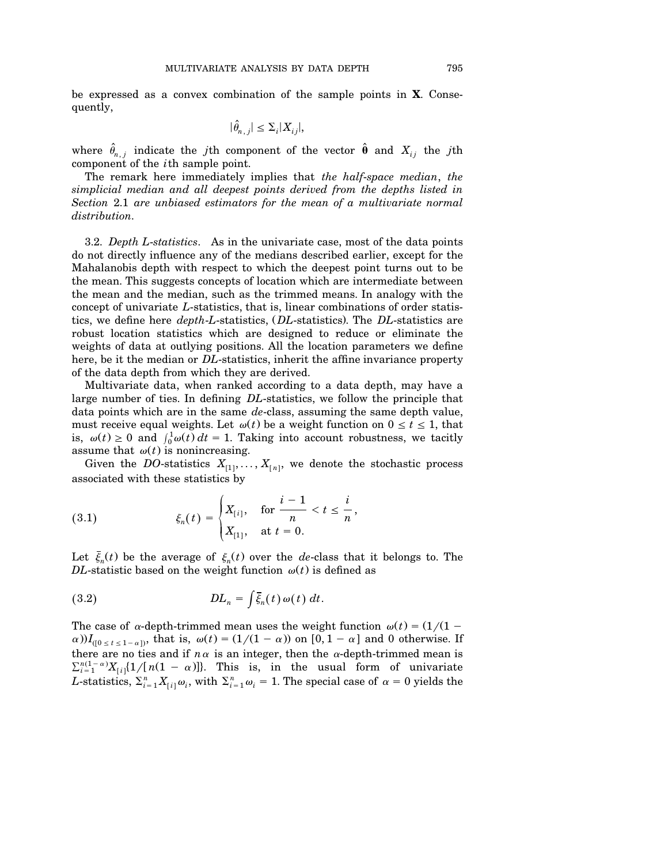be expressed as a convex combination of the sample points in **X**. Consequently,

$$
|\hat{\theta}_{n,j}| \leq \Sigma_i |X_{ij}|,
$$

where  $\hat{\theta}_{n,j}$  indicate the *j*th component of the vector  $\hat{\theta}$  and  $X_{ij}$  the *j*th component of the *i*th sample point.

The remark here immediately implies that *the half*-*space median*, *the simplicial median and all deepest points derived from the depths listed in Section* 2.1 *are unbiased estimators for the mean of a multivariate normal distribution*.

3.2. *Depth L*-*statistics*. As in the univariate case, most of the data points do not directly influence any of the medians described earlier, except for the Mahalanobis depth with respect to which the deepest point turns out to be the mean. This suggests concepts of location which are intermediate between the mean and the median, such as the trimmed means. In analogy with the concept of univariate *L*-statistics, that is, linear combinations of order statistics, we define here *depth-L*-statistics, (*DL*-statistics). The *DL*-statistics are robust location statistics which are designed to reduce or eliminate the weights of data at outlying positions. All the location parameters we define here, be it the median or *DL*-statistics, inherit the affine invariance property of the data depth from which they are derived.

Multivariate data, when ranked according to a data depth, may have a large number of ties. In defining *DL*-statistics, we follow the principle that data points which are in the same *de*-class, assuming the same depth value, must receive equal weights. Let  $\omega(t)$  be a weight function on  $0 \le t \le 1$ , that is,  $\omega(t) \ge 0$  and  $\int_0^1 \omega(t) dt = 1$ . Taking into account robustness, we tacitly assume that  $\omega(t)$  is nonincreasing.

Given the *DO*-statistics  $X_{[1]}, \ldots, X_{[n]}$ , we denote the stochastic process associated with these statistics by

(3.1) 
$$
\xi_n(t) = \begin{cases} X_{[i]}, & \text{for } \frac{i-1}{n} < t \leq \frac{i}{n}, \\ X_{[1]}, & \text{at } t = 0. \end{cases}
$$

Let  $\xi_n(t)$  be the average of  $\xi_n(t)$  over the *de*-class that it belongs to. The *DL*-statistic based on the weight function  $\omega(t)$  is defined as

(3.2) 
$$
DL_n = \int \bar{\xi}_n(t) \omega(t) dt.
$$

The case of  $\alpha$ -depth-trimmed mean uses the weight function  $\omega(t) = (1/(1 \alpha$ ))  $I_{([0 \le t \le 1-\alpha])}$ , that is,  $\omega(t) = (1/(1-\alpha))$  on  $[0, 1-\alpha]$  and 0 otherwise. If there are no ties and if  $n \alpha$  is an integer, then the  $\alpha$ -depth-trimmed mean is  $\sum_{i=1}^{n(1-\alpha)} X_{[i]}(1/[n(1-\alpha)]).$  This is, in the usual form of univariate *L*-statistics,  $\sum_{i=1}^{n} X_{[i]} \omega_i$ , with  $\sum_{i=1}^{n} \omega_i = 1$ . The special case of  $\alpha = 0$  yields the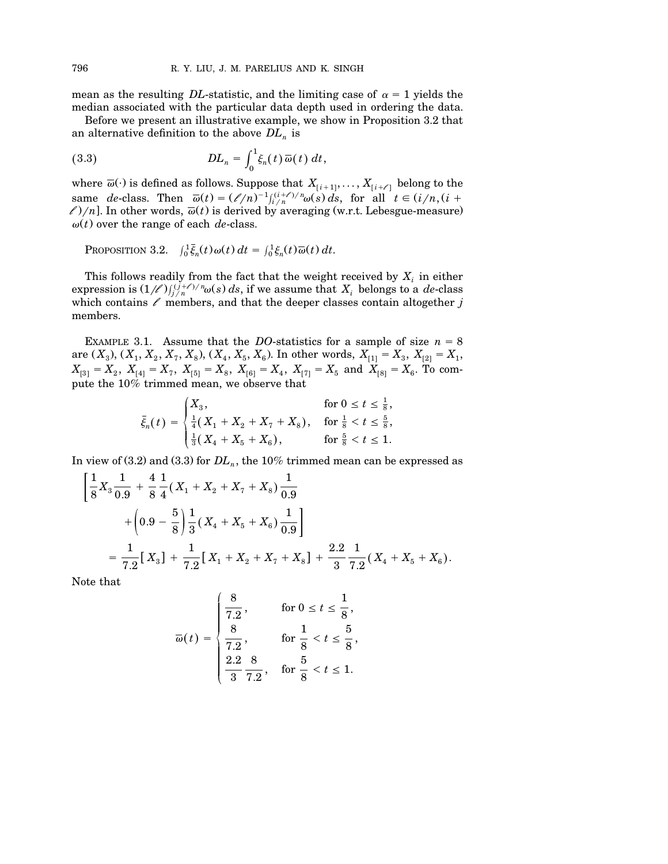mean as the resulting *DL*-statistic, and the limiting case of  $\alpha = 1$  yields the median associated with the particular data depth used in ordering the data.

Before we present an illustrative example, we show in Proposition 3.2 that an alternative definition to the above  $DL_n$  is

(3.3) 
$$
DL_n = \int_0^1 \xi_n(t) \,\overline{\omega}(t) \, dt,
$$

where  $\overline{\omega}(\cdot)$  is defined as follows. Suppose that  $X_{[i+1]},\ldots,X_{[i+\ell]}$  belong to the same *de*-class. Then  $\overline{\omega}(t) = (\ell/n)^{-1} \int_{i/n}^{i+\ell} \omega(s) ds$ , for all  $t \in (i/n, (i +$  $\ell$ )/n]. In other words,  $\overline{\omega}(t)$  is derived by averaging (w.r.t. Lebesgue-measure)  $\omega(t)$  over the range of each *de*-class.

PROPOSITION 3.2.  $\int_0^1 \bar{\xi}_n(t) \omega(t) dt = \int_0^1 \xi_n(t) \overline{\omega}(t) dt$ .

This follows readily from the fact that the weight received by  $X_i$  in either expression is  $(1/\ell)$   $\int_{i/n}^{(i+\ell)/n} w(s) ds$ , if we assume that  $X_i$  belongs to a *de*-class which contains  $\ell$  members, and that the deeper classes contain altogether *j* members.

EXAMPLE 3.1. Assume that the *DO*-statistics for a sample of size  $n = 8$ are  $(X_3)$ ,  $(X_1, X_2, X_7, X_8)$ ,  $(X_4, X_5, X_6)$ . In other words,  $X_{[1]} = X_3$ ,  $X_{[2]} = X_1$ ,  $X_{[3]} = X_2, X_{[4]} = X_7, X_{[5]} = X_8, X_{[6]} = X_4, X_{[7]} = X_5 \text{ and } X_{[8]} = X_6.$  To compute the 10% trimmed mean, we observe that<br> $\begin{pmatrix} X \end{pmatrix}$ 

$$
\bar{\xi}_n(t) = \begin{cases} X_3, & \text{for } 0 \le t \le \frac{1}{8}, \\ \frac{1}{4}(X_1 + X_2 + X_7 + X_8), & \text{for } \frac{1}{8} < t \le \frac{5}{8}, \\ \frac{1}{3}(X_4 + X_5 + X_6), & \text{for } \frac{5}{8} < t \le 1. \end{cases}
$$

In view of (3.2) and (3.3) for  $DL_n$ , the 10% trimmed mean can be expressed as

$$
\left[\frac{1}{8}X_3\frac{1}{0.9} + \frac{4}{8}\frac{1}{4}(X_1 + X_2 + X_7 + X_8)\frac{1}{0.9}\right] + \left(0.9 - \frac{5}{8}\right)\frac{1}{3}(X_4 + X_5 + X_6)\frac{1}{0.9}\right] = \frac{1}{7.2}[X_3] + \frac{1}{7.2}[X_1 + X_2 + X_7 + X_8] + \frac{2.2}{3}\frac{1}{7.2}(X_4 + X_5 + X_6).
$$

Note that

$$
\overline{\omega}(t) = \begin{cases}\n\frac{8}{7.2}, & \text{for } 0 \le t \le \frac{1}{8}, \\
\frac{8}{7.2}, & \text{for } \frac{1}{8} < t \le \frac{5}{8}, \\
\frac{2.2}{3} & \frac{8}{7.2}, & \text{for } \frac{5}{8} < t \le 1.\n\end{cases}
$$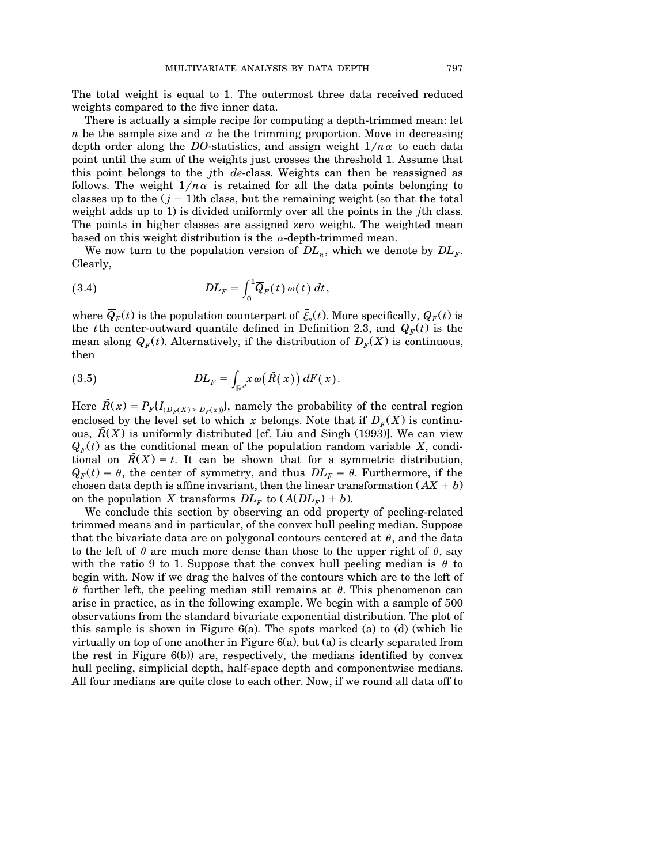The total weight is equal to 1. The outermost three data received reduced weights compared to the five inner data.

There is actually a simple recipe for computing a depth-trimmed mean: let *n* be the sample size and  $\alpha$  be the trimming proportion. Move in decreasing depth order along the *DO*-statistics, and assign weight  $1/n\alpha$  to each data point until the sum of the weights just crosses the threshold 1. Assume that this point belongs to the *j*th *de*-class. Weights can then be reassigned as follows. The weight  $1/n\alpha$  is retained for all the data points belonging to classes up to the  $(j - 1)$ th class, but the remaining weight (so that the total weight adds up to 1) is divided uniformly over all the points in the *j*th class. The points in higher classes are assigned zero weight. The weighted mean based on this weight distribution is the  $\alpha$ -depth-trimmed mean.

We now turn to the population version of  $DL_n$ , which we denote by  $DL_F$ . Clearly,

(3.4) 
$$
DL_F = \int_0^1 \overline{Q}_F(t) \, \omega(t) \, dt,
$$

where  $Q_F(t)$  is the population counterpart of  $\xi_n(t)$ . More specifically,  $Q_F(t)$  is the *t*th center-outward quantile defined in Definition 2.3, and  $Q_F(t)$  is the mean along  $Q_F(t)$ . Alternatively, if the distribution of  $D_F(X)$  is continuous, then

(3.5) 
$$
DL_F = \int_{\mathbb{R}^d} x \, \omega(\tilde{R}(x)) \, dF(x).
$$

Here  $\tilde{R}(x) = P_F\{I_{(D_F(X) \geq D_F(x))}\}\$ , namely the probability of the central region enclosed by the level set to which *x* belongs. Note that if  $D<sub>F</sub>(X)$  is continuous,  $\tilde{R}(X)$  is uniformly distributed [cf. Liu and Singh (1993)]. We can view  $\overline{Q}_F(t)$  as the conditional mean of the population random variable *X*, conditional on  $R(X) = t$ . It can be shown that for a symmetric distribution,  $Q_F(t) = \theta$ , the center of symmetry, and thus  $DL_F = \theta$ . Furthermore, if the chosen data depth is affine invariant, then the linear transformation  $(AX + b)$ on the population *X* transforms  $DL_F$  to  $(A(DL_F) + b)$ .

We conclude this section by observing an odd property of peeling-related trimmed means and in particular, of the convex hull peeling median. Suppose that the bivariate data are on polygonal contours centered at  $\theta$ , and the data to the left of  $\theta$  are much more dense than those to the upper right of  $\theta$ , say with the ratio 9 to 1. Suppose that the convex hull peeling median is  $\theta$  to begin with. Now if we drag the halves of the contours which are to the left of  $\theta$  further left, the peeling median still remains at  $\theta$ . This phenomenon can arise in practice, as in the following example. We begin with a sample of 500 observations from the standard bivariate exponential distribution. The plot of this sample is shown in Figure 6(a). The spots marked (a) to (d) (which lie virtually on top of one another in Figure  $6(a)$ , but  $(a)$  is clearly separated from the rest in Figure  $6(b)$  are, respectively, the medians identified by convex hull peeling, simplicial depth, half-space depth and componentwise medians. All four medians are quite close to each other. Now, if we round all data off to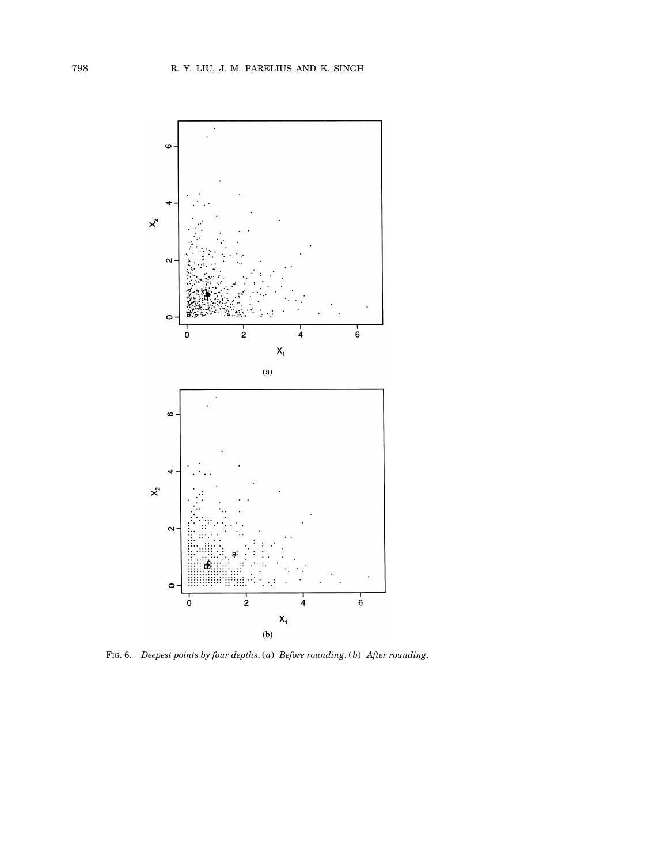

FIG. 6. *Deepest points by four depths.* (a) Before rounding. (b) After rounding.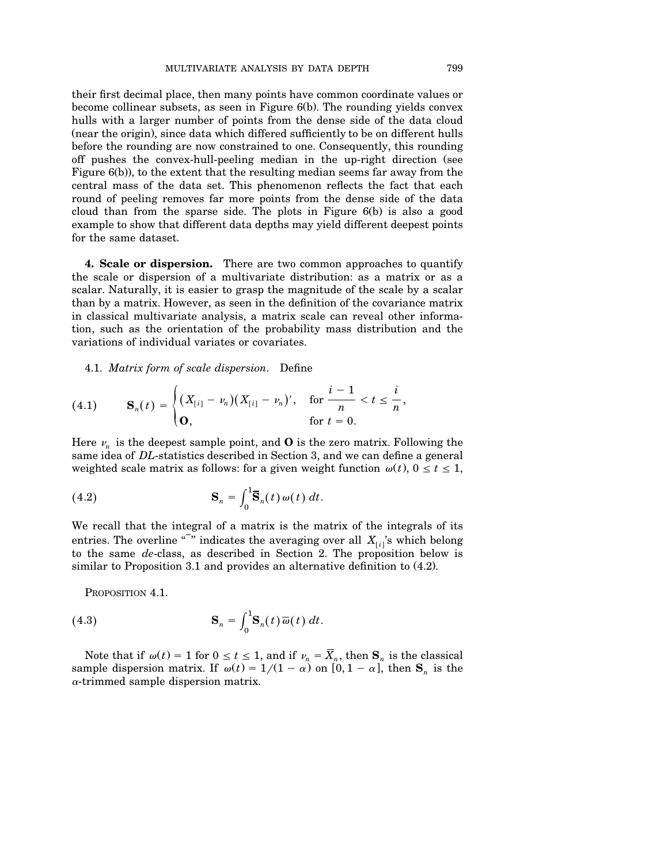their first decimal place, then many points have common coordinate values or become collinear subsets, as seen in Figure 6(b). The rounding yields convex hulls with a larger number of points from the dense side of the data cloud (near the origin), since data which differed sufficiently to be on different hulls before the rounding are now constrained to one. Consequently, this rounding off pushes the convex-hull-peeling median in the up-right direction (see Figure  $6(b)$ , to the extent that the resulting median seems far away from the central mass of the data set. This phenomenon reflects the fact that each round of peeling removes far more points from the dense side of the data cloud than from the sparse side. The plots in Figure  $6(b)$  is also a good example to show that different data depths may yield different deepest points for the same dataset.

**4. Scale or dispersion.** There are two common approaches to quantify the scale or dispersion of a multivariate distribution: as a matrix or as a scalar. Naturally, it is easier to grasp the magnitude of the scale by a scalar than by a matrix. However, as seen in the definition of the covariance matrix in classical multivariate analysis, a matrix scale can reveal other information, such as the orientation of the probability mass distribution and the variations of individual variates or covariates.

4.1. *Matrix form of scale dispersion*. Define

(4.1) 
$$
\mathbf{S}_n(t) = \begin{cases} (X_{[i]} - \nu_n)(X_{[i]} - \nu_n)', & \text{for } \frac{i-1}{n} < t \leq \frac{i}{n}, \\ \mathbf{O}, & \text{for } t = 0. \end{cases}
$$

Here  $\nu_n$  is the deepest sample point, and **O** is the zero matrix. Following the same idea of *DL*-statistics described in Section 3, and we can define a general weighted scale matrix as follows: for a given weight function  $\omega(t)$ ,  $0 \le t \le 1$ ,

(4.2) 
$$
\mathbf{S}_n = \int_0^1 \overline{\mathbf{S}}_n(t) \, \omega(t) \, dt.
$$

We recall that the integral of a matrix is the matrix of the integrals of its entries. The overline " " indicates the averaging over all  $X_{[i]}$ 's which belong to the same *de*-class, as described in Section 2. The proposition below is similar to Proposition 3.1 and provides an alternative definition to  $(4.2)$ .

PROPOSITION 4.1.

(4.3) 
$$
\mathbf{S}_n = \int_0^1 \mathbf{S}_n(t) \, \overline{\omega}(t) \, dt.
$$

Note that if  $\omega(t) = 1$  for  $0 \le t \le 1$ , and if  $\nu_n = \overline{X}_n$ , then  $\mathbf{S}_n$  is the classical sample dispersion matrix. If  $\omega(t) = 1/(1 - \alpha)$  on  $\int_0^{\pi/2} (1 - \alpha) dt$ , then  $S_n$  is the  $\alpha$ -trimmed sample dispersion matrix.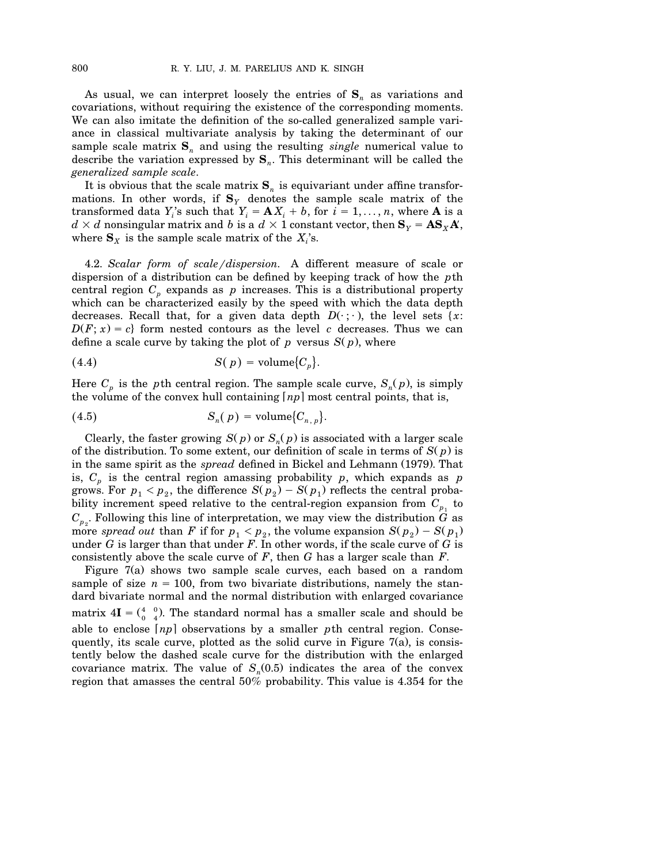As usual, we can interpret loosely the entries of **S***<sup>n</sup>* as variations and covariations, without requiring the existence of the corresponding moments. We can also imitate the definition of the so-called generalized sample variance in classical multivariate analysis by taking the determinant of our sample scale matrix  $S_n$  and using the resulting *single* numerical value to describe the variation expressed by **S***n*. This determinant will be called the *generalized sample scale*.

It is obvious that the scale matrix  $S<sub>n</sub>$  is equivariant under affine transformations. In other words, if  $S<sub>y</sub>$  denotes the sample scale matrix of the transformed data *Y<sub>i</sub>*'s such that  $Y_i = \mathbf{A}X_i + b$ , for  $i = 1, ..., n$ , where **A** is a  $d \times d$  nonsingular matrix and  $b$  is a  $d \times 1$  constant vector, then  $\mathbf{S}_Y = \mathbf{AS}_X \mathbf{A}'$ , where  $S_X$  is the sample scale matrix of the  $X_i$ 's.

4.2. *Scalar form of scaledispersion*. A different measure of scale or dispersion of a distribution can be defined by keeping track of how the *p*th central region  $C_p$  expands as  $p$  increases. This is a distributional property which can be characterized easily by the speed with which the data depth decreases. Recall that, for a given data depth  $D(\cdot;\cdot)$ , the level sets  $\{x:$  $D(F; x) = c$  form nested contours as the level *c* decreases. Thus we can define a scale curve by taking the plot of  $p$  versus  $S(p)$ , where

(4.4) 
$$
S(p) = \text{volume}\{C_p\}.
$$

Here  $C_p$  is the *p*th central region. The sample scale curve,  $S_n(p)$ , is simply the volume of the convex hull containing  $\lfloor np \rfloor$  most central points, that is,

$$
(4.5) \tSn(p) = volume{Cn,p}.
$$

Clearly, the faster growing  $S(p)$  or  $S_n(p)$  is associated with a larger scale of the distribution. To some extent, our definition of scale in terms of  $S(p)$  is in the same spirit as the *spread* defined in Bickel and Lehmann (1979). That is,  $C_p$  is the central region amassing probability  $p$ , which expands as  $p$ grows. For  $p_1 < p_2$ , the difference  $S(p_2) - S(p_1)$  reflects the central probability increment speed relative to the central-region expansion from  $C_p$ , to  $C_{p_{\alpha}}$ . Following this line of interpretation, we may view the distribution *G* as more *spread out* than *F* if for  $p_1 < p_2$ , the volume expansion  $S(p_2) - S(p_1)$ under *G* is larger than that under *F*. In other words, if the scale curve of *G* is consistently above the scale curve of *F*, then *G* has a larger scale than *F*.

Figure  $7(a)$  shows two sample scale curves, each based on a random sample of size  $n = 100$ , from two bivariate distributions, namely the standard bivariate normal and the normal distribution with enlarged covariance matrix  $4I = \begin{pmatrix} 4 & 0 \\ 0 & 4 \end{pmatrix}$ . The standard normal has a smaller scale and should be able to enclose  $\lfloor np \rfloor$  observations by a smaller pth central region. Consequently, its scale curve, plotted as the solid curve in Figure 7(a), is consistently below the dashed scale curve for the distribution with the enlarged covariance matrix. The value of  $S_n(0.5)$  indicates the area of the convex region that amasses the central 50% probability. This value is 4.354 for the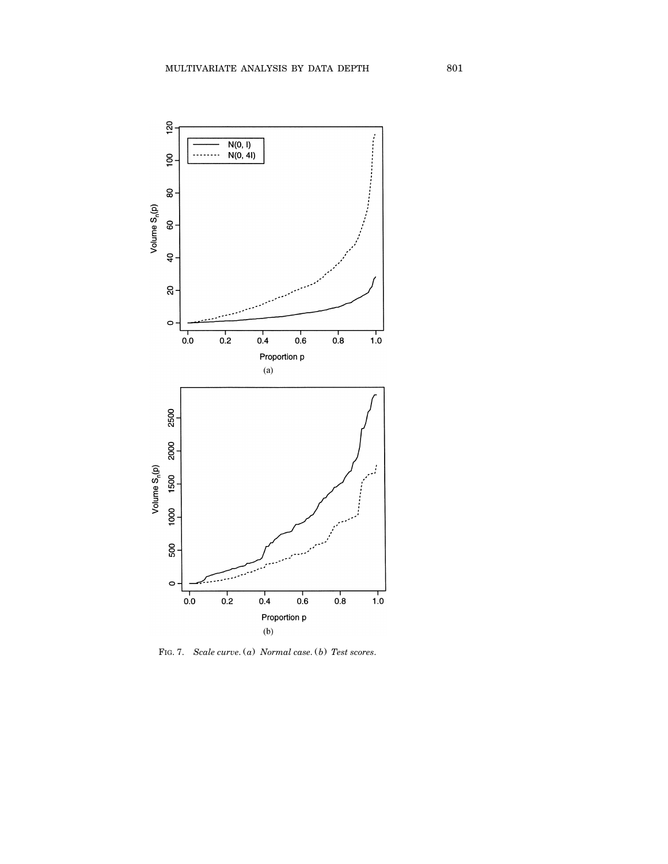

FIG. 7. *Scale curve.* (a) *Normal case.* (b) *Test scores.*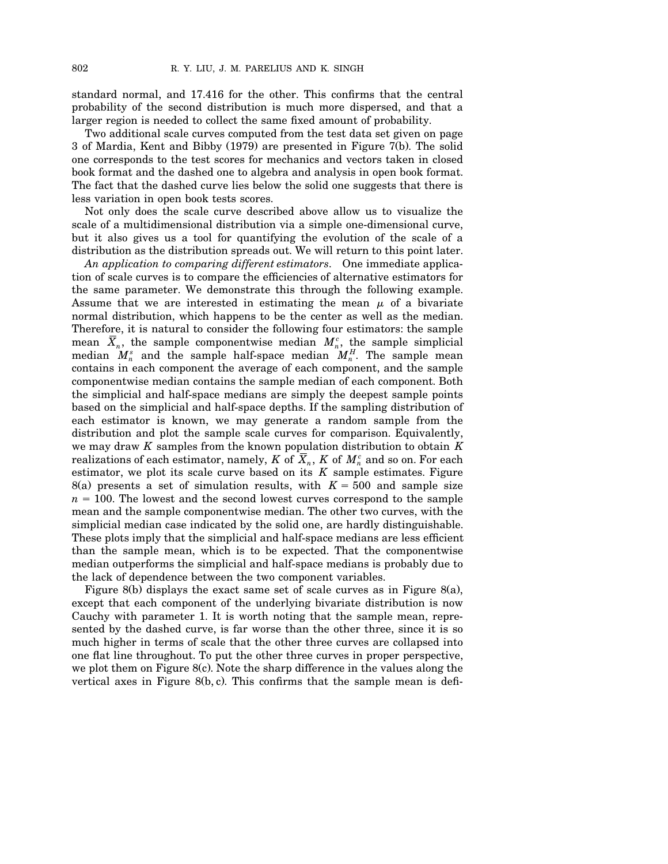standard normal, and 17.416 for the other. This confirms that the central probability of the second distribution is much more dispersed, and that a larger region is needed to collect the same fixed amount of probability.

Two additional scale curves computed from the test data set given on page 3 of Mardia, Kent and Bibby  $(1979)$  are presented in Figure 7(b). The solid one corresponds to the test scores for mechanics and vectors taken in closed book format and the dashed one to algebra and analysis in open book format. The fact that the dashed curve lies below the solid one suggests that there is less variation in open book tests scores.

Not only does the scale curve described above allow us to visualize the scale of a multidimensional distribution via a simple one-dimensional curve, but it also gives us a tool for quantifying the evolution of the scale of a distribution as the distribution spreads out. We will return to this point later.

*An application to comparing different estimators*. One immediate application of scale curves is to compare the efficiencies of alternative estimators for the same parameter. We demonstrate this through the following example. Assume that we are interested in estimating the mean  $\mu$  of a bivariate normal distribution, which happens to be the center as well as the median. Therefore, it is natural to consider the following four estimators: the sample mean  $\bar{X}_n$ , the sample componentwise median  $M_n^c$ , the sample simplicial median  $M_n^s$  and the sample half-space median  $M_n^H$ . The sample mean contains in each component the average of each component, and the sample componentwise median contains the sample median of each component. Both the simplicial and half-space medians are simply the deepest sample points based on the simplicial and half-space depths. If the sampling distribution of each estimator is known, we may generate a random sample from the distribution and plot the sample scale curves for comparison. Equivalently, we may draw *K* samples from the known population distribution to obtain *K consecutions* of each estimator, namely, *K* of  $\overline{X}_n$ , *K* of  $M_n^c$  and so on. For each estimator, we plot its scale curve based on its *K* sample estimates. Figure 8(a) presents a set of simulation results, with  $K = 500$  and sample size  $n = 100$ . The lowest and the second lowest curves correspond to the sample mean and the sample componentwise median. The other two curves, with the simplicial median case indicated by the solid one, are hardly distinguishable. These plots imply that the simplicial and half-space medians are less efficient than the sample mean, which is to be expected. That the componentwise median outperforms the simplicial and half-space medians is probably due to the lack of dependence between the two component variables.

Figure 8(b) displays the exact same set of scale curves as in Figure 8(a), except that each component of the underlying bivariate distribution is now Cauchy with parameter 1. It is worth noting that the sample mean, represented by the dashed curve, is far worse than the other three, since it is so much higher in terms of scale that the other three curves are collapsed into one flat line throughout. To put the other three curves in proper perspective, we plot them on Figure 8(c). Note the sharp difference in the values along the vertical axes in Figure 8 $(b, c)$ . This confirms that the sample mean is defi-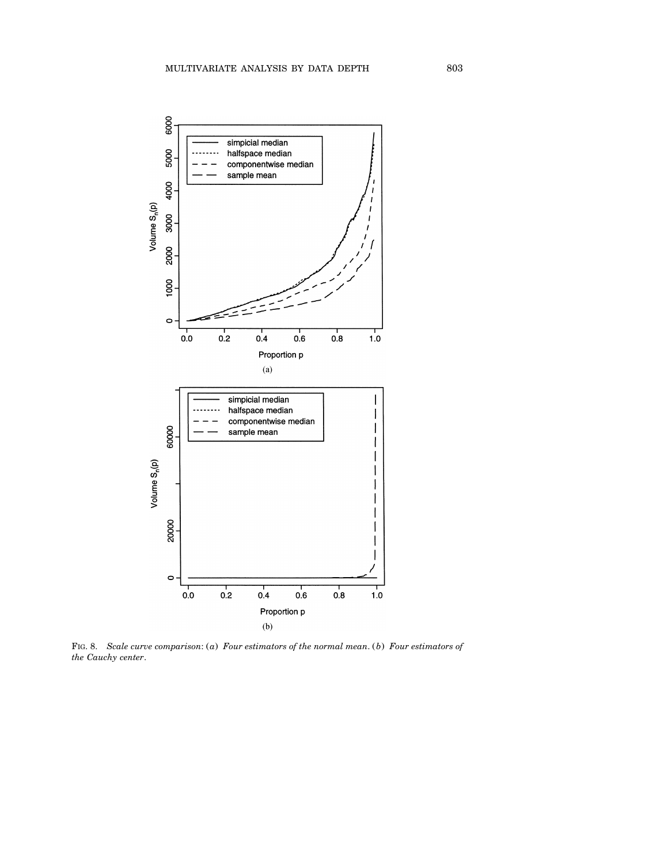

FIG. 8. *Scale curve comparison:* (a) Four estimators of the normal mean. (b) Four estimators of *the Cauchy center*.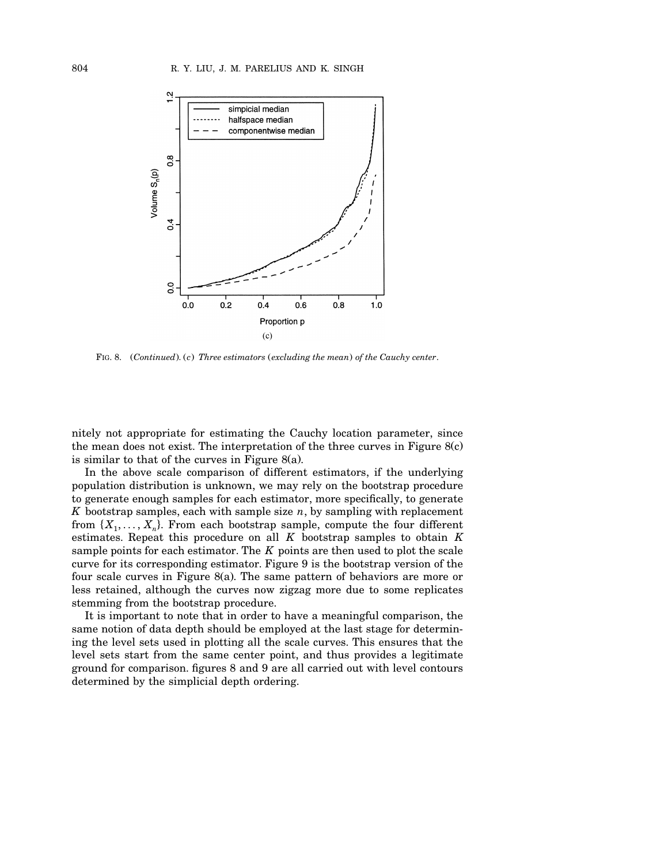

FIG. 8. (Continued). (c) Three estimators (excluding the mean) of the Cauchy center.

nitely not appropriate for estimating the Cauchy location parameter, since the mean does not exist. The interpretation of the three curves in Figure  $8(c)$ is similar to that of the curves in Figure 8(a).

In the above scale comparison of different estimators, if the underlying population distribution is unknown, we may rely on the bootstrap procedure to generate enough samples for each estimator, more specifically, to generate *K* bootstrap samples, each with sample size *n*, by sampling with replacement from  $\{X_1, \ldots, X_n\}$ . From each bootstrap sample, compute the four different estimates. Repeat this procedure on all *K* bootstrap samples to obtain *K* sample points for each estimator. The *K* points are then used to plot the scale curve for its corresponding estimator. Figure 9 is the bootstrap version of the four scale curves in Figure 8(a). The same pattern of behaviors are more or less retained, although the curves now zigzag more due to some replicates stemming from the bootstrap procedure.

It is important to note that in order to have a meaningful comparison, the same notion of data depth should be employed at the last stage for determining the level sets used in plotting all the scale curves. This ensures that the level sets start from the same center point, and thus provides a legitimate ground for comparison. figures 8 and 9 are all carried out with level contours determined by the simplicial depth ordering.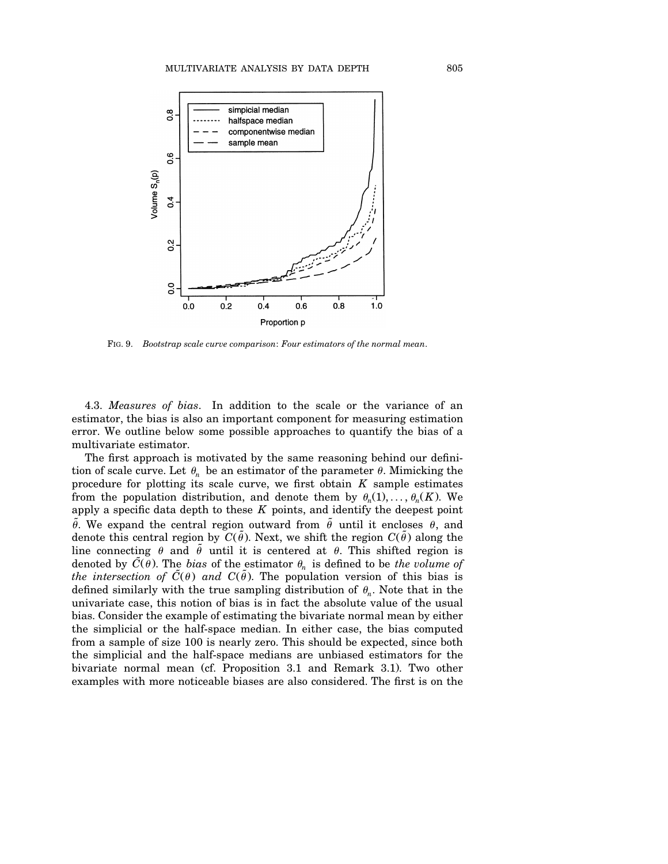

FIG. 9. *Bootstrap scale curve comparison*: *Four estimators of the normal mean*.

4.3. *Measures of bias*. In addition to the scale or the variance of an estimator, the bias is also an important component for measuring estimation error. We outline below some possible approaches to quantify the bias of a multivariate estimator.

The first approach is motivated by the same reasoning behind our definition of scale curve. Let  $\theta_n$  be an estimator of the parameter  $\theta$ . Mimicking the procedure for plotting its scale curve, we first obtain *K* sample estimates from the population distribution, and denote them by  $\theta_n(1), \ldots, \theta_n(K)$ . We apply a specific data depth to these *K* points, and identify the deepest point  $\theta$ . We expand the central region outward from  $\theta$  until it encloses  $\theta$ , and denote this central region by  $C(\theta)$ . Next, we shift the region  $C(\theta)$  along the line connecting  $\theta$  and  $\theta$  until it is centered at  $\theta$ . This shifted region is denoted by  $C(\theta)$ . The *bias* of the estimator  $\theta_n$  is defined to be *the volume of the intersection of*  $C(\theta)$  *and*  $C(\theta)$ . The population version of this bias is defined similarly with the true sampling distribution of  $\theta_n$ . Note that in the univariate case, this notion of bias is in fact the absolute value of the usual bias. Consider the example of estimating the bivariate normal mean by either the simplicial or the half-space median. In either case, the bias computed from a sample of size 100 is nearly zero. This should be expected, since both the simplicial and the half-space medians are unbiased estimators for the bivariate normal mean (cf. Proposition 3.1 and Remark 3.1). Two other examples with more noticeable biases are also considered. The first is on the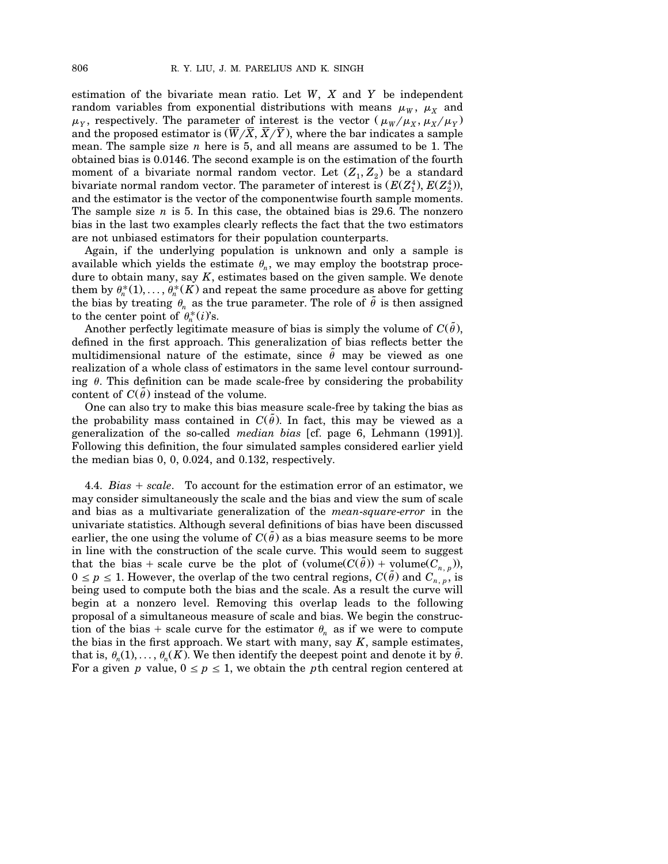estimation of the bivariate mean ratio. Let *W*, *X* and *Y* be independent  $r$  and  $\omega_{\rm w}$  and  $\omega_{\rm w}$  and  $\omega_{\rm w}$  and  $\omega_{\rm w}$  and  $\omega_{\rm w}$  and  $\omega_{\rm w}$  and  $\omega_{\rm w}$  and  $\mu_Y$ , respectively. The parameter of interest is the vector  $(\mu_W/\mu_X, \mu_X/\mu_Y)$ and the proposed estimator is  $(W/X, X/Y)$ , where the bar indicates a sample mean. The sample size *n* here is 5, and all means are assumed to be 1. The obtained bias is 0.0146. The second example is on the estimation of the fourth moment of a bivariate normal random vector. Let  $(Z_1, Z_2)$  be a standard bivariate normal random vector. The parameter of interest is  $(E(Z_1^4), E(Z_2^4))$ , and the estimator is the vector of the componentwise fourth sample moments. The sample size *n* is 5. In this case, the obtained bias is 29.6. The nonzero bias in the last two examples clearly reflects the fact that the two estimators are not unbiased estimators for their population counterparts.

Again, if the underlying population is unknown and only a sample is available which yields the estimate  $\theta_n$ , we may employ the bootstrap procedure to obtain many, say K, estimates based on the given sample. We denote them by  $\theta_n^*(1), \ldots, \theta_n^*(K)$  and repeat the same procedure as above for getting the bias by treating  $\theta_n$  as the true parameter. The role of  $\hat{\theta}$  is then assigned to the center point of  $\theta_n^*(i)$ 's.

Another perfectly legitimate measure of bias is simply the volume of  $C(\theta)$ , defined in the first approach. This generalization of bias reflects better the multidimensional nature of the estimate, since  $\theta$  may be viewed as one realization of a whole class of estimators in the same level contour surrounding  $\theta$ . This definition can be made scale-free by considering the probability content of  $C(\hat{\theta})$  instead of the volume.

One can also try to make this bias measure scale-free by taking the bias as the probability mass contained in  $C(\theta)$ . In fact, this may be viewed as a generalization of the so-called *median bias* [cf. page 6, Lehmann (1991)]. Following this definition, the four simulated samples considered earlier yield the median bias 0, 0, 0.024, and 0.132, respectively.

4.4. *Bias scale*. To account for the estimation error of an estimator, we may consider simultaneously the scale and the bias and view the sum of scale and bias as a multivariate generalization of the *mean*-*square*-*error* in the univariate statistics. Although several definitions of bias have been discussed earlier, the one using the volume of  $C(\theta)$  as a bias measure seems to be more in line with the construction of the scale curve. This would seem to suggest that the bias + scale curve be the plot of  $(volume(C(\theta)) + volume(C_{n,\,p}))$ ,  $0 \leq p \leq 1$ . However, the overlap of the two central regions,  $C(\theta)$  and  $C_{n}$ , is being used to compute both the bias and the scale. As a result the curve will begin at a nonzero level. Removing this overlap leads to the following proposal of a simultaneous measure of scale and bias. We begin the construction of the bias + scale curve for the estimator  $\theta_n$  as if we were to compute the bias in the first approach. We start with many, say *K*, sample estimates, that is,  $\theta_n(1), \ldots, \theta_n(K)$ . We then identify the deepest point and denote it by  $\theta$ . For a given p value,  $0 \leq p \leq 1$ , we obtain the pth central region centered at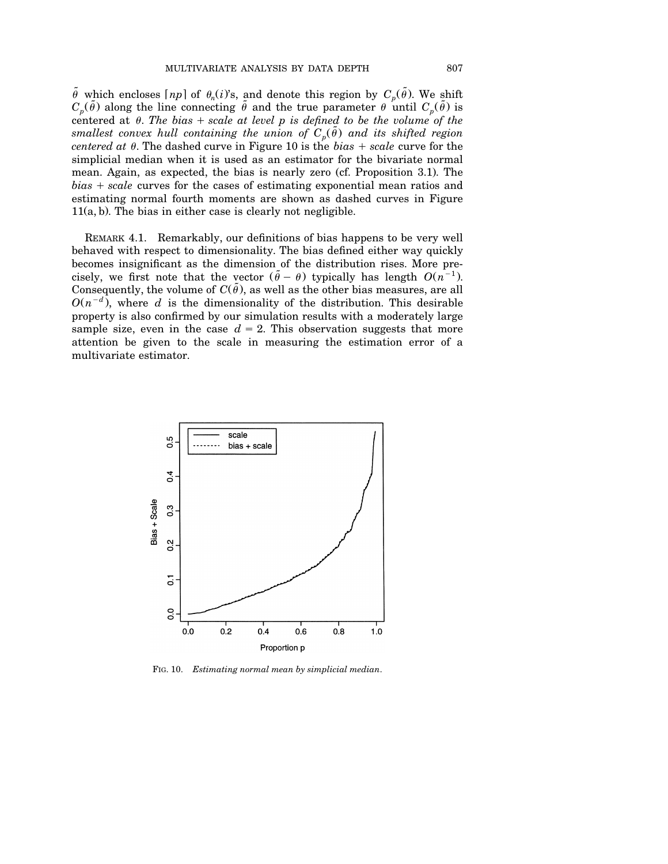$\tilde{\theta}$  which encloses  $[np]$  of  $\theta_n(i)$ 's, and denote this region by  $C_p(\tilde{\theta})$ . We shift  $C_p(\tilde{\theta})$  along the line connecting  $\tilde{\theta}$  and the true parameter  $\theta$  until  $C_p(\tilde{\theta})$  is centered at  $\theta$ . The bias + scale at level p is defined to be the volume of the *smallest convex hull containing the union of*  $C_p(\tilde{\theta})$  *and its shifted region centered at*  $\theta$ . The dashed curve in Figure 10 is the *bias* + *scale* curve for the simplicial median when it is used as an estimator for the bivariate normal mean. Again, as expected, the bias is nearly zero (cf. Proposition 3.1). The *bias scale* curves for the cases of estimating exponential mean ratios and estimating normal fourth moments are shown as dashed curves in Figure  $11(a, b)$ . The bias in either case is clearly not negligible.

REMARK 4.1. Remarkably, our definitions of bias happens to be very well behaved with respect to dimensionality. The bias defined either way quickly becomes insignificant as the dimension of the distribution rises. More pre cisely, we first note that the vector  $(\tilde{\theta} - \theta)$  typically has length  $O(n^{-1})$ . Consequently, the volume of  $C(\hat{\theta})$ , as well as the other bias measures, are all  $O(n^{-d})$ , where *d* is the dimensionality of the distribution. This desirable property is also confirmed by our simulation results with a moderately large sample size, even in the case  $d = 2$ . This observation suggests that more attention be given to the scale in measuring the estimation error of a multivariate estimator.



FIG. 10. *Estimating normal mean by simplicial median*.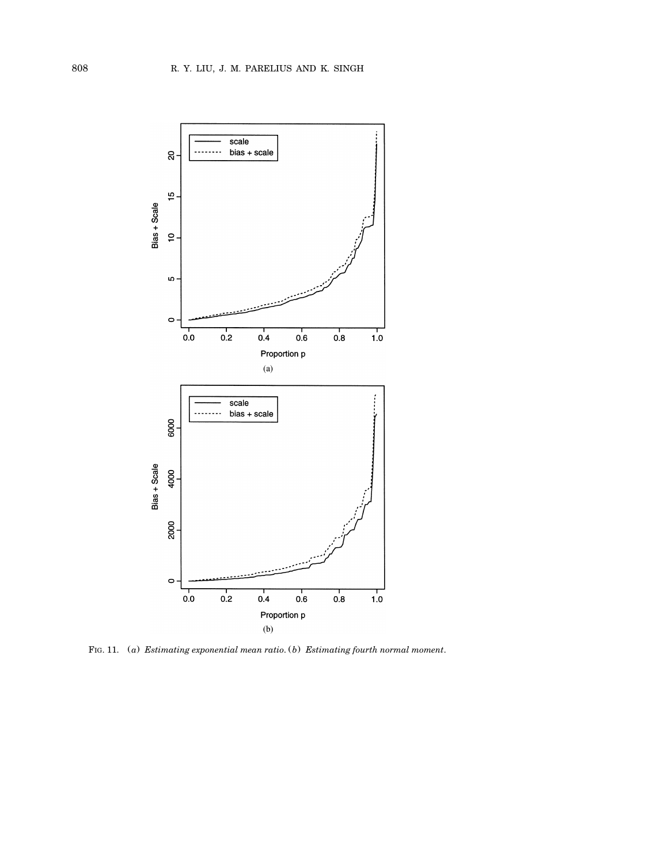

FIG. 11. (a) Estimating exponential mean ratio. (b) Estimating fourth normal moment.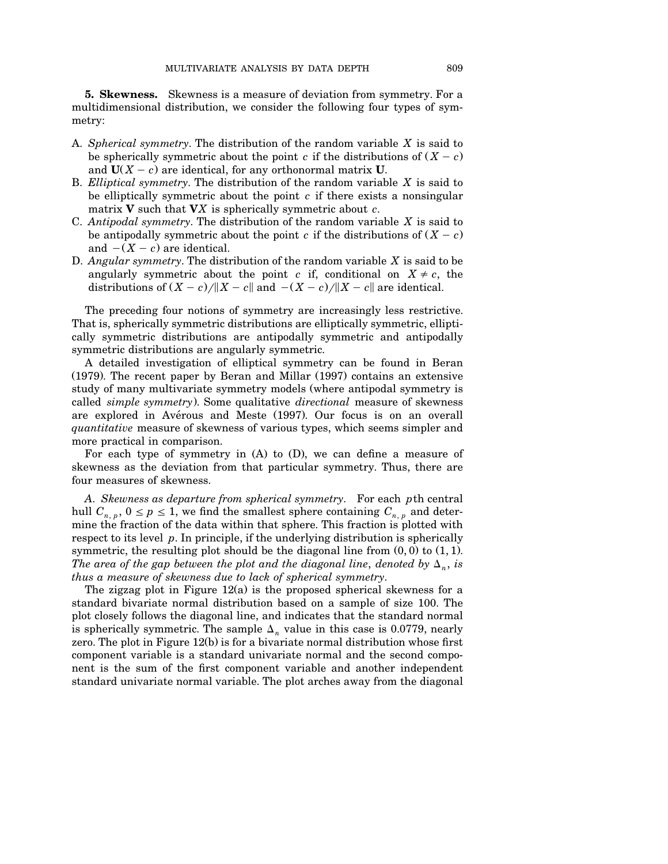**5. Skewness.** Skewness is a measure of deviation from symmetry. For a multidimensional distribution, we consider the following four types of symmetry:

- A. *Spherical symmetry*. The distribution of the random variable *X* is said to be spherically symmetric about the point *c* if the distributions of  $(X - c)$ and  $U(X - c)$  are identical, for any orthonormal matrix U.
- B. *Elliptical symmetry*. The distribution of the random variable *X* is said to be elliptically symmetric about the point *c* if there exists a nonsingular matrix **V** such that **V***X* is spherically symmetric about *c*.
- C. *Antipodal symmetry*. The distribution of the random variable *X* is said to be antipodally symmetric about the point *c* if the distributions of  $(X - c)$ and  $-(X - c)$  are identical.
- D. *Angular symmetry*. The distribution of the random variable *X* is said to be angularly symmetric about the point  $c$  if, conditional on  $X \neq c$ , the distributions of  $(X - c)/\|X - c\|$  and  $-(X - c)/\|X - c\|$  are identical.

The preceding four notions of symmetry are increasingly less restrictive. That is, spherically symmetric distributions are elliptically symmetric, elliptically symmetric distributions are antipodally symmetric and antipodally symmetric distributions are angularly symmetric.

A detailed investigation of elliptical symmetry can be found in Beran  $(1979)$ . The recent paper by Beran and Millar  $(1997)$  contains an extensive study of many multivariate symmetry models (where antipodal symmetry is called *simple symmetry*.. Some qualitative *directional* measure of skewness are explored in Avérous and Meste (1997). Our focus is on an overall *quantitative* measure of skewness of various types, which seems simpler and more practical in comparison.

For each type of symmetry in  $(A)$  to  $(D)$ , we can define a measure of skewness as the deviation from that particular symmetry. Thus, there are four measures of skewness.

*A*. *Skewness as departure from spherical symmetry*. For each *p*th central hull  $C_{n, p}$ ,  $0 \le p \le 1$ , we find the smallest sphere containing  $C_{n, p}$  and determine the fraction of the data within that sphere. This fraction is plotted with respect to its level *p*. In principle, if the underlying distribution is spherically symmetric, the resulting plot should be the diagonal line from  $(0, 0)$  to  $(1, 1)$ . *The area of the gap between the plot and the diagonal line, denoted by*  $\Delta_n$ , *is thus a measure of skewness due to lack of spherical symmetry*.

The zigzag plot in Figure  $12(a)$  is the proposed spherical skewness for a standard bivariate normal distribution based on a sample of size 100. The plot closely follows the diagonal line, and indicates that the standard normal is spherically symmetric. The sample  $\Delta_n$  value in this case is 0.0779, nearly zero. The plot in Figure  $12(b)$  is for a bivariate normal distribution whose first component variable is a standard univariate normal and the second component is the sum of the first component variable and another independent standard univariate normal variable. The plot arches away from the diagonal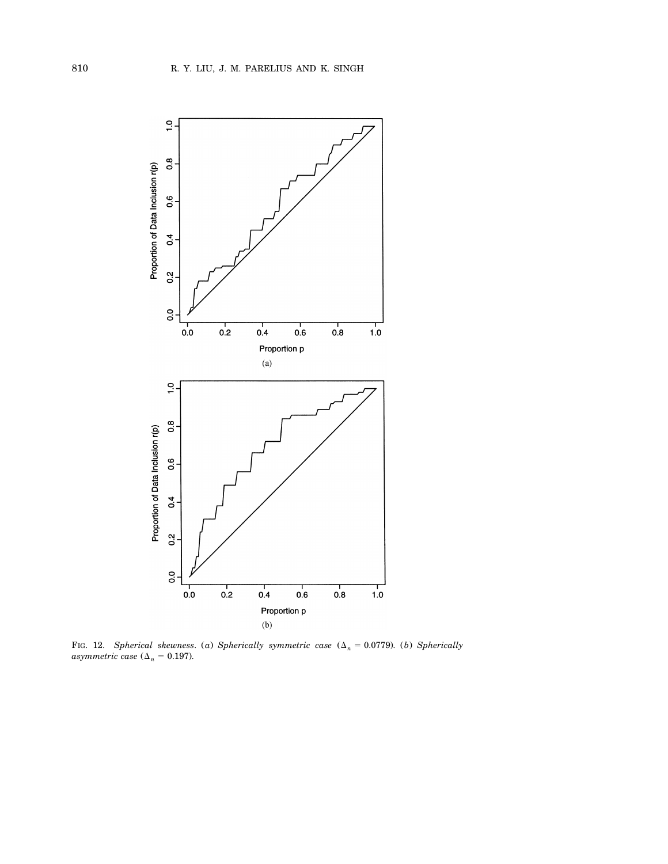

FIG. 12. *Spherical skewness.* (a) *Spherically symmetric case*  $(\Delta_n = 0.0779)$ . (b) *Spherically*  $asymmetric\ case\ (\Delta_n = 0.197).$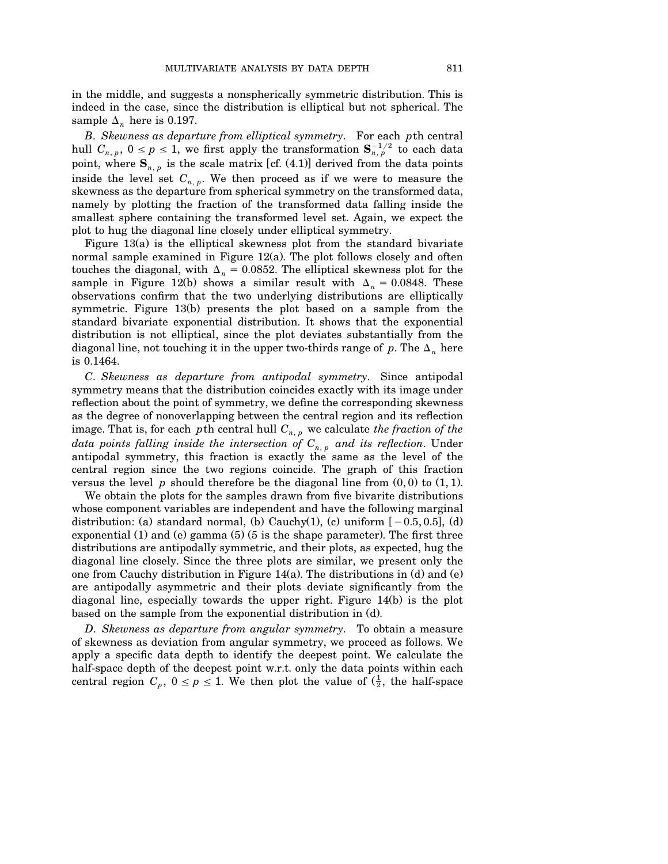in the middle, and suggests a nonspherically symmetric distribution. This is indeed in the case, since the distribution is elliptical but not spherical. The sample  $\Delta_n$  here is 0.197.

*B*. *Skewness as departure from elliptical symmetry*. For each *p*th central hull  $C_{n, p}$ ,  $0 \le p \le 1$ , we first apply the transformation  $S_{n, p}^{-1/2}$  to each data point, where  $S_{n,p}$  is the scale matrix [cf. (4.1)] derived from the data points inside the level set  $C_{n,p}$ . We then proceed as if we were to measure the skewness as the departure from spherical symmetry on the transformed data, namely by plotting the fraction of the transformed data falling inside the smallest sphere containing the transformed level set. Again, we expect the plot to hug the diagonal line closely under elliptical symmetry.

Figure  $13(a)$  is the elliptical skewness plot from the standard bivariate normal sample examined in Figure  $12(a)$ . The plot follows closely and often touches the diagonal, with  $\Delta_n = 0.0852$ . The elliptical skewness plot for the sample in Figure 12(b) shows a similar result with  $\Delta_n = 0.0848$ . These observations confirm that the two underlying distributions are elliptically symmetric. Figure 13(b) presents the plot based on a sample from the standard bivariate exponential distribution. It shows that the exponential distribution is not elliptical, since the plot deviates substantially from the diagonal line, not touching it in the upper two-thirds range of p. The  $\Delta_n$  here is 0.1464.

*C*. *Skewness as departure from antipodal symmetry*. Since antipodal symmetry means that the distribution coincides exactly with its image under reflection about the point of symmetry, we define the corresponding skewness as the degree of nonoverlapping between the central region and its reflection image. That is, for each *p*th central hull  $C_{n,p}$  we calculate *the fraction of the data points falling inside the intersection of*  $C_{n,p}$  *and its reflection.* Under antipodal symmetry, this fraction is exactly the same as the level of the central region since the two regions coincide. The graph of this fraction versus the level  $p$  should therefore be the diagonal line from  $(0, 0)$  to  $(1, 1)$ .

We obtain the plots for the samples drawn from five bivarite distributions whose component variables are independent and have the following marginal distribution: (a) standard normal, (b) Cauchy (1), (c) uniform  $[-0.5, 0.5]$ , (d) exponential  $(1)$  and  $(e)$  gamma  $(5)$   $(5)$  is the shape parameter). The first three distributions are antipodally symmetric, and their plots, as expected, hug the diagonal line closely. Since the three plots are similar, we present only the one from Cauchy distribution in Figure 14(a). The distributions in  $(d)$  and  $(e)$ are antipodally asymmetric and their plots deviate significantly from the diagonal line, especially towards the upper right. Figure  $14(b)$  is the plot based on the sample from the exponential distribution in  $(d)$ .

*D*. *Skewness as departure from angular symmetry*. To obtain a measure of skewness as deviation from angular symmetry, we proceed as follows. We apply a specific data depth to identify the deepest point. We calculate the half-space depth of the deepest point w.r.t. only the data points within each central region  $C_n$ ,  $0 \le p \le 1$ . We then plot the value of  $(\frac{1}{2})$ , the half-space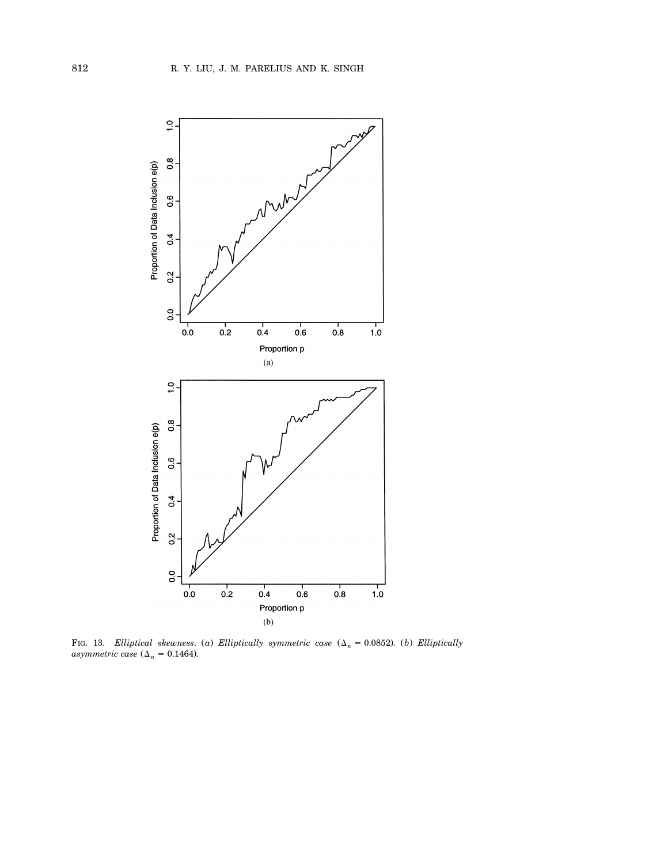

FIG. 13. *Elliptical skewness.* (a) *Elliptically symmetric case*  $(\Delta_n = 0.0852)$ . (b) *Elliptically* asymmetric case  $(\Delta_n = 0.1464)$ .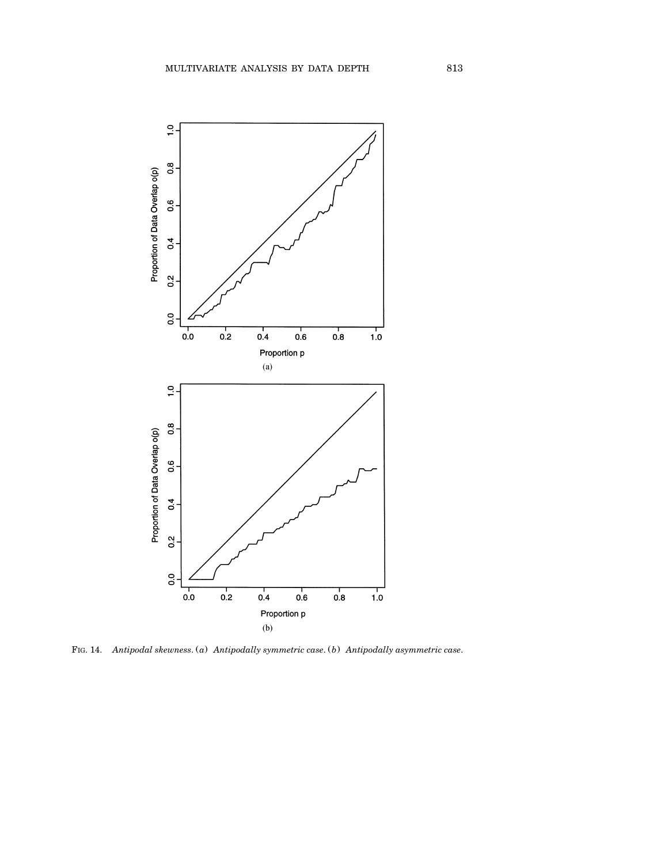

FIG. 14. *Antipodal skewness.* (a) *Antipodally symmetric case.* (b) *Antipodally asymmetric case.*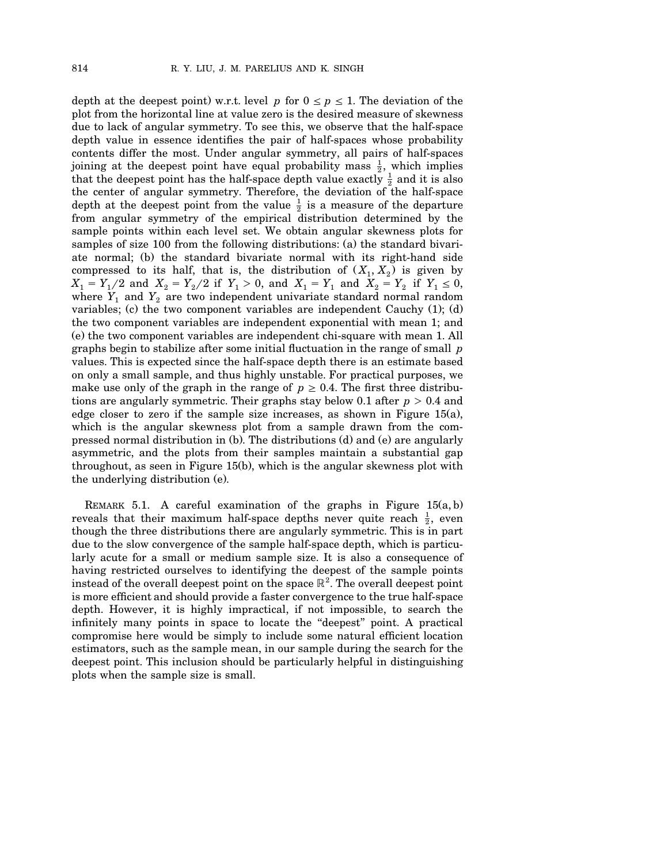depth at the deepest point) w.r.t. level p for  $0 \leq p \leq 1$ . The deviation of the plot from the horizontal line at value zero is the desired measure of skewness due to lack of angular symmetry. To see this, we observe that the half-space depth value in essence identifies the pair of half-spaces whose probability contents differ the most. Under angular symmetry, all pairs of half-spaces<br>joining at the deepest point have equal probability mass  $\frac{1}{2}$ , which implies<br>that the deepest point has the half-space depth value exactly  $\$ depth at the deepest point from the value  $\frac{1}{2}$  is a measure of the departure from angular symmetry of the empirical distribution determined by the sample points within each level set. We obtain angular skewness plots for samples of size 100 from the following distributions: (a) the standard bivariate normal; (b) the standard bivariate normal with its right-hand side compressed to its half, that is, the distribution of  $(X_1, X_2)$  is given by  $X_1 = Y_1/2$  and  $X_2 = Y_2/2$  if  $Y_1 > 0$ , and  $X_1 = Y_1$  and  $X_2 = Y_2$  if  $Y_1 \le 0$ , where  $Y_1$  and  $Y_2$  are two independent univariate standard normal random variables; (c) the two component variables are independent Cauchy  $(1)$ ;  $(d)$ the two component variables are independent exponential with mean 1; and (e) the two component variables are independent chi-square with mean 1. All graphs begin to stabilize after some initial fluctuation in the range of small *p* values. This is expected since the half-space depth there is an estimate based on only a small sample, and thus highly unstable. For practical purposes, we make use only of the graph in the range of  $p \geq 0.4$ . The first three distributions are angularly symmetric. Their graphs stay below 0.1 after  $p > 0.4$  and edge closer to zero if the sample size increases, as shown in Figure 15(a), which is the angular skewness plot from a sample drawn from the compressed normal distribution in  $(b)$ . The distributions  $(d)$  and  $(e)$  are angularly asymmetric, and the plots from their samples maintain a substantial gap throughout, as seen in Figure 15(b), which is the angular skewness plot with the underlying distribution (e).

REMARK 5.1. A careful examination of the graphs in Figure  $15(a, b)$ reveals that their maximum half-space depths never quite reach  $\frac{1}{2}$ , even though the three distributions there are angularly symmetric. This is in part due to the slow convergence of the sample half-space depth, which is particularly acute for a small or medium sample size. It is also a consequence of having restricted ourselves to identifying the deepest of the sample points instead of the overall deepest point on the space  $\mathbb{R}^2$ . The overall deepest point is more efficient and should provide a faster convergence to the true half-space depth. However, it is highly impractical, if not impossible, to search the infinitely many points in space to locate the ''deepest'' point. A practical compromise here would be simply to include some natural efficient location estimators, such as the sample mean, in our sample during the search for the deepest point. This inclusion should be particularly helpful in distinguishing plots when the sample size is small.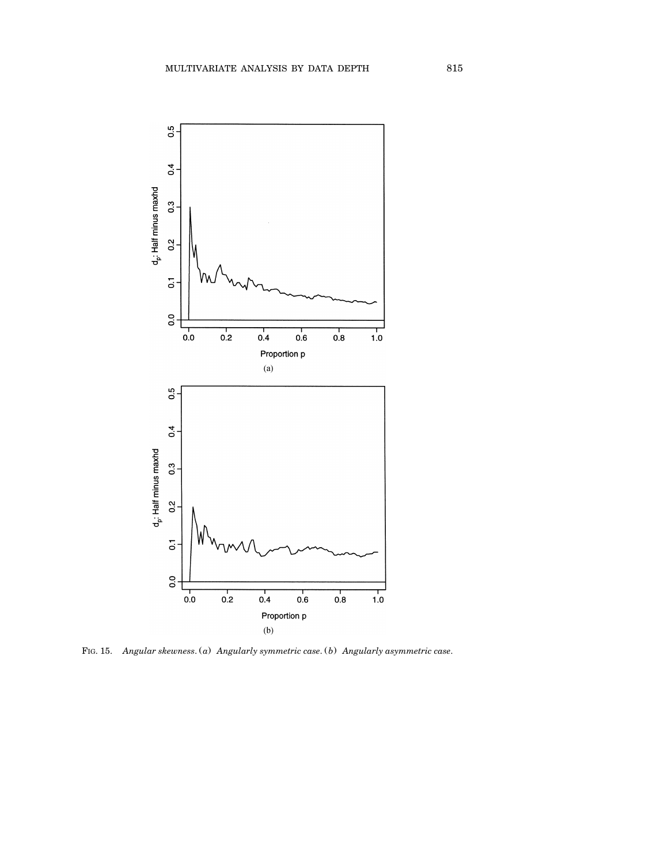

FIG. 15. Angular skewness. (a) Angularly symmetric case. (b) Angularly asymmetric case.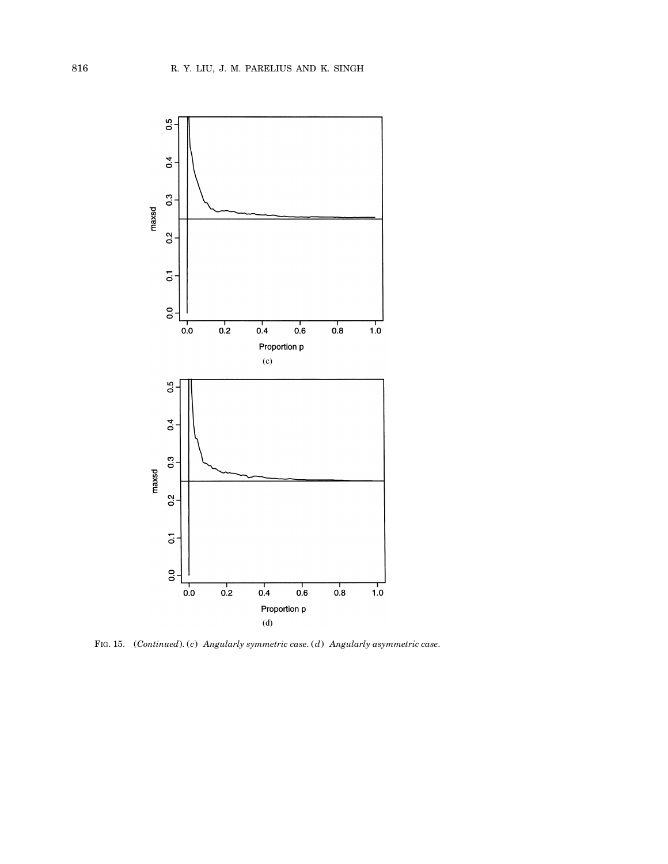

FIG. 15. (Continued). (c) Angularly symmetric case. (d) Angularly asymmetric case.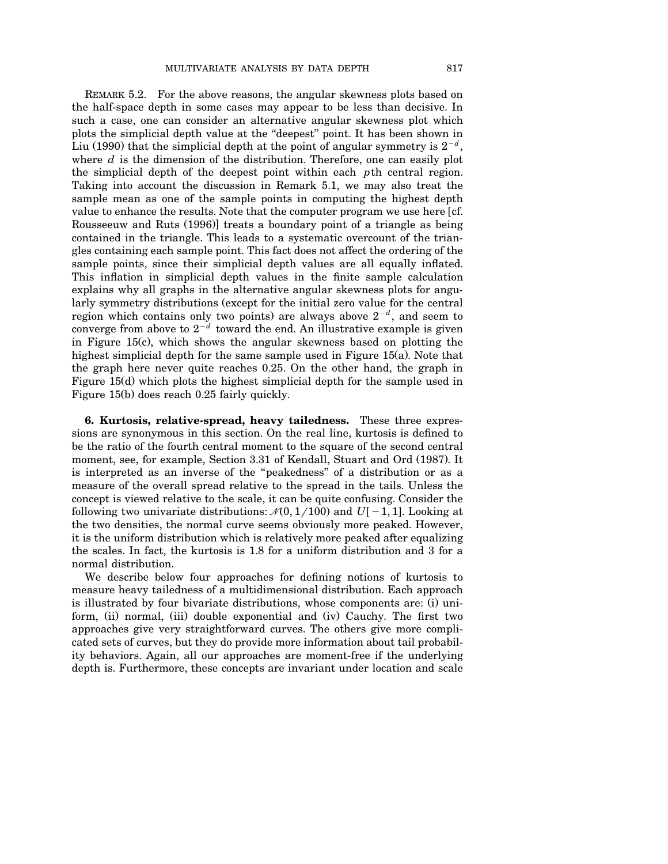REMARK 5.2. For the above reasons, the angular skewness plots based on the half-space depth in some cases may appear to be less than decisive. In such a case, one can consider an alternative angular skewness plot which plots the simplicial depth value at the ''deepest'' point. It has been shown in Liu (1990) that the simplicial depth at the point of angular symmetry is  $2^{-d}$ , where *d* is the dimension of the distribution. Therefore, one can easily plot the simplicial depth of the deepest point within each *p*th central region. Taking into account the discussion in Remark 5.1, we may also treat the sample mean as one of the sample points in computing the highest depth value to enhance the results. Note that the computer program we use here  $\epsilon$ . Rousseeuw and Ruts (1996)] treats a boundary point of a triangle as being contained in the triangle. This leads to a systematic overcount of the triangles containing each sample point. This fact does not affect the ordering of the sample points, since their simplicial depth values are all equally inflated. This inflation in simplicial depth values in the finite sample calculation explains why all graphs in the alternative angular skewness plots for angularly symmetry distributions (except for the initial zero value for the central region which contains only two points) are always above  $2^{-d}$ , and seem to converge from above to  $2^{-d}$  toward the end. An illustrative example is given in Figure 15 $(c)$ , which shows the angular skewness based on plotting the highest simplicial depth for the same sample used in Figure  $15(a)$ . Note that the graph here never quite reaches 0.25. On the other hand, the graph in Figure  $15(d)$  which plots the highest simplicial depth for the sample used in Figure  $15(b)$  does reach 0.25 fairly quickly.

**6. Kurtosis, relative-spread, heavy tailedness.** These three expressions are synonymous in this section. On the real line, kurtosis is defined to be the ratio of the fourth central moment to the square of the second central moment, see, for example, Section 3.31 of Kendall, Stuart and Ord (1987). It is interpreted as an inverse of the ''peakedness'' of a distribution or as a measure of the overall spread relative to the spread in the tails. Unless the concept is viewed relative to the scale, it can be quite confusing. Consider the following two univariate distributions:  $N(0, 1/100)$  and  $U[-1, 1]$ . Looking at the two densities, the normal curve seems obviously more peaked. However, it is the uniform distribution which is relatively more peaked after equalizing the scales. In fact, the kurtosis is 1.8 for a uniform distribution and 3 for a normal distribution.

We describe below four approaches for defining notions of kurtosis to measure heavy tailedness of a multidimensional distribution. Each approach is illustrated by four bivariate distributions, whose components are: (i) uniform, (ii) normal, (iii) double exponential and (iv) Cauchy. The first two approaches give very straightforward curves. The others give more complicated sets of curves, but they do provide more information about tail probability behaviors. Again, all our approaches are moment-free if the underlying depth is. Furthermore, these concepts are invariant under location and scale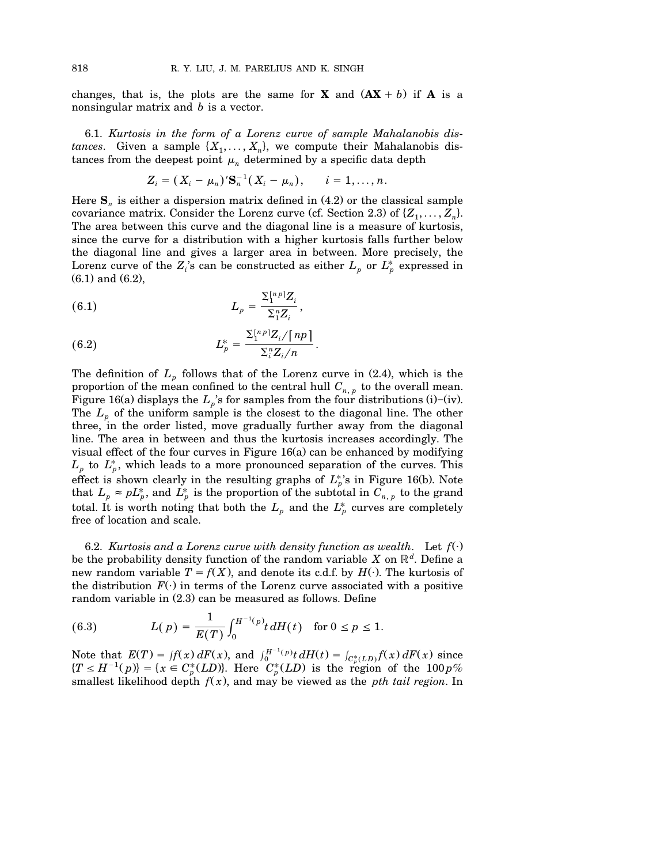changes, that is, the plots are the same for **X** and  $(AX + b)$  if **A** is a nonsingular matrix and *b* is a vector.

6.1. *Kurtosis in the form of a Lorenz curve of sample Mahalanobis distances*. Given a sample  $\{X_1, \ldots, X_n\}$ , we compute their Mahalanobis distances from the deepest point  $\mu_n$  determined by a specific data depth

$$
Z_i = (X_i - \mu_n)' \mathbf{S}_n^{-1} (X_i - \mu_n), \qquad i = 1, ..., n.
$$

Here  $S_n$  is either a dispersion matrix defined in  $(4.2)$  or the classical sample covariance matrix. Consider the Lorenz curve (cf. Section 2.3) of  $\{Z_1, \ldots, Z_n\}$ . The area between this curve and the diagonal line is a measure of kurtosis, since the curve for a distribution with a higher kurtosis falls further below the diagonal line and gives a larger area in between. More precisely, the Lorenz curve of the  $Z_i$ 's can be constructed as either  $L_p$  or  $L_p^*$  expressed in  $(6.1)$  and  $(6.2)$ ,

(6.1) 
$$
L_p = \frac{\sum_{i}^{[np]}Z_i}{\sum_{i}^{n}Z_i},
$$

(6.2) 
$$
L_p^* = \frac{\sum_{1}^{[np]}Z_i/[np]}{\sum_{i}^{n}Z_i/n}.
$$

The definition of  $L_p$  follows that of the Lorenz curve in  $(2.4)$ , which is the proportion of the mean confined to the central hull  $C_{n,p}$  to the overall mean. Figure 16(a) displays the  $L_p$ 's for samples from the four distributions (i)-(iv). The  $L_p$  of the uniform sample is the closest to the diagonal line. The other three, in the order listed, move gradually further away from the diagonal line. The area in between and thus the kurtosis increases accordingly. The visual effect of the four curves in Figure  $16(a)$  can be enhanced by modifying  $L_p$  to  $L_p^*$ , which leads to a more pronounced separation of the curves. This *effect* is shown clearly in the resulting graphs of  $L_p^*$ 's in Figure 16(b). Note that  $L_p \approx pL_p^*$ , and  $L_p^*$  is the proportion of the subtotal in  $C_{n,p}$  to the grand total. It is worth noting that both the  $L_p$  and the  $L_p^*$  curves are completely free of location and scale.

6.2. *Kurtosis and a Lorenz curve with density function as wealth.* Let  $f(\cdot)$ be the probability density function of the random variable  $X$  on  $\mathbb{R}^d$ . Define a new random variable  $T = f(X)$ , and denote its c.d.f. by  $H(\cdot)$ . The kurtosis of the distribution  $F(\cdot)$  in terms of the Lorenz curve associated with a positive random variable in  $(2.3)$  can be measured as follows. Define

(6.3) 
$$
L(p) = \frac{1}{E(T)} \int_0^{H^{-1}(p)} t \, dH(t) \quad \text{for } 0 \le p \le 1.
$$

Note that  $E(T) = \int f(x) dF(x)$ , and  $\int_0^{H^{-1}(p)} t dH(t) = \int_{C_p^*(LD)} f(x) dF(x)$  since  $\{T \leq H^{-1}(p)\} = \{x \in C_p^*(LD)\}.$  Here  $C_p^*(LD)$  is the region of the 100 *p*% smallest likelihood depth  $f(x)$ , and may be viewed as the *pth tail region*. In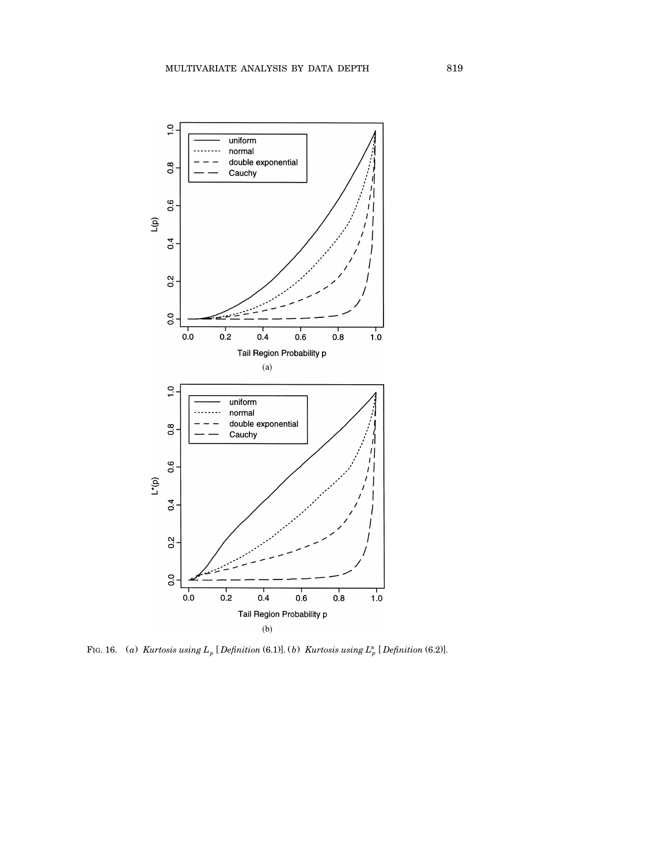

FIG. 16. *(a)* Kurtosis using  $L_p$  [ Definition (6.1)]. (b) Kurtosis using  $L_p^*$  [ Definition (6.2)].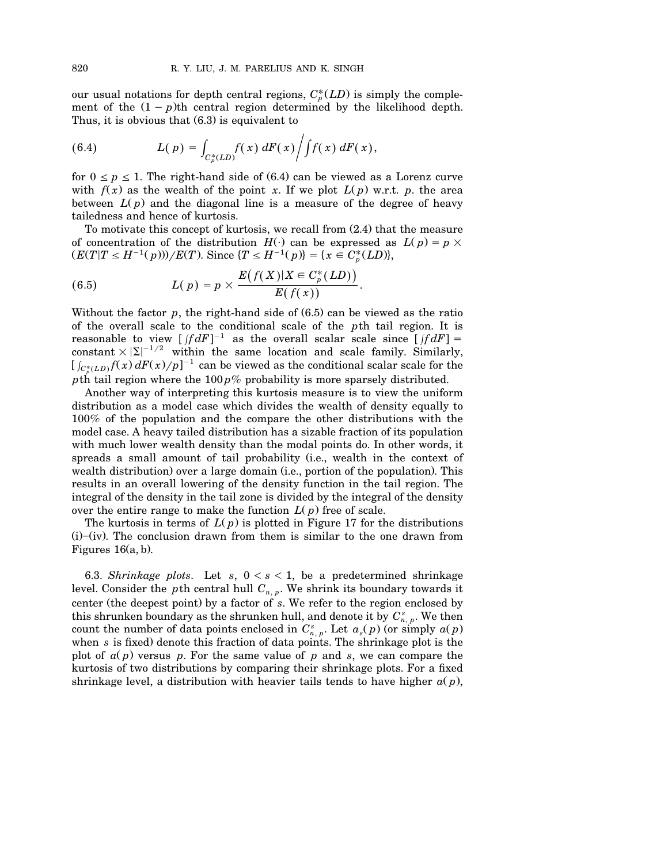our usual notations for depth central regions,  $C_p^*(LD)$  is simply the complement of the  $(1-p)$ th central region determined by the likelihood depth. Thus, it is obvious that  $(6.3)$  is equivalent to

(6.4) 
$$
L(p) = \int_{C_p^*(LD)} f(x) dF(x) / \int f(x) dF(x),
$$

for  $0 \leq p \leq 1$ . The right-hand side of (6.4) can be viewed as a Lorenz curve with  $f(x)$  as the wealth of the point x. If we plot  $L(p)$  w.r.t. p. the area between  $L(p)$  and the diagonal line is a measure of the degree of heavy tailedness and hence of kurtosis.

To motivate this concept of kurtosis, we recall from  $(2.4)$  that the measure of concentration of the distribution  $H(\cdot)$  can be expressed as  $L(p) = p \times p$  $(E(T|T \leq H^{-1}(p)))/E(T)$ . Since  $\{T \leq H^{-1}(p)\} = \{x \in C_p^*(LD)\},$ 

(6.5) 
$$
L(p) = p \times \frac{E(f(X)|X \in C_p^*(LD))}{E(f(x))}.
$$

Without the factor  $p$ , the right-hand side of  $(6.5)$  can be viewed as the ratio of the overall scale to the conditional scale of the *p*th tail region. It is reasonable to view  $[f dF]^{-1}$  as the overall scalar scale since  $[f dF] =$ constant  $\times |\Sigma|^{-1/2}$  within the same location and scale family. Similarly,  $\int_{C_p^*(LD)} f(x) dF(x)/p]^{-1}$  can be viewed as the conditional scalar scale for the *pth* tail region where the  $100 p\%$  probability is more sparsely distributed.

Another way of interpreting this kurtosis measure is to view the uniform distribution as a model case which divides the wealth of density equally to 100% of the population and the compare the other distributions with the model case. A heavy tailed distribution has a sizable fraction of its population with much lower wealth density than the modal points do. In other words, it spreads a small amount of tail probability (i.e., wealth in the context of wealth distribution) over a large domain (i.e., portion of the population). This results in an overall lowering of the density function in the tail region. The integral of the density in the tail zone is divided by the integral of the density over the entire range to make the function  $L(p)$  free of scale.

The kurtosis in terms of  $L(p)$  is plotted in Figure 17 for the distributions  $(i)$ – $(iv)$ . The conclusion drawn from them is similar to the one drawn from Figures  $16(a, b)$ .

6.3. *Shrinkage plots*. Let  $s, 0 < s < 1$ , be a predetermined shrinkage level. Consider the *p*th central hull  $C_{n,p}$ . We shrink its boundary towards it center (the deepest point) by a factor of s. We refer to the region enclosed by this shrunken boundary as the shrunken hull, and denote it by  $C_{n,p}^s$ . We then *count the number of data points enclosed in*  $C_{n,p}^s$ *. Let*  $a_s(p)$  *(or simply*  $a(p)$ *)* when  $s$  is fixed) denote this fraction of data points. The shrinkage plot is the plot of  $a(p)$  versus p. For the same value of p and s, we can compare the kurtosis of two distributions by comparing their shrinkage plots. For a fixed shrinkage level, a distribution with heavier tails tends to have higher  $a(p)$ ,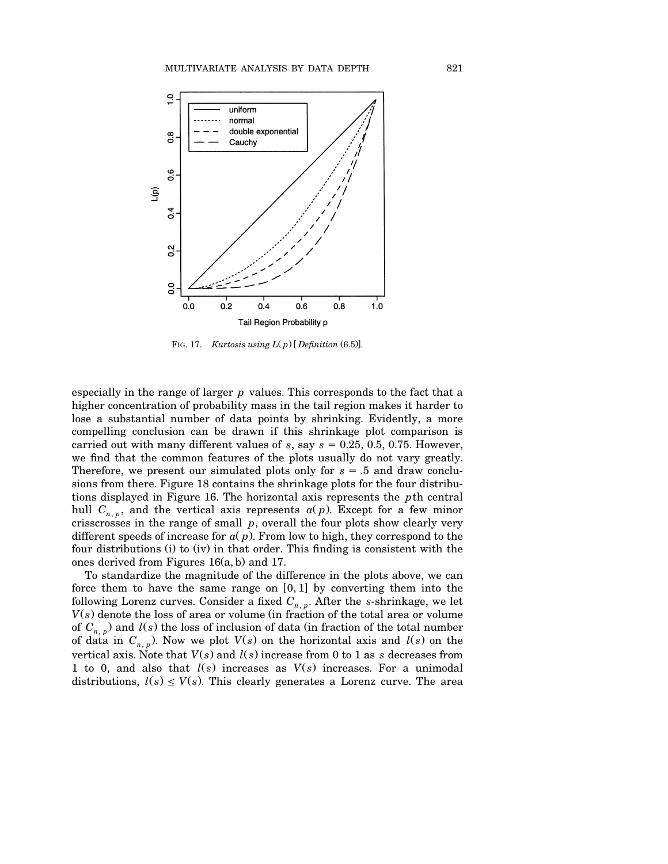

FIG. 17. *Kurtosis using*  $L(p)$  *[ Definition (6.5)]*.

especially in the range of larger *p* values. This corresponds to the fact that a higher concentration of probability mass in the tail region makes it harder to lose a substantial number of data points by shrinking. Evidently, a more compelling conclusion can be drawn if this shrinkage plot comparison is carried out with many different values of  $s$ , say  $s = 0.25, 0.5, 0.75$ . However, we find that the common features of the plots usually do not vary greatly. Therefore, we present our simulated plots only for  $s = .5$  and draw conclusions from there. Figure 18 contains the shrinkage plots for the four distributions displayed in Figure 16. The horizontal axis represents the *p*th central hull  $C_{n,p}$ , and the vertical axis represents  $a(p)$ . Except for a few minor crisscrosses in the range of small *p*, overall the four plots show clearly very different speeds of increase for  $a(p)$ . From low to high, they correspond to the four distributions (i) to (iv) in that order. This finding is consistent with the ones derived from Figures  $16(a, b)$  and 17.

To standardize the magnitude of the difference in the plots above, we can force them to have the same range on  $[0, 1]$  by converting them into the following Lorenz curves. Consider a fixed  $C_{n,p}$ . After the *s*-shrinkage, we let  $V(s)$  denote the loss of area or volume (in fraction of the total area or volume of  $C_{n,p}$  and  $l(s)$  the loss of inclusion of data (in fraction of the total number of data in  $C_{n,p}$ ). Now we plot  $V(s)$  on the horizontal axis and  $l(s)$  on the vertical axis. Note that  $V(s)$  and  $l(s)$  increase from 0 to 1 as *s* decreases from 1 to 0, and also that  $l(s)$  increases as  $V(s)$  increases. For a unimodal distributions,  $l(s) \leq V(s)$ . This clearly generates a Lorenz curve. The area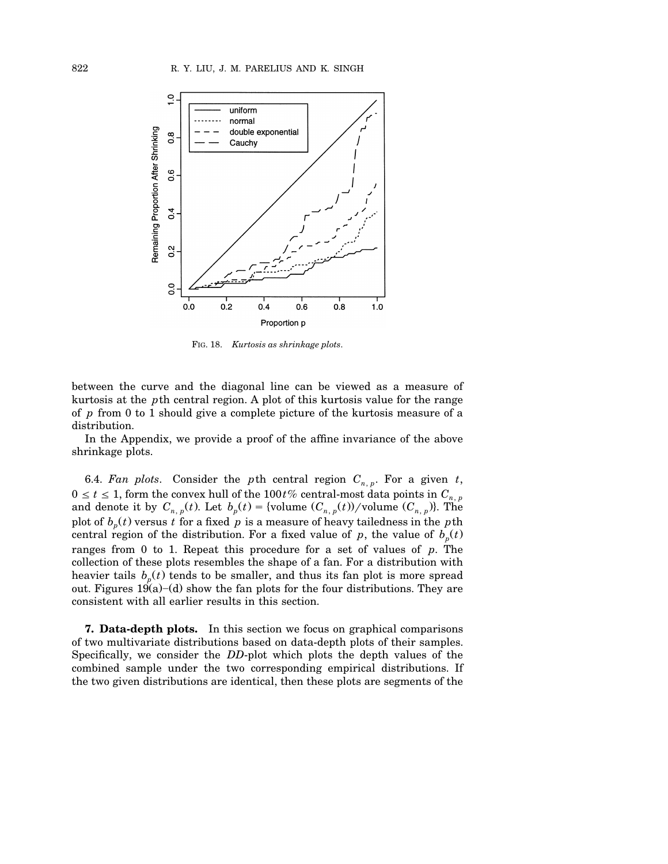

FIG. 18. *Kurtosis as shrinkage plots*.

between the curve and the diagonal line can be viewed as a measure of kurtosis at the *p*th central region. A plot of this kurtosis value for the range of *p* from 0 to 1 should give a complete picture of the kurtosis measure of a distribution.

In the Appendix, we provide a proof of the affine invariance of the above shrinkage plots.

6.4. *Fan plots*. Consider the *p*th central region  $C_{n,p}$ . For a given *t*,  $0 \le t \le 1$ , form the convex hull of the 100*t%* central-most data points in  $C_{n,p}$ and denote it by  $C_{n, p}(t)$ . Let  $b_p(t) = \{\text{volume } (C_{n, p}(t))/\text{volume } (C_{n, p})\}$ . The plot of  $b_n(t)$  versus t for a fixed p is a measure of heavy tailedness in the pth central region of the distribution. For a fixed value of p, the value of  $b_n(t)$ ranges from 0 to 1. Repeat this procedure for a set of values of *p*. The collection of these plots resembles the shape of a fan. For a distribution with heavier tails  $b_p(t)$  tends to be smaller, and thus its fan plot is more spread out. Figures  $19(a)$ -(d) show the fan plots for the four distributions. They are consistent with all earlier results in this section.

**7. Data-depth plots.** In this section we focus on graphical comparisons of two multivariate distributions based on data-depth plots of their samples. Specifically, we consider the *DD*-plot which plots the depth values of the combined sample under the two corresponding empirical distributions. If the two given distributions are identical, then these plots are segments of the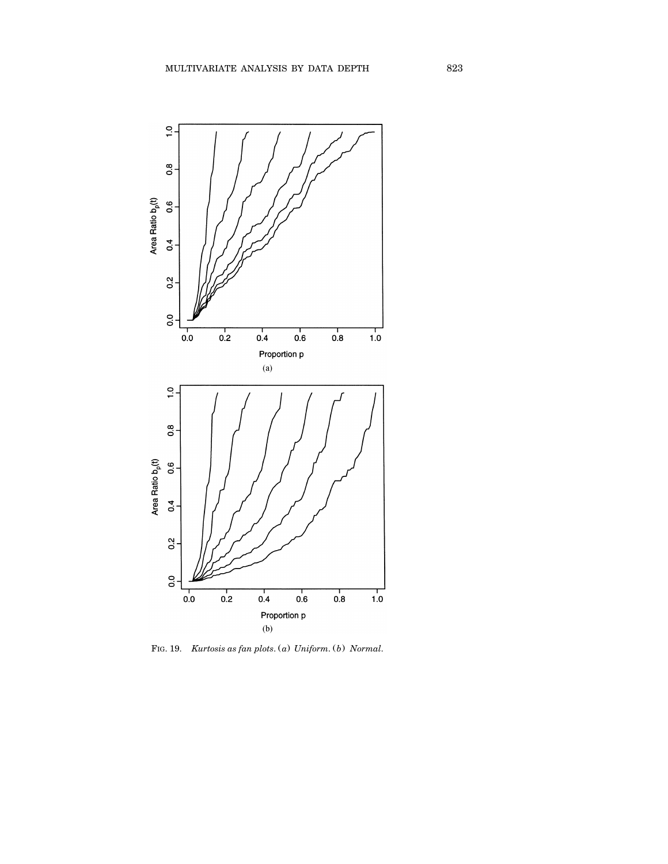

FIG. 19. *Kurtosis as fan plots.* (a) Uniform. (b) Normal.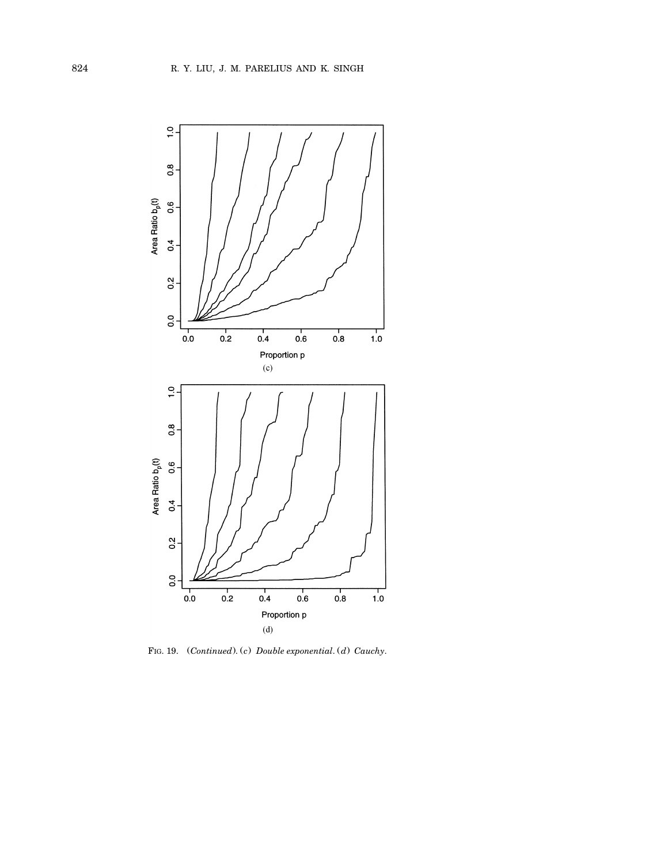

FIG. 19. *(Continued). (c)* Double exponential. *(d)* Cauchy.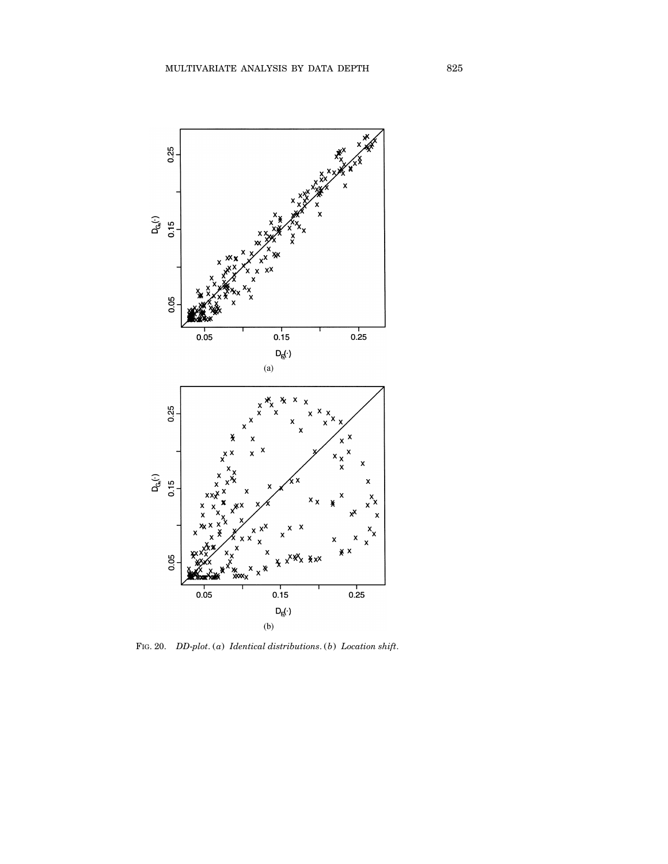

FIG. 20. *DD-plot*. (a) *Identical distributions*. (b) *Location shift*.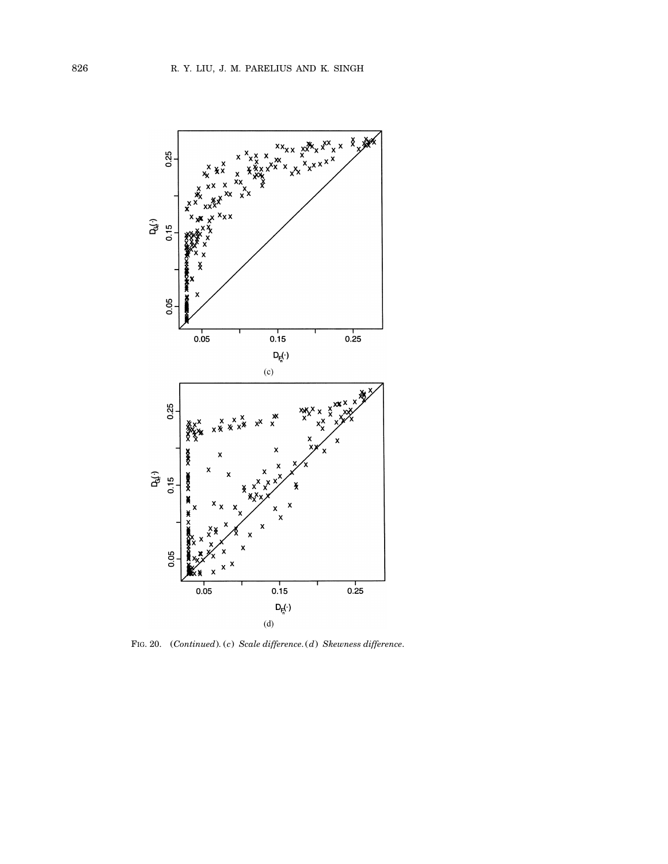

FIG. 20. *(Continued). (c)* Scale difference. *(d)* Skewness difference.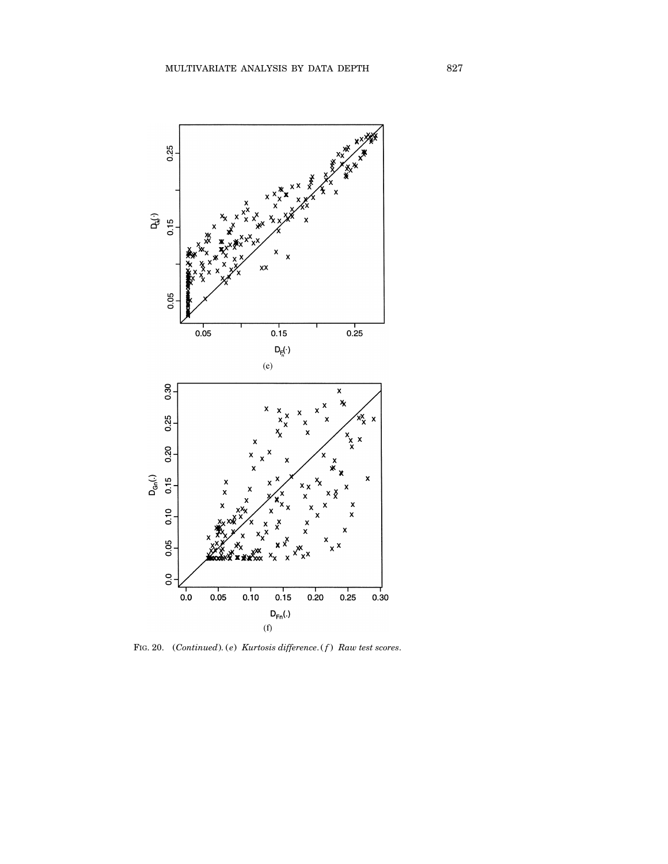

FIG. 20. *(Continued). (e) Kurtosis difference. (f) Raw test scores.*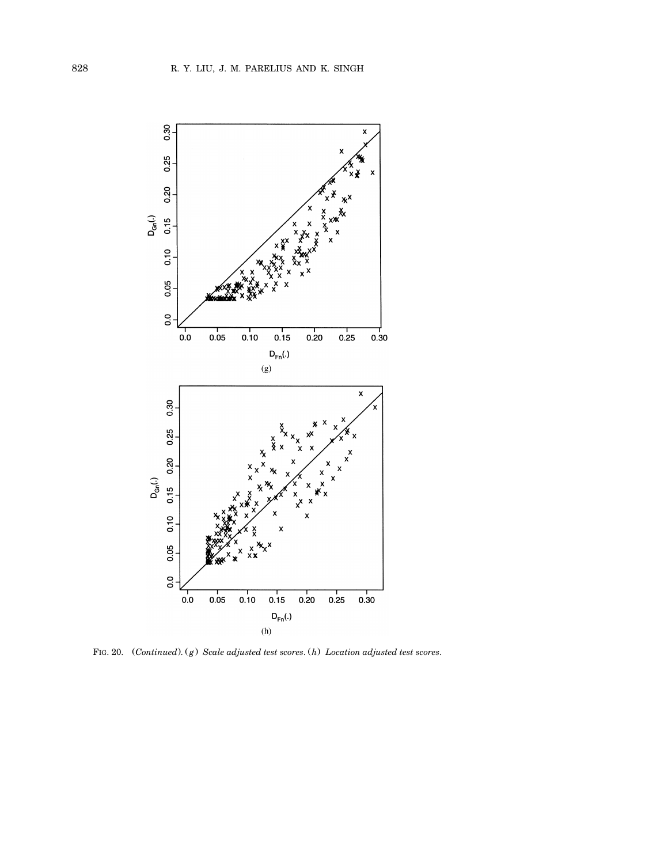

FIG. 20. *(Continued). (g)* Scale adjusted test scores. *(h)* Location adjusted test scores.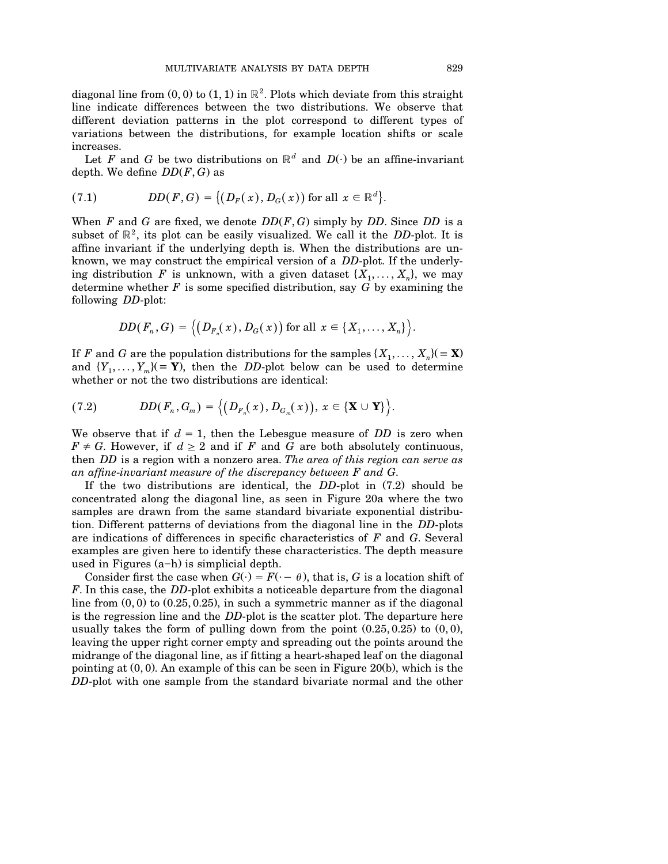diagonal line from  $(0, 0)$  to  $(1, 1)$  in  $\mathbb{R}^2$ . Plots which deviate from this straight line indicate differences between the two distributions. We observe that different deviation patterns in the plot correspond to different types of variations between the distributions, for example location shifts or scale increases.

Let *F* and *G* be two distributions on  $\mathbb{R}^d$  and  $D(\cdot)$  be an affine-invariant depth. We define  $DD(F, G)$  as

(7.1) 
$$
DD(F,G) = \{(D_F(x), D_G(x)) \text{ for all } x \in \mathbb{R}^d\}.
$$

When *F* and *G* are fixed, we denote  $DD(F, G)$  simply by *DD*. Since *DD* is a subset of  $\mathbb{R}^2$ , its plot can be easily visualized. We call it the *DD*-plot. It is affine invariant if the underlying depth is. When the distributions are unknown, we may construct the empirical version of a *DD*-plot. If the underlying distribution F is unknown, with a given dataset  $\{X_1, \ldots, X_n\}$ , we may determine whether *F* is some specified distribution, say *G* by examining the following *DD*-plot:

$$
DD(F_n,G)=\Bigl\{\bigl(D_{F_n}(\,x)\,,\,D_G(\,x)\bigr)\text{ for all }\,x\in\{X_1,\ldots,X_n\}\Bigr\}.
$$

If *F* and *G* are the population distributions for the samples  $\{X_1, \ldots, X_n\}$   $(\equiv \mathbf{X})$ and  $\{Y_1, \ldots, Y_m\}$   $\in \mathbf{Y}$ , then the *DD*-plot below can be used to determine whether or not the two distributions are identical:

$$
(7.2) \hspace{1cm} DD(F_n,G_m)=\Big\{\big(D_{F_n}(x),D_{G_m}(x)\big),\,x\in\{\mathbf{X}\cup\mathbf{Y}\}\Big\}.
$$

We observe that if  $d = 1$ , then the Lebesgue measure of *DD* is zero when  $F \neq G$ . However, if  $d \geq 2$  and if *F* and  $\tilde{G}$  are both absolutely continuous, then *DD* is a region with a nonzero area. *The area of this region can serve as an affine*-*invariant measure of the discrepancy between F and G*.

If the two distributions are identical, the *DD*-plot in (7.2) should be concentrated along the diagonal line, as seen in Figure 20a where the two samples are drawn from the same standard bivariate exponential distribution. Different patterns of deviations from the diagonal line in the *DD*-plots are indications of differences in specific characteristics of *F* and *G*. Several examples are given here to identify these characteristics. The depth measure used in Figures  $(a-h)$  is simplicial depth.

Consider first the case when  $G(\cdot) = F(\cdot - \theta)$ , that is, *G* is a location shift of *F*. In this case, the *DD*-plot exhibits a noticeable departure from the diagonal line from  $(0, 0)$  to  $(0.25, 0.25)$ , in such a symmetric manner as if the diagonal is the regression line and the *DD*-plot is the scatter plot. The departure here usually takes the form of pulling down from the point  $(0.25, 0.25)$  to  $(0, 0)$ , leaving the upper right corner empty and spreading out the points around the midrange of the diagonal line, as if fitting a heart-shaped leaf on the diagonal pointing at  $(0, 0)$ . An example of this can be seen in Figure 20(b), which is the *DD*-plot with one sample from the standard bivariate normal and the other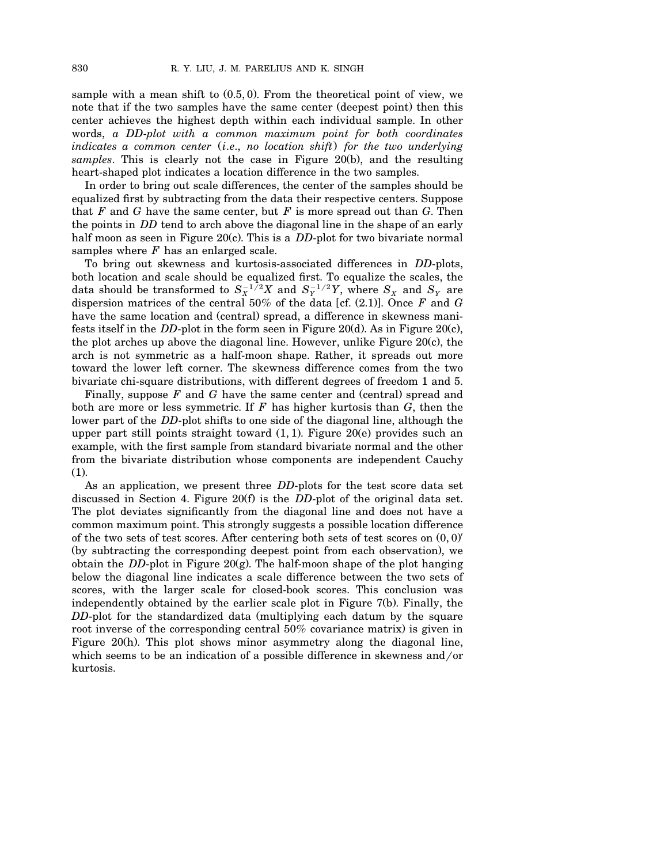sample with a mean shift to  $(0.5, 0)$ . From the theoretical point of view, we note that if the two samples have the same center (deepest point) then this center achieves the highest depth within each individual sample. In other words, *a DD*-*plot with a common maximum point for both coordinates indicates a common center (i.e., no location shift) for the two underlying* samples. This is clearly not the case in Figure 20(b), and the resulting heart-shaped plot indicates a location difference in the two samples.

In order to bring out scale differences, the center of the samples should be equalized first by subtracting from the data their respective centers. Suppose that *F* and *G* have the same center, but *F* is more spread out than *G*. Then the points in *DD* tend to arch above the diagonal line in the shape of an early half moon as seen in Figure 20(c). This is a *DD*-plot for two bivariate normal samples where *F* has an enlarged scale.

To bring out skewness and kurtosis-associated differences in *DD*-plots, both location and scale should be equalized first. To equalize the scales, the data should be transformed to  $S_X^{-1/2}X$  and  $S_Y^{-1/2}Y$ , where  $S_X$  and  $S_Y$  are dispersion matrices of the central  $50\%$  of the data [cf. (2.1)]. Once *F* and *G* have the same location and (central) spread, a difference in skewness manifests itself in the *DD*-plot in the form seen in Figure 20(d). As in Figure 20(c), the plot arches up above the diagonal line. However, unlike Figure  $20(c)$ , the arch is not symmetric as a half-moon shape. Rather, it spreads out more toward the lower left corner. The skewness difference comes from the two bivariate chi-square distributions, with different degrees of freedom 1 and 5.

Finally, suppose  $F$  and  $G$  have the same center and (central) spread and both are more or less symmetric. If *F* has higher kurtosis than *G*, then the lower part of the *DD*-plot shifts to one side of the diagonal line, although the upper part still points straight toward  $(1, 1)$ . Figure 20(e) provides such an example, with the first sample from standard bivariate normal and the other from the bivariate distribution whose components are independent Cauchy  $(1)$ .

As an application, we present three *DD*-plots for the test score data set discussed in Section 4. Figure  $20(f)$  is the *DD*-plot of the original data set. The plot deviates significantly from the diagonal line and does not have a common maximum point. This strongly suggests a possible location difference of the two sets of test scores. After centering both sets of test scores on  $(0, 0)'$ (by subtracting the corresponding deepest point from each observation), we obtain the *DD*-plot in Figure 20 $(g)$ . The half-moon shape of the plot hanging below the diagonal line indicates a scale difference between the two sets of scores, with the larger scale for closed-book scores. This conclusion was independently obtained by the earlier scale plot in Figure  $7(b)$ . Finally, the *DD*-plot for the standardized data (multiplying each datum by the square root inverse of the corresponding central 50% covariance matrix) is given in Figure  $20(h)$ . This plot shows minor asymmetry along the diagonal line, which seems to be an indication of a possible difference in skewness and/or kurtosis.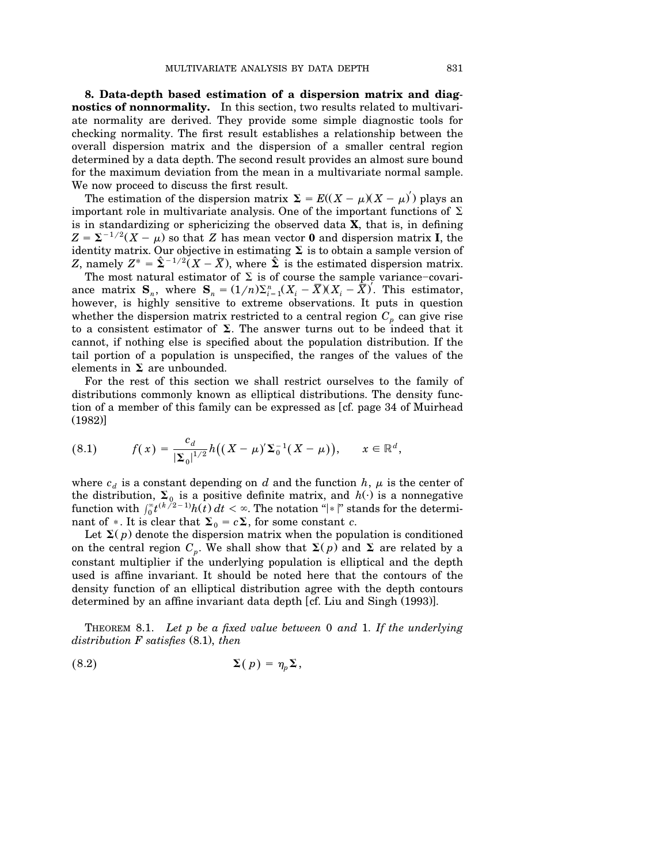**8. Data-depth based estimation of a dispersion matrix and diagnostics of nonnormality.** In this section, two results related to multivariate normality are derived. They provide some simple diagnostic tools for checking normality. The first result establishes a relationship between the overall dispersion matrix and the dispersion of a smaller central region determined by a data depth. The second result provides an almost sure bound for the maximum deviation from the mean in a multivariate normal sample. We now proceed to discuss the first result.

The estimation of the dispersion matrix  $\Sigma = E((X - \mu)(X - \mu)^{'})$  plays an important role in multivariate analysis. One of the important functions of  $\Sigma$ is in standardizing or sphericizing the observed data **X**, that is, in defining  $Z = \sum_{i=1}^{n} (X - \mu)$  so that *Z* has mean vector **0** and dispersion matrix **I**, the identity matrix. Our objective in estimating  $\boldsymbol{\Sigma}$  is to obtain a sample version of Z, namely  $Z^* = \hat{\Sigma}^{-1/2}(X - \overline{X})$ , where  $\hat{\Sigma}$  is the estimated dispersion matrix.

The most natural estimator of  $\Sigma$  is of course the sample variance-covariance matrix  $\mathbf{S}_n$ , where  $\mathbf{S}_n = (1/n)\Sigma_{i=1}^n(X_i - \overline{X})(X_i - \overline{X})'$ . This estimator, however, is highly sensitive to extreme observations. It puts in question whether the dispersion matrix restricted to a central region  $C_p$  can give rise to a consistent estimator of  $\Sigma$ . The answer turns out to be indeed that it cannot, if nothing else is specified about the population distribution. If the tail portion of a population is unspecified, the ranges of the values of the elements in  $\Sigma$  are unbounded.

For the rest of this section we shall restrict ourselves to the family of distributions commonly known as elliptical distributions. The density function of a member of this family can be expressed as [cf. page 34 of Muirhead  $(1982)$ 

(8.1) 
$$
f(x) = \frac{c_d}{|\mathbf{\Sigma}_0|^{1/2}} h((X - \mu)' \mathbf{\Sigma}_0^{-1} (X - \mu)), \quad x \in \mathbb{R}^d,
$$

where  $c_d$  is a constant depending on  $d$  and the function  $h$ ,  $\mu$  is the center of the distribution,  $\Sigma_0$  is a positive definite matrix, and  $h(\cdot)$  is a nonnegative function with  $\int_0^{\infty} t^{(k/2-1)} h(t) dt < \infty$ . The notation " $|\cdot|$ " stands for the determinant of  $*$ . It is clear that  $\Sigma_0 = c\Sigma$ , for some constant *c*.

Let  $\Sigma(p)$  denote the dispersion matrix when the population is conditioned on the central region  $C_p$ . We shall show that  $\Sigma(p)$  and  $\Sigma$  are related by a constant multiplier if the underlying population is elliptical and the depth used is affine invariant. It should be noted here that the contours of the density function of an elliptical distribution agree with the depth contours determined by an affine invariant data depth [cf. Liu and Singh (1993)].

THEOREM 8.1. *Let p be a fixed value between* 0 *and* 1. *If the underlying distribution F satisfies*  $(8.1)$ *, then* 

$$
\Sigma(p) = \eta_p \Sigma,
$$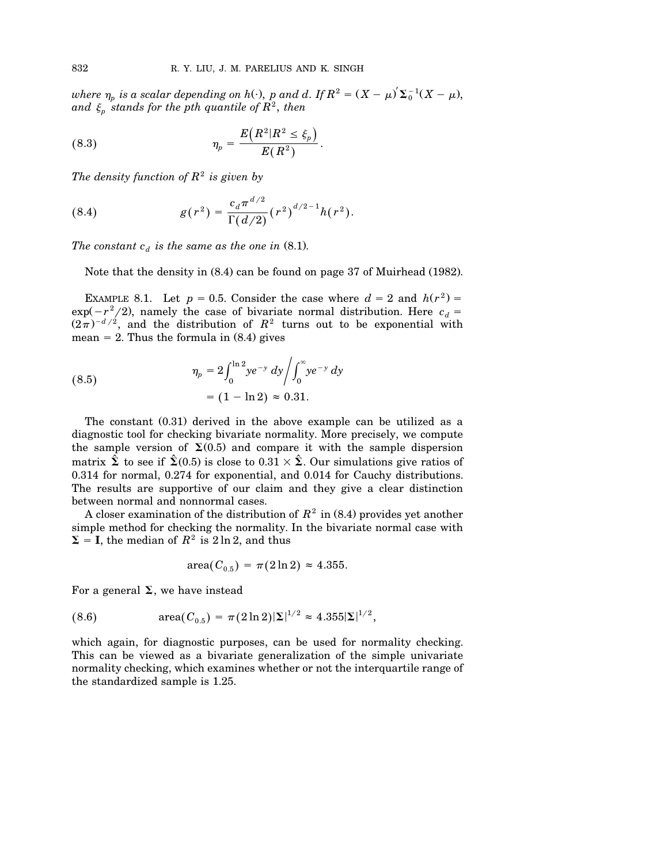where  $\eta_p$  is a scalar depending on h( $\cdot$ ), p and d. If  $R^2 = (X - \mu)' \Sigma_0^{-1} (X - \mu)$ , and  $\xi_p$  stands for the pth quantile of  $R^2$ , then

(8.3) 
$$
\eta_p = \frac{E\left(R^2\vert R^2 \leq \xi_p\right)}{E\left(R^2\right)}.
$$

*The density function of R*<sup>2</sup> *is given by*

(8.4) 
$$
g(r^2) = \frac{c_d \pi^{d/2}}{\Gamma(d/2)} (r^2)^{d/2-1} h(r^2).
$$

*The constant c<sub>d</sub> is the same as the one in*  $(8.1)$ .

Note that the density in  $(8.4)$  can be found on page 37 of Muirhead  $(1982)$ .

EXAMPLE 8.1. Let  $p = 0.5$ . Consider the case where  $d = 2$  and  $h(r^2) =$  $\exp(-r^2/2)$ , namely the case of bivariate normal distribution. Here  $c_d$  $(2\pi)^{-d/2}$ , and the distribution of  $R^2$  turns out to be exponential with mean  $= 2$ . Thus the formula in  $(8.4)$  gives

(8.5) 
$$
\eta_p = 2 \int_0^{\ln 2} y e^{-y} dy \bigg/ \int_0^{\infty} y e^{-y} dy
$$

$$
= (1 - \ln 2) \approx 0.31.
$$

The constant  $(0.31)$  derived in the above example can be utilized as a diagnostic tool for checking bivariate normality. More precisely, we compute the sample version of  $\Sigma(0.5)$  and compare it with the sample dispersion matrix  $\hat{\boldsymbol{\Sigma}}$  to see if  $\hat{\boldsymbol{\Sigma}}(0.5)$  is close to  $0.31 \times \hat{\boldsymbol{\Sigma}}$ . Our simulations give ratios of 0.314 for normal, 0.274 for exponential, and 0.014 for Cauchy distributions. The results are supportive of our claim and they give a clear distinction between normal and nonnormal cases.

A closer examination of the distribution of  $R^2$  in  $(8.4)$  provides yet another simple method for checking the normality. In the bivariate normal case with  $\Sigma = I$ , the median of  $R^2$  is  $2 \ln 2$ , and thus

area
$$
(C_{0.5}) = \pi (2 \ln 2) \approx 4.355.
$$

For a general  $\Sigma,$  we have instead

(8.6) 
$$
\operatorname{area}(C_{0.5}) = \pi (2 \ln 2) |\Sigma|^{1/2} \approx 4.355 |\Sigma|^{1/2},
$$

which again, for diagnostic purposes, can be used for normality checking. This can be viewed as a bivariate generalization of the simple univariate normality checking, which examines whether or not the interquartile range of the standardized sample is 1.25.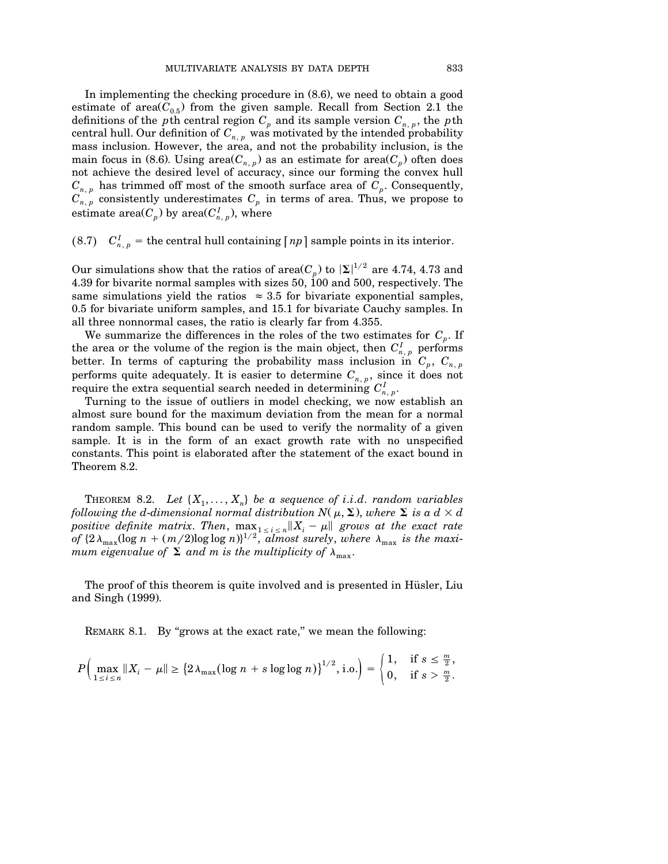In implementing the checking procedure in  $(8.6)$ , we need to obtain a good estimate of area $(C_{0.5})$  from the given sample. Recall from Section 2.1 the definitions of the *p*th central region  $C_p$  and its sample version  $C_{n,p}$ , the *p*th central hull. Our definition of  $C_{n,p}$  was motivated by the intended probability mass inclusion. However, the area, and not the probability inclusion, is the main focus in (8.6). Using area  $(C_{n,p})$  as an estimate for area  $(C_p)$  often does not achieve the desired level of accuracy, since our forming the convex hull  $C_{n,p}$  has trimmed off most of the smooth surface area of  $C_p$ . Consequently,  $C_{n,p}^{\{r\}}$  consistently underestimates  $C_p$  in terms of area. Thus, we propose to estimate area $(C_p)$  by area $(C_{n,p}^I)$ , where

 $(8.7)$   $C_{n}^{I}$  = the central hull containing  $\lceil np \rceil$  sample points in its interior.

Our simulations show that the ratios of area $(C_p)$  to  $|\Sigma|^{1/2}$  are 4.74, 4.73 and 4.39 for bivarite normal samples with sizes 50, 100 and 500, respectively. The same simulations yield the ratios  $\approx 3.5$  for bivariate exponential samples, 0.5 for bivariate uniform samples, and 15.1 for bivariate Cauchy samples. In all three nonnormal cases, the ratio is clearly far from 4.355.

We summarize the differences in the roles of the two estimates for  $C<sub>n</sub>$ . If the area or the volume of the region is the main object, then  $C_{n,p}^I$  performs better. In terms of capturing the probability mass inclusion in  $C_p$ ,  $C_{n,p}$ performs quite adequately. It is easier to determine  $C_{n,n}$ , since it does not require the extra sequential search needed in determining  $C_{n}^{I}$ .

Turning to the issue of outliers in model checking, we now establish an almost sure bound for the maximum deviation from the mean for a normal random sample. This bound can be used to verify the normality of a given sample. It is in the form of an exact growth rate with no unspecified constants. This point is elaborated after the statement of the exact bound in Theorem 8.2.

THEOREM 8.2. Let  $\{X_1, \ldots, X_n\}$  be a sequence of *i.i.d.* random variables following the  $d$ - $d$ imensional normal  $d$ istribution N(  $\mu, \mathbf{\Sigma}$  ), where  $\mathbf{\Sigma}$  is a  $d \times d$ *positive definite matrix. Then,*  $\max_{1 \le i \le n} \|X_i - \mu\|$  grows at the exact rate of  $\{2\lambda_{\max}(\log n + (m/2)\log \log n)\}^{1/2}$ , *almost surely*, *where*  $\lambda_{\max}$  *is the maxi* $m$ um eigenvalue of  $\boldsymbol{\Sigma}$  and  $m$  is the multiplicity of  $\lambda_{\max}.$ 

The proof of this theorem is quite involved and is presented in Hüsler, Liu and  $Singh$   $(1999)$ .

REMARK 8.1. By "grows at the exact rate," we mean the following:

$$
P\Big(\max_{1\leq i\leq n}||X_i-\mu||\geq \big\{2\lambda_{\max}(\log n+s\log\log n)\big\}^{1/2},\text{i.o.}\Big)=\begin{cases}1,&\text{if }s\leq\frac{m}{2},\\0,&\text{if }s>\frac{m}{2}.\end{cases}
$$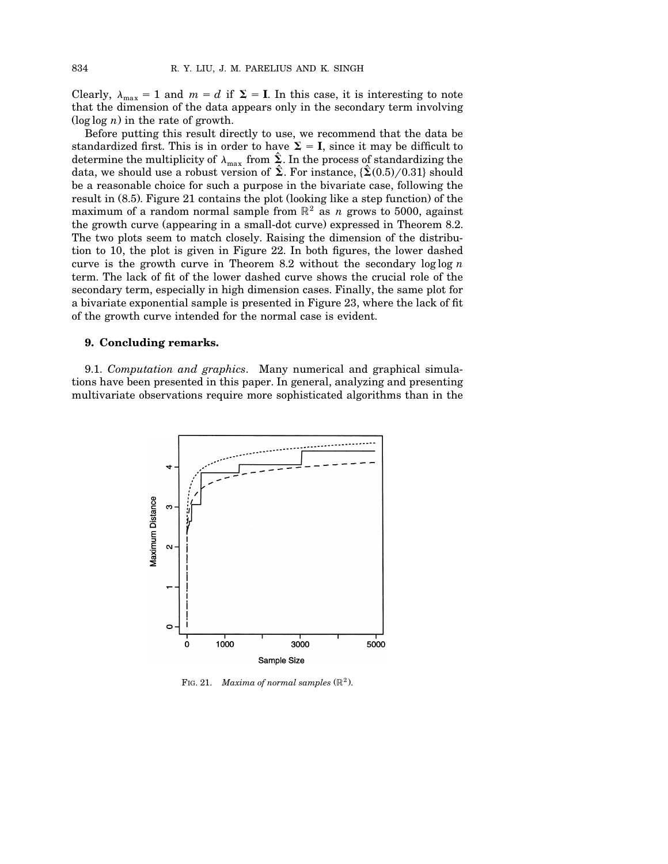Clearly,  $\lambda_{\text{max}} = 1$  and  $m = d$  if  $\Sigma = I$ . In this case, it is interesting to note that the dimension of the data appears only in the secondary term involving  $(\log \log n)$  in the rate of growth.

Before putting this result directly to use, we recommend that the data be standardized first. This is in order to have  $\Sigma = I$ , since it may be difficult to determine the multiplicity of  $\lambda_{\text{max}}$  from  $\hat{\Sigma}$ . In the process of standardizing the data, we should use a robust version of  $\hat{\Sigma}$ . For instance,  $\{\hat{\Sigma}(0.5)/0.31\}$  should be a reasonable choice for such a purpose in the bivariate case, following the result in  $(8.5)$ . Figure 21 contains the plot (looking like a step function) of the maximum of a random normal sample from  $\mathbb{R}^2$  as *n* grows to 5000, against the growth curve (appearing in a small-dot curve) expressed in Theorem 8.2. The two plots seem to match closely. Raising the dimension of the distribution to 10, the plot is given in Figure 22. In both figures, the lower dashed curve is the growth curve in Theorem 8.2 without the secondary log log *n* term. The lack of fit of the lower dashed curve shows the crucial role of the secondary term, especially in high dimension cases. Finally, the same plot for a bivariate exponential sample is presented in Figure 23, where the lack of fit of the growth curve intended for the normal case is evident.

# **9. Concluding remarks.**

9.1. *Computation and graphics*. Many numerical and graphical simulations have been presented in this paper. In general, analyzing and presenting multivariate observations require more sophisticated algorithms than in the



FIG. 21. *Maxima of normal samples*  $(\mathbb{R}^2)$ .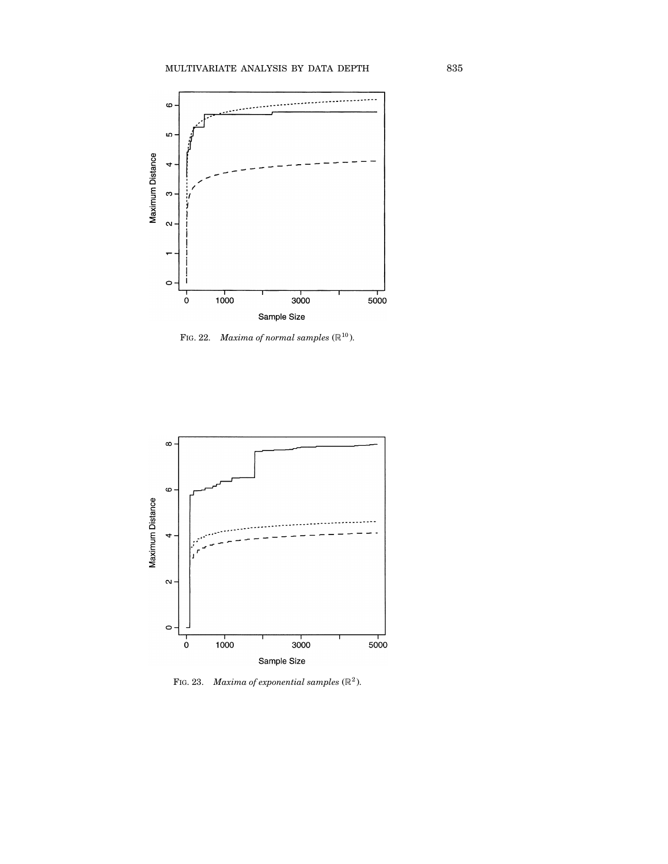

FIG. 22. *Maxima of normal samples*  $(\mathbb{R}^{10})$ .



FIG. 23. *Maxima of exponential samples*  $(\mathbb{R}^2)$ .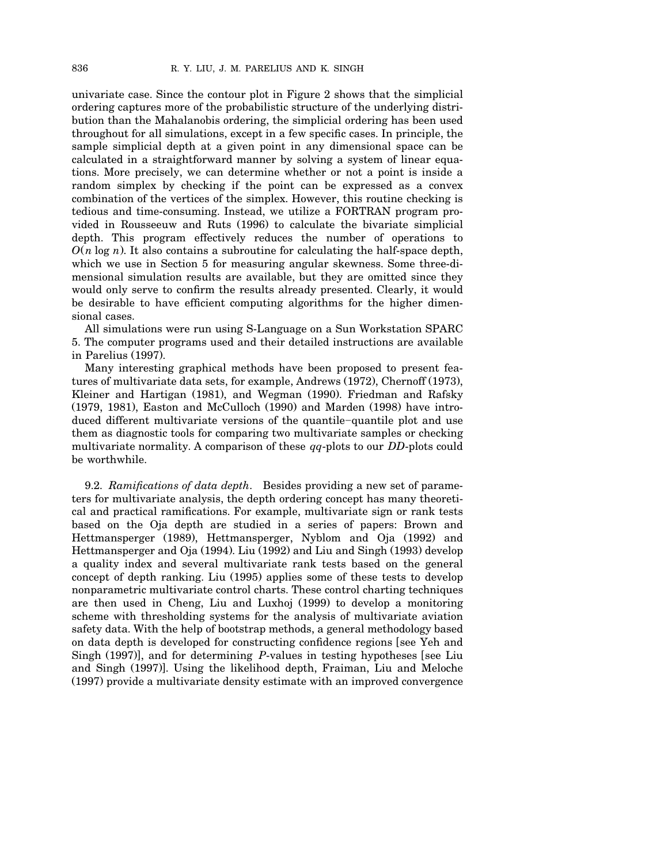univariate case. Since the contour plot in Figure 2 shows that the simplicial ordering captures more of the probabilistic structure of the underlying distribution than the Mahalanobis ordering, the simplicial ordering has been used throughout for all simulations, except in a few specific cases. In principle, the sample simplicial depth at a given point in any dimensional space can be calculated in a straightforward manner by solving a system of linear equations. More precisely, we can determine whether or not a point is inside a random simplex by checking if the point can be expressed as a convex combination of the vertices of the simplex. However, this routine checking is tedious and time-consuming. Instead, we utilize a FORTRAN program provided in Rousseeuw and Ruts (1996) to calculate the bivariate simplicial depth. This program effectively reduces the number of operations to  $O(n \log n)$ . It also contains a subroutine for calculating the half-space depth, which we use in Section 5 for measuring angular skewness. Some three-dimensional simulation results are available, but they are omitted since they would only serve to confirm the results already presented. Clearly, it would be desirable to have efficient computing algorithms for the higher dimensional cases.

All simulations were run using S-Language on a Sun Workstation SPARC 5. The computer programs used and their detailed instructions are available in Parelius  $(1997)$ .

Many interesting graphical methods have been proposed to present features of multivariate data sets, for example, Andrews (1972), Chernoff (1973), Kleiner and Hartigan (1981), and Wegman (1990). Friedman and Rafsky  $(1979, 1981)$ , Easton and McCulloch  $(1990)$  and Marden  $(1998)$  have introduced different multivariate versions of the quantile-quantile plot and use them as diagnostic tools for comparing two multivariate samples or checking multivariate normality. A comparison of these *qq*-plots to our *DD*-plots could be worthwhile.

9.2. *Ramifications of data depth*. Besides providing a new set of parameters for multivariate analysis, the depth ordering concept has many theoretical and practical ramifications. For example, multivariate sign or rank tests based on the Oja depth are studied in a series of papers: Brown and Hettmansperger (1989), Hettmansperger, Nyblom and Oja (1992) and Hettmansperger and Oja (1994). Liu (1992) and Liu and Singh (1993) develop a quality index and several multivariate rank tests based on the general concept of depth ranking. Liu (1995) applies some of these tests to develop nonparametric multivariate control charts. These control charting techniques are then used in Cheng, Liu and Luxhoj (1999) to develop a monitoring scheme with thresholding systems for the analysis of multivariate aviation safety data. With the help of bootstrap methods, a general methodology based on data depth is developed for constructing confidence regions [see Yeh and Singh  $(1997)$ , and for determining *P*-values in testing hypotheses [see Liu and Singh (1997)]. Using the likelihood depth, Fraiman, Liu and Meloche Ž . 1997 provide a multivariate density estimate with an improved convergence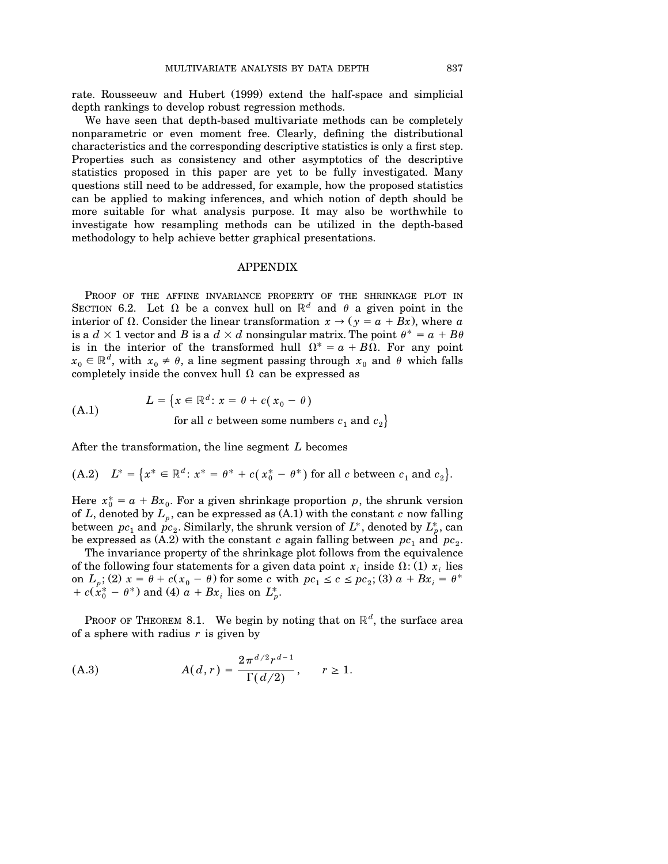rate. Rousseeuw and Hubert (1999) extend the half-space and simplicial depth rankings to develop robust regression methods.

We have seen that depth-based multivariate methods can be completely nonparametric or even moment free. Clearly, defining the distributional characteristics and the corresponding descriptive statistics is only a first step. Properties such as consistency and other asymptotics of the descriptive statistics proposed in this paper are yet to be fully investigated. Many questions still need to be addressed, for example, how the proposed statistics can be applied to making inferences, and which notion of depth should be more suitable for what analysis purpose. It may also be worthwhile to investigate how resampling methods can be utilized in the depth-based methodology to help achieve better graphical presentations.

## APPENDIX

PROOF OF THE AFFINE INVARIANCE PROPERTY OF THE SHRINKAGE PLOT IN SECTION 6.2. Let  $\Omega$  be a convex hull on  $\mathbb{R}^d$  and  $\theta$  a given point in the interior of  $\Omega$ . Consider the linear transformation  $x \to (y = a + Bx)$ , where *a* is a  $d \times 1$  vector and *B* is a  $d \times d$  nonsingular matrix. The point  $\theta^* = a + B\theta$ is in the interior of the transformed hull  $\Omega^* = a + B\Omega$ . For any point  $x_0 \in \mathbb{R}^d$ , with  $x_0 \neq \theta$ , a line segment passing through  $x_0$  and  $\theta$  which falls completely inside the convex hull  $\Omega$  can be expressed as

(A.1) 
$$
L = \{x \in \mathbb{R}^d : x = \theta + c(x_0 - \theta)
$$
  
for all *c* between some numbers  $c_1$  and  $c_2\}$ 

After the transformation, the line segment *L* becomes

(A.2) 
$$
L^* = \{x^* \in \mathbb{R}^d : x^* = \theta^* + c(x_0^* - \theta^*) \text{ for all } c \text{ between } c_1 \text{ and } c_2\}.
$$

Here  $x_0^* = a + Bx_0$ . For a given shrinkage proportion p, the shrunk version of *L*, denoted by  $L_p$ , can be expressed as  $(A.1)$  with the constant *c* now falling between  $pc_1$  and  $pc_2$ . Similarly, the shrunk version of  $L^*$ , denoted by  $L_p^*$ , can be expressed as  $(A.2)$  with the constant *c* again falling between  $pc_1$  and  $pc_2$ .

The invariance property of the shrinkage plot follows from the equivalence of the following four statements for a given data point  $x_i$  inside  $\Omega$ : (1)  $x_i$  lies on  $L_p$ ; (2)  $x = \theta + c(x_0 - \theta)$  for some *c* with  $pc_1 \le c \le pc_2$ ; (3)  $a + Bx_i = \theta^*$  $+ c(x_0^* - \theta^*)$  and (4)  $\alpha + Bx_i$  lies on  $L_p^*$ .

PROOF OF THEOREM 8.1. We begin by noting that on  $\mathbb{R}^d$ , the surface area of a sphere with radius *r* is given by

(A.3) 
$$
A(d,r) = \frac{2\pi^{d/2}r^{d-1}}{\Gamma(d/2)}, \quad r \ge 1.
$$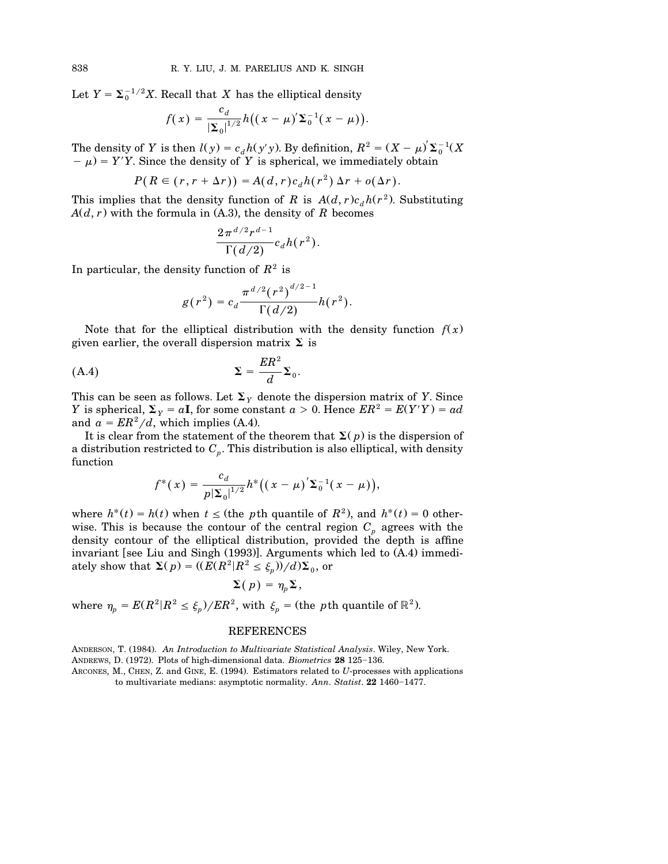Let  $Y = \sum_{0}^{-1/2} X$ . Recall that *X* has the elliptical density

$$
f(x) = \frac{c_d}{|\mathbf{\Sigma}_0|^{1/2}} h((x - \mu)' \mathbf{\Sigma}_0^{-1} (x - \mu)).
$$

The density of *Y* is then  $l(y) = c_d h(y'y)$ . By definition,  $R^2 = (X - \mu)' \Sigma_0^{-1}(X)$  $-\mu$ ) = Y'Y. Since the density of Y is spherical, we immediately obtain

$$
P(R \in (r, r + \Delta r)) = A(d, r)c_d h(r^2) \Delta r + o(\Delta r).
$$

This implies that the density function of *R* is  $A(d, r)c_d h(r^2)$ . Substituting  $A(d, r)$  with the formula in  $(A.3)$ , the density of *R* becomes

$$
\frac{2\pi^{d/2}r^{d-1}}{\Gamma(d/2)}c_dh(r^2).
$$

In particular, the density function of  $R^2$  is

$$
g(r^2) = c_d \frac{\pi^{d/2} (r^2)^{d/2-1}}{\Gamma(d/2)} h(r^2).
$$

Note that for the elliptical distribution with the density function  $f(x)$ given earlier, the overall dispersion matrix  $\boldsymbol{\Sigma}$  is

$$
\Sigma = \frac{ER^2}{d} \Sigma_0.
$$

This can be seen as follows. Let  $\Sigma_Y$  denote the dispersion matrix of *Y*. Since *Y* is spherical,  $\Sigma_Y = aI$ , for some constant  $a > 0$ . Hence  $ER^2 = E(Y'Y) = ad$ and  $a = ER^2/d$ , which implies (A.4).

It is clear from the statement of the theorem that  $\Sigma(p)$  is the dispersion of a distribution restricted to  $C_p$ . This distribution is also elliptical, with density function

$$
f^*(x) = \frac{c_d}{p|\Sigma_0|^{1/2}} h^*\big((x-\mu)'\Sigma_0^{-1}(x-\mu)\big),\,
$$

where  $h^*(t) = h(t)$  when  $t \leq$  (the *p*th quantile of  $R^2$ ), and  $h^*(t) = 0$  otherwise. This is because the contour of the central region  $C_p$  agrees with the density contour of the elliptical distribution, provided the depth is affine invariant [see Liu and Singh (1993)]. Arguments which led to (A.4) immediately show that  $\Sigma(p) = ((E(R^2|R^2 \leq \xi_p))/d)\Sigma_0$ , or

$$
\Sigma(p) = \eta_p \Sigma,
$$

where  $\eta_p = E(R^2|R^2 \le \xi_p)/ER^2$ , with  $\xi_p =$  (the *p*th quantile of  $\mathbb{R}^2$ ).

## REFERENCES

ANDERSON, T. (1984). An Introduction to Multivariate Statistical Analysis. Wiley, New York. ANDREWS, D. (1972). Plots of high-dimensional data. *Biometrics* 28 125-136. ARCONES, M., CHEN, Z. and GINE, E. (1994). Estimators related to U-processes with applications to multivariate medians: asymptotic normality. Ann. *Statist*. **22** 1460-1477.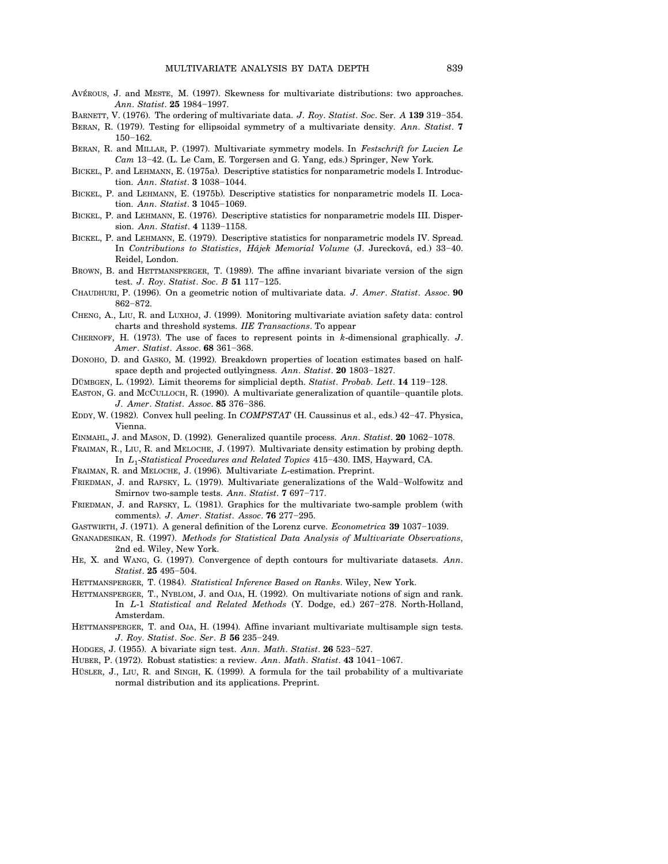- AVÉROUS, J. and MESTE, M. (1997). Skewness for multivariate distributions: two approaches. *Ann. Statist.* **25** 1984-1997.
- BARNETT, V. (1976). The ordering of multivariate data. J. Roy. Statist. Soc. Ser. A 139 319-354.
- BERAN, R. (1979). Testing for ellipsoidal symmetry of a multivariate density. Ann. *Statist*. **7**  $150 - 162.$
- BERAN, R. and MILLAR, P. (1997). Multivariate symmetry models. In *Festschrift for Lucien Le Cam* 13-42. (L. Le Cam, E. Torgersen and G. Yang, eds.) Springer, New York.
- BICKEL, P. and LEHMANN, E. (1975a). Descriptive statistics for nonparametric models I. Introduction. Ann. *Statist*. **3** 1038-1044.
- BICKEL, P. and LEHMANN, E. (1975b). Descriptive statistics for nonparametric models II. Location. *Ann. Statist*. **3** 1045-1069.
- BICKEL, P. and LEHMANN, E. (1976). Descriptive statistics for nonparametric models III. Dispersion. *Ann. Statist*. **4** 1139-1158.
- BICKEL, P. and LEHMANN, E. (1979). Descriptive statistics for nonparametric models IV. Spread. In *Contributions to Statistics*, *Hájek Memorial Volume* (J. Jurecková, ed.) 33-40. Reidel, London.
- BROWN, B. and HETTMANSPERGER, T. (1989). The affine invariant bivariate version of the sign test. *J. Roy. Statist. Soc. B* 51 117-125.
- CHAUDHURI, P. (1996). On a geometric notion of multivariate data. J. Amer. Statist. Assoc. 90 862-872.
- CHENG, A., LIU, R. and LUXHOJ, J. (1999). Monitoring multivariate aviation safety data: control charts and threshold systems. *IIE Transactions*. To appear
- CHERNOFF, H.  $(1973)$ . The use of faces to represent points in k-dimensional graphically. *J*. *Amer. Statist. Assoc.* **68** 361-368.
- DONOHO, D. and GASKO, M. (1992). Breakdown properties of location estimates based on halfspace depth and projected outlyingness. Ann. *Statist*. **20** 1803-1827.
- DÜMBGEN, L. (1992). Limit theorems for simplicial depth. Statist. Probab. Lett. 14 119-128.
- EASTON, G. and MCCULLOCH, R. (1990). A multivariate generalization of quantile-quantile plots. *J. Amer. Statist. Assoc.* 85 376-386.
- EDDY, W. (1982). Convex hull peeling. In *COMPSTAT* (H. Caussinus et al., eds.) 42–47. Physica, Vienna.
- EINMAHL, J. and MASON, D. (1992). Generalized quantile process. Ann. *Statist*. **20** 1062-1078.
- FRAIMAN, R., LIU, R. and MELOCHE, J. (1997). Multivariate density estimation by probing depth. In *L*<sub>1</sub>-Statistical Procedures and Related Topics 415-430. IMS, Hayward, CA.
- FRAIMAN, R. and MELOCHE, J. (1996). Multivariate L-estimation. Preprint.
- FRIEDMAN, J. and RAFSKY, L. (1979). Multivariate generalizations of the Wald-Wolfowitz and Smirnov two-sample tests. Ann. *Statist*. **7** 697-717.
- FRIEDMAN, J. and RAFSKY, L. (1981). Graphics for the multivariate two-sample problem (with comments). *J. Amer. Statist. Assoc.* **76** 277-295.
- GASTWIRTH, J. (1971). A general definition of the Lorenz curve. *Econometrica* 39 1037–1039.
- GNANADESIKAN, R. (1997). *Methods for Statistical Data Analysis of Multivariate Observations*, 2nd ed. Wiley, New York.
- HE, X. and WANG, G. (1997). Convergence of depth contours for multivariate datasets. Ann. *Statist*. **25** 495-504.
- HETTMANSPERGER, T. (1984). *Statistical Inference Based on Ranks*. Wiley, New York.
- HETTMANSPERGER, T., NYBLOM, J. and OJA, H. (1992). On multivariate notions of sign and rank. In *L*-1 *Statistical and Related Methods* (Y. Dodge, ed.) 267-278. North-Holland, Amsterdam.
- HETTMANSPERGER, T. and OJA, H. (1994). Affine invariant multivariate multisample sign tests. *J. Roy. Statist. Soc. Ser. B* 56 235-249.
- HODGES, J. (1955). A bivariate sign test. Ann. *Math. Statist*. **26** 523-527.
- HUBER, P. (1972). Robust statistics: a review. Ann. Math. Statist. **43** 1041-1067.
- HUSLER, J., LIU, R. and SINGH, K. (1999). A formula for the tail probability of a multivariate normal distribution and its applications. Preprint.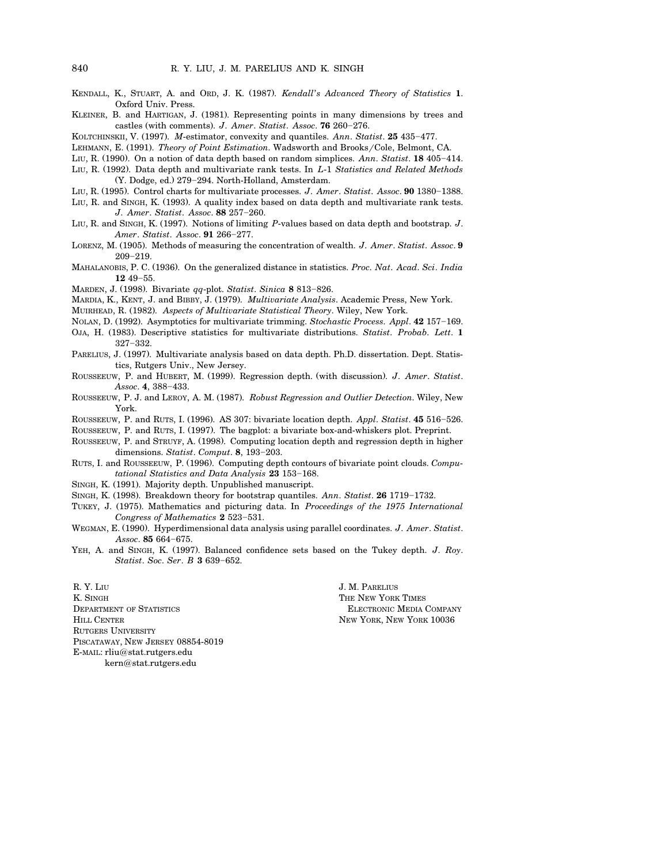- KENDALL, K., STUART, A. and ORD, J. K. (1987). *Kendall's Advanced Theory of Statistics* 1. Oxford Univ. Press.
- KLEINER, B. and HARTIGAN, J. (1981). Representing points in many dimensions by trees and castles (with comments). J. Amer. Statist. Assoc. 76 260-276.
- KOLTCHINSKII, V. (1997). *M*-estimator, convexity and quantiles. *Ann. Statist*. **25** 435-477.
- LEHMANN, E. (1991). *Theory of Point Estimation*. Wadsworth and Brooks/Cole, Belmont, CA.
- LIU, R.  $(1990)$ . On a notion of data depth based on random simplices. Ann. *Statist*. **18** 405-414.
- LIU, R. (1992). Data depth and multivariate rank tests. In *L*-1 *Statistics and Related Methods* (Y. Dodge, ed.) 279-294. North-Holland, Amsterdam.
- LIU, R. (1995). Control charts for multivariate processes. J. Amer. Statist. Assoc. 90 1380-1388.
- LIU, R. and SINGH, K. (1993). A quality index based on data depth and multivariate rank tests. *J. Amer. Statist. Assoc.* 88 257-260.
- LIU, R. and SINGH, K. (1997). Notions of limiting P-values based on data depth and bootstrap. *J*. *Amer. Statist. Assoc.* **91** 266-277.
- LORENZ, M. (1905). Methods of measuring the concentration of wealth. J. Amer. Statist. Assoc. 9  $209 - 219$ .
- MAHALANOBIS, P. C. 1936 . On the generalized distance in statistics Ž . . *Proc*. *Nat*. *Acad*. *Sci*. *India* **12** 49-55.
- MARDEN, J. (1998). Bivariate qq-plot. *Statist*. *Sinica* 8 813-826.
- MARDIA, K., KENT, J. and BIBBY, J. (1979). *Multivariate Analysis*. Academic Press, New York.
- MUIRHEAD, R. (1982). Aspects of *Multivariate Statistical Theory*. Wiley, New York.
- NOLAN, D. (1992). Asymptotics for multivariate trimming. *Stochastic Process. Appl.* 42 157-169.
- OJA, H. (1983). Descriptive statistics for multivariate distributions. Statist. Probab. Lett. 1 327-332.
- PARELIUS, J. (1997). Multivariate analysis based on data depth. Ph.D. dissertation. Dept. Statistics, Rutgers Univ., New Jersey.
- ROUSSEEUW, P. and HUBERT, M. (1999). Regression depth. (with discussion). *J. Amer. Statist.* Assoc. 4, 388-433.
- ROUSSEEUW, P. J. and LEROY, A. M. (1987). Robust Regression and Outlier Detection. Wiley, New York.
- ROUSSEEUW, P. and RUTS, I. (1996). AS 307: bivariate location depth. *Appl. Statist*. 45 516–526.
- ROUSSEEUW, P. and RUTS, I. (1997). The bagplot: a bivariate box-and-whiskers plot. Preprint.
- ROUSSEEUW, P. and STRUYF, A. (1998). Computing location depth and regression depth in higher dimensions. *Statist*. *Comput*. 8, 193-203.
- RUTS, I. and ROUSSEEUW, P. (1996). Computing depth contours of bivariate point clouds. *Computational Statistics and Data Analysis* 23 153-168.
- SINGH, K. (1991). Majority depth. Unpublished manuscript.
- SINGH, K. (1998). Breakdown theory for bootstrap quantiles. Ann. Statist. 26 1719-1732.
- TUKEY, J. (1975). Mathematics and picturing data. In *Proceedings of the 1975 International Congress of Mathematics* 2 523-531.
- WEGMAN, E. (1990). Hyperdimensional data analysis using parallel coordinates. J. Amer. Statist. *Assoc.* 85 664-675.
- YEH, A. and SINGH, K. (1997). Balanced confidence sets based on the Tukey depth. *J. Roy. Statist. Soc. Ser. B* 3 639-652.

R. Y. LIU J. M. PARELIUS K. SINGH THE NEW YORK TIMES DEPARTMENT OF STATISTICS ELECTRONIC MEDIA COMPANY HILL CENTER NEW YORK, NEW YORK 10036 RUTGERS UNIVERSITY PISCATAWAY, NEW JERSEY 08854-8019 E-MAIL: rliu@stat.rutgers.edu kern@stat.rutgers.edu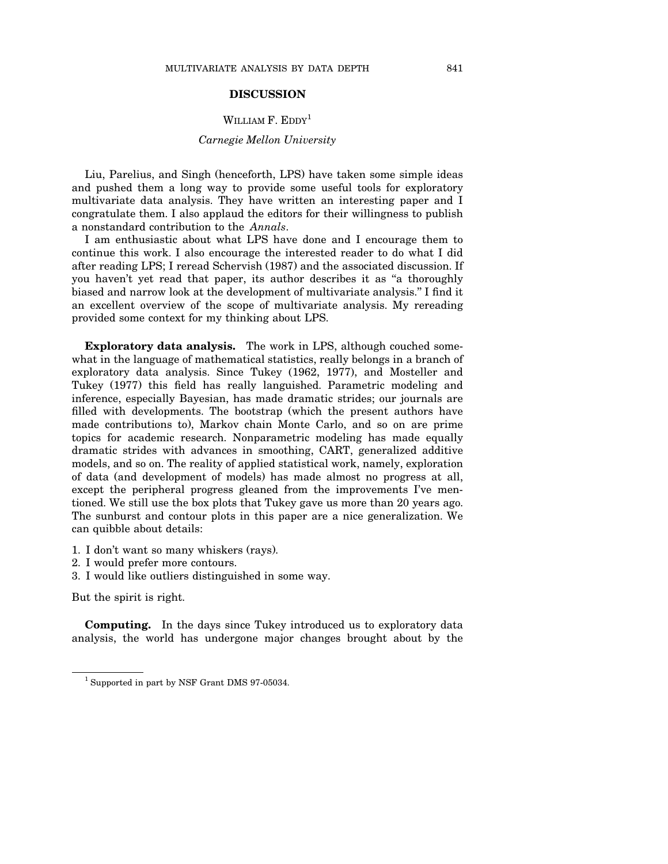### **DISCUSSION**

# WILLIAM F. EDDY<sup>1</sup>

# *Carnegie Mellon University*

Liu, Parelius, and Singh (henceforth, LPS) have taken some simple ideas and pushed them a long way to provide some useful tools for exploratory multivariate data analysis. They have written an interesting paper and I congratulate them. I also applaud the editors for their willingness to publish a nonstandard contribution to the *Annals*.

I am enthusiastic about what LPS have done and I encourage them to continue this work. I also encourage the interested reader to do what I did after reading LPS; I reread Schervish (1987) and the associated discussion. If you haven't yet read that paper, its author describes it as ''a thoroughly biased and narrow look at the development of multivariate analysis.'' I find it an excellent overview of the scope of multivariate analysis. My rereading provided some context for my thinking about LPS.

**Exploratory data analysis.** The work in LPS, although couched somewhat in the language of mathematical statistics, really belongs in a branch of exploratory data analysis. Since Tukey (1962, 1977), and Mosteller and Tukey (1977) this field has really languished. Parametric modeling and inference, especially Bayesian, has made dramatic strides; our journals are filled with developments. The bootstrap (which the present authors have made contributions to), Markov chain Monte Carlo, and so on are prime topics for academic research. Nonparametric modeling has made equally dramatic strides with advances in smoothing, CART, generalized additive models, and so on. The reality of applied statistical work, namely, exploration of data (and development of models) has made almost no progress at all, except the peripheral progress gleaned from the improvements I've mentioned. We still use the box plots that Tukey gave us more than 20 years ago. The sunburst and contour plots in this paper are a nice generalization. We can quibble about details:

- 1. I don't want so many whiskers (rays).
- 2. I would prefer more contours.
- 3. I would like outliers distinguished in some way.

But the spirit is right.

**Computing.** In the days since Tukey introduced us to exploratory data analysis, the world has undergone major changes brought about by the

<sup>&</sup>lt;sup>1</sup> Supported in part by NSF Grant DMS 97-05034.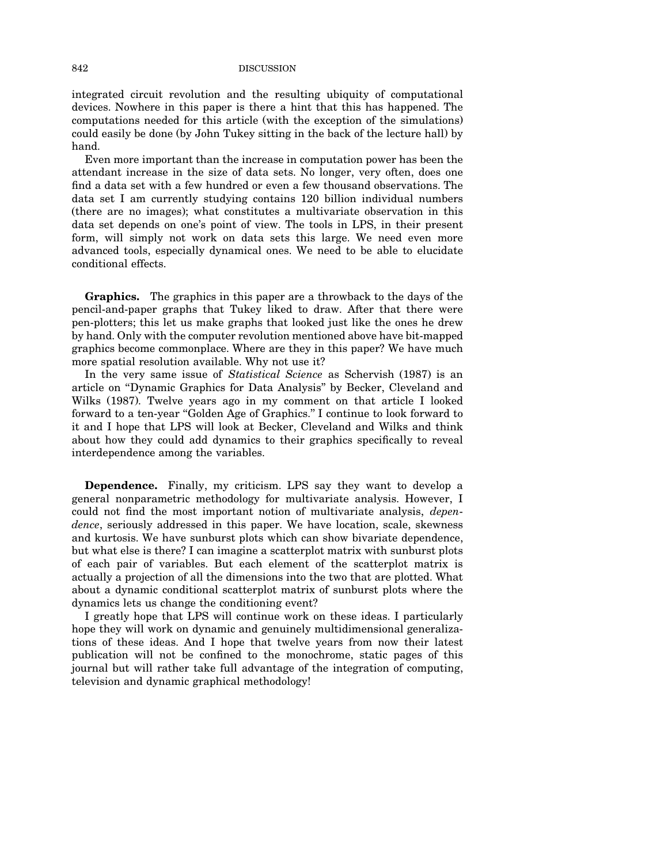#### 842 DISCUSSION

integrated circuit revolution and the resulting ubiquity of computational devices. Nowhere in this paper is there a hint that this has happened. The computations needed for this article (with the exception of the simulations) could easily be done (by John Tukey sitting in the back of the lecture hall) by hand.

Even more important than the increase in computation power has been the attendant increase in the size of data sets. No longer, very often, does one find a data set with a few hundred or even a few thousand observations. The data set I am currently studying contains 120 billion individual numbers (there are no images); what constitutes a multivariate observation in this data set depends on one's point of view. The tools in LPS, in their present form, will simply not work on data sets this large. We need even more advanced tools, especially dynamical ones. We need to be able to elucidate conditional effects.

**Graphics.** The graphics in this paper are a throwback to the days of the pencil-and-paper graphs that Tukey liked to draw. After that there were pen-plotters; this let us make graphs that looked just like the ones he drew by hand. Only with the computer revolution mentioned above have bit-mapped graphics become commonplace. Where are they in this paper? We have much more spatial resolution available. Why not use it?

In the very same issue of *Statistical Science* as *Schervish* (1987) is an article on ''Dynamic Graphics for Data Analysis'' by Becker, Cleveland and Wilks  $(1987)$ . Twelve years ago in my comment on that article I looked forward to a ten-year ''Golden Age of Graphics.'' I continue to look forward to it and I hope that LPS will look at Becker, Cleveland and Wilks and think about how they could add dynamics to their graphics specifically to reveal interdependence among the variables.

**Dependence.** Finally, my criticism. LPS say they want to develop a general nonparametric methodology for multivariate analysis. However, I could not find the most important notion of multivariate analysis, *dependence*, seriously addressed in this paper. We have location, scale, skewness and kurtosis. We have sunburst plots which can show bivariate dependence, but what else is there? I can imagine a scatterplot matrix with sunburst plots of each pair of variables. But each element of the scatterplot matrix is actually a projection of all the dimensions into the two that are plotted. What about a dynamic conditional scatterplot matrix of sunburst plots where the dynamics lets us change the conditioning event?

I greatly hope that LPS will continue work on these ideas. I particularly hope they will work on dynamic and genuinely multidimensional generalizations of these ideas. And I hope that twelve years from now their latest publication will not be confined to the monochrome, static pages of this journal but will rather take full advantage of the integration of computing, television and dynamic graphical methodology!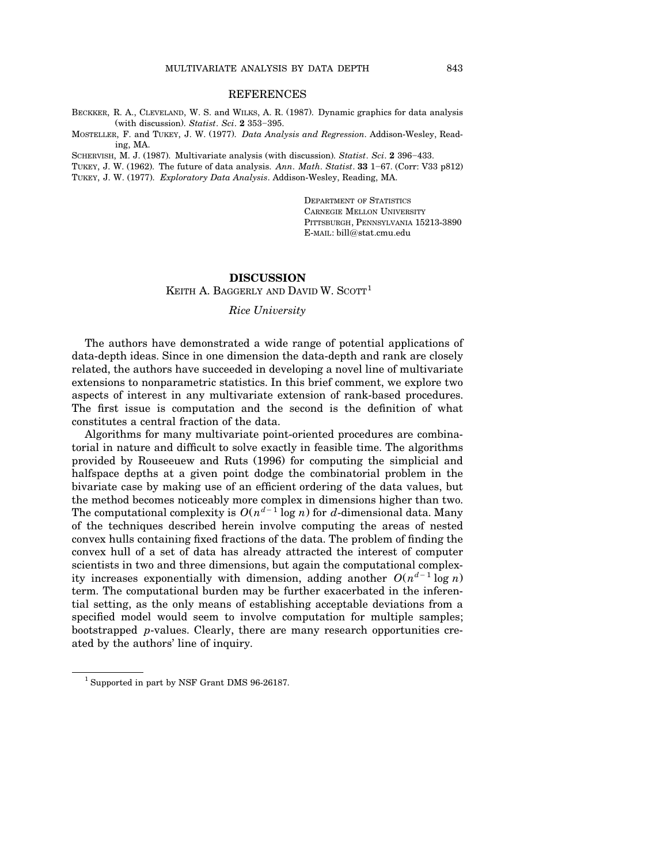#### REFERENCES

BECKKER, R. A., CLEVELAND, W. S. and WILKS, A. R. (1987). Dynamic graphics for data analysis  $(with discussion)$ .  $Statist$ .  $Sci$ .  $2$  353-395.

MOSTELLER, F. and TUKEY, J. W. (1977). Data Analysis and Regression. Addison-Wesley, Reading, MA.

SCHERVISH, M. J. (1987). Multivariate analysis (with discussion). *Statist*. *Sci*. 2 396-433.

TUKEY, J. W. (1962). The future of data analysis. Ann. *Math. Statist*. **33** 1–67. (Corr: V33 p812)

TUKEY, J. W. (1977). *Exploratory Data Analysis*. Addison-Wesley, Reading, MA.

DEPARTMENT OF STATISTICS CARNEGIE MELLON UNIVERSITY PITTSBURGH, PENNSYLVANIA 15213-3890 E-MAIL: bill@stat.cmu.edu

## **DISCUSSION**

KEITH A. BAGGERLY AND DAVID W. SCOTT<sup>1</sup>

*Rice University*

The authors have demonstrated a wide range of potential applications of data-depth ideas. Since in one dimension the data-depth and rank are closely related, the authors have succeeded in developing a novel line of multivariate extensions to nonparametric statistics. In this brief comment, we explore two aspects of interest in any multivariate extension of rank-based procedures. The first issue is computation and the second is the definition of what constitutes a central fraction of the data.

Algorithms for many multivariate point-oriented procedures are combinatorial in nature and difficult to solve exactly in feasible time. The algorithms provided by Rouseeuew and Ruts (1996) for computing the simplicial and halfspace depths at a given point dodge the combinatorial problem in the bivariate case by making use of an efficient ordering of the data values, but the method becomes noticeably more complex in dimensions higher than two. The computational complexity is  $O(n^{d-1} \log n)$  for *d*-dimensional data. Many of the techniques described herein involve computing the areas of nested convex hulls containing fixed fractions of the data. The problem of finding the convex hull of a set of data has already attracted the interest of computer scientists in two and three dimensions, but again the computational complexity increases exponentially with dimension, adding another  $O(n^{d-1} \log n)$ term. The computational burden may be further exacerbated in the inferential setting, as the only means of establishing acceptable deviations from a specified model would seem to involve computation for multiple samples; bootstrapped *p*-values. Clearly, there are many research opportunities created by the authors' line of inquiry.

<sup>1</sup> Supported in part by NSF Grant DMS 96-26187.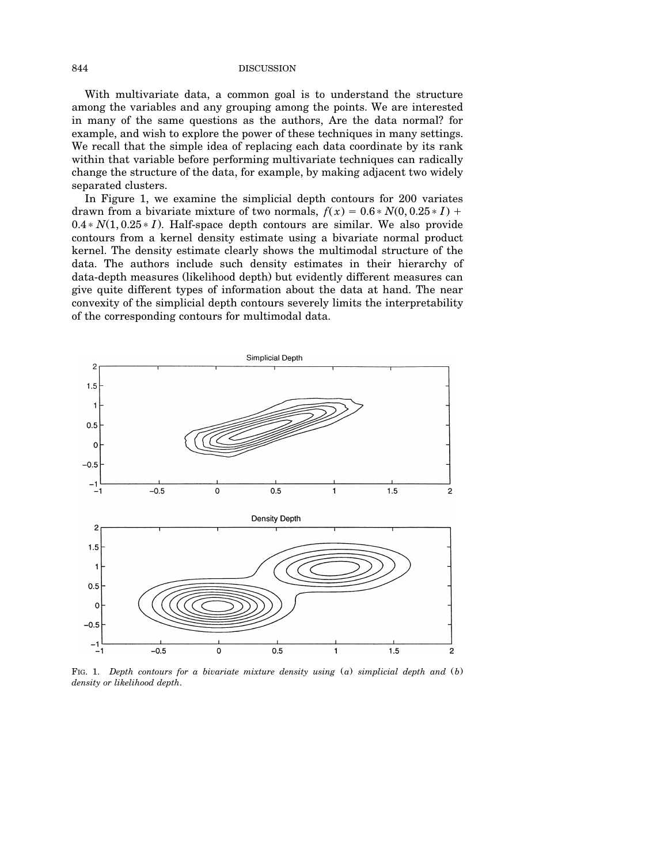#### 844 DISCUSSION

With multivariate data, a common goal is to understand the structure among the variables and any grouping among the points. We are interested in many of the same questions as the authors, Are the data normal? for example, and wish to explore the power of these techniques in many settings. We recall that the simple idea of replacing each data coordinate by its rank within that variable before performing multivariate techniques can radically change the structure of the data, for example, by making adjacent two widely separated clusters.

In Figure 1, we examine the simplicial depth contours for 200 variates drawn from a bivariate mixture of two normals,  $f(x) = 0.6 * N(0, 0.25 * I) +$  $0.4 * N(1, 0.25 * I)$ . Half-space depth contours are similar. We also provide contours from a kernel density estimate using a bivariate normal product kernel. The density estimate clearly shows the multimodal structure of the data. The authors include such density estimates in their hierarchy of data-depth measures (likelihood depth) but evidently different measures can give quite different types of information about the data at hand. The near convexity of the simplicial depth contours severely limits the interpretability of the corresponding contours for multimodal data.



FIG. 1. *Depth contours for a bivariate mixture density using (a) simplicial depth and (b) density or likelihood depth*.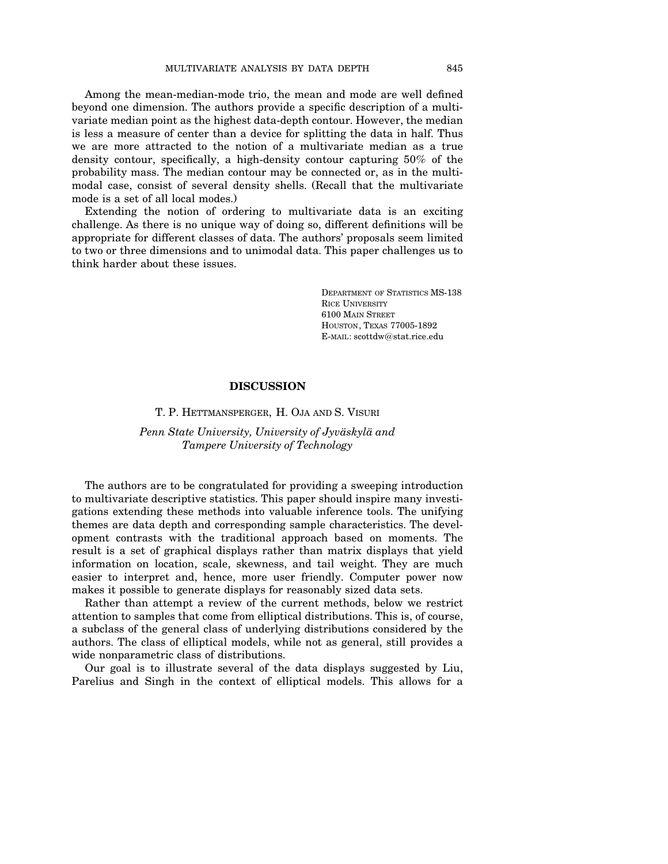Among the mean-median-mode trio, the mean and mode are well defined beyond one dimension. The authors provide a specific description of a multivariate median point as the highest data-depth contour. However, the median is less a measure of center than a device for splitting the data in half. Thus we are more attracted to the notion of a multivariate median as a true density contour, specifically, a high-density contour capturing 50% of the probability mass. The median contour may be connected or, as in the multimodal case, consist of several density shells. (Recall that the multivariate mode is a set of all local modes.)

Extending the notion of ordering to multivariate data is an exciting challenge. As there is no unique way of doing so, different definitions will be appropriate for different classes of data. The authors' proposals seem limited to two or three dimensions and to unimodal data. This paper challenges us to think harder about these issues.

> DEPARTMENT OF STATISTICS MS-138 RICE UNIVERSITY 6100 MAIN STREET HOUSTON, TEXAS 77005-1892 E-MAIL: scottdw@stat.rice.edu

### **DISCUSSION**

### T. P. HETTMANSPERGER, H. OJA AND S. VISURI

*Penn State University, University of Jyväskylä and Tampere University of Technology*

The authors are to be congratulated for providing a sweeping introduction to multivariate descriptive statistics. This paper should inspire many investigations extending these methods into valuable inference tools. The unifying themes are data depth and corresponding sample characteristics. The development contrasts with the traditional approach based on moments. The result is a set of graphical displays rather than matrix displays that yield information on location, scale, skewness, and tail weight. They are much easier to interpret and, hence, more user friendly. Computer power now makes it possible to generate displays for reasonably sized data sets.

Rather than attempt a review of the current methods, below we restrict attention to samples that come from elliptical distributions. This is, of course, a subclass of the general class of underlying distributions considered by the authors. The class of elliptical models, while not as general, still provides a wide nonparametric class of distributions.

Our goal is to illustrate several of the data displays suggested by Liu, Parelius and Singh in the context of elliptical models. This allows for a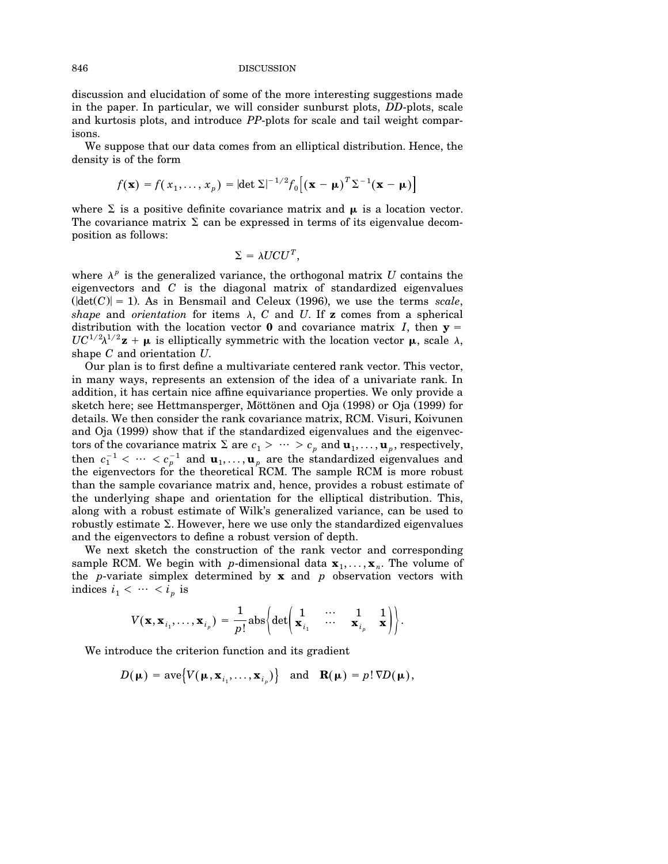#### 846 DISCUSSION

discussion and elucidation of some of the more interesting suggestions made in the paper. In particular, we will consider sunburst plots, *DD*-plots, scale and kurtosis plots, and introduce *PP*-plots for scale and tail weight comparisons.

We suppose that our data comes from an elliptical distribution. Hence, the density is of the form

$$
f(\mathbf{x}) = f(x_1, \dots, x_p) = |\det \Sigma|^{-1/2} f_0[(\mathbf{x} - \boldsymbol{\mu})^T \Sigma^{-1}(\mathbf{x} - \boldsymbol{\mu})]
$$

where  $\Sigma$  is a positive definite covariance matrix and  $\mu$  is a location vector. The covariance matrix  $\Sigma$  can be expressed in terms of its eigenvalue decomposition as follows:

$$
\Sigma = \lambda UCU^{T},
$$

where  $\lambda^p$  is the generalized variance, the orthogonal matrix *U* contains the eigenvectors and *C* is the diagonal matrix of standardized eigenvalues  $(\det(C)) = 1$ . As in Bensmail and Celeux (1996), we use the terms *scale*, *shape* and *orientation* for items  $\lambda$ , C and U. If **z** comes from a spherical distribution with the location vector **0** and covariance matrix *I*, then  $y =$  $UC^{1/2}\lambda^{1/2}\mathbf{z} + \mathbf{\mu}$  is elliptically symmetric with the location vector  $\mathbf{\mu}$ , scale  $\lambda$ , shape *C* and orientation *U*.

Our plan is to first define a multivariate centered rank vector. This vector, in many ways, represents an extension of the idea of a univariate rank. In addition, it has certain nice affine equivariance properties. We only provide a sketch here; see Hettmansperger, Möttönen and Oja (1998) or Oja (1999) for details. We then consider the rank covariance matrix, RCM. Visuri, Koivunen and Oja (1999) show that if the standardized eigenvalues and the eigenvectors of the covariance matrix  $\Sigma$  are  $c_1 > \cdots > c_p$  and  $\mathbf{u}_1, \ldots, \mathbf{u}_p$ , respectively, then  $c_1^{-1} < \cdots < c_p^{-1}$  and  $\mathbf{u}_1, \ldots, \mathbf{u}_p$  are the standardized eigenvalues and the eigenvectors for the theoretical RCM. The sample RCM is more robust than the sample covariance matrix and, hence, provides a robust estimate of the underlying shape and orientation for the elliptical distribution. This, along with a robust estimate of Wilk's generalized variance, can be used to robustly estimate  $\Sigma$ . However, here we use only the standardized eigenvalues and the eigenvectors to define a robust version of depth.

We next sketch the construction of the rank vector and corresponding sample RCM. We begin with *p*-dimensional data  $\mathbf{x}_1, \ldots, \mathbf{x}_n$ . The volume of the *p*-variate simplex determined by **x** and *p* observation vectors with indices  $i_1 < \cdots < i_p$  is

$$
V(\mathbf{x}, \mathbf{x}_{i_1}, \dots, \mathbf{x}_{i_p}) = \frac{1}{p!} \text{abs} \bigg\{ \det \bigg( \mathbf{x}_{i_1} \quad \cdots \quad \mathbf{x}_{i_p} \quad \mathbf{x} \bigg) \bigg\}.
$$

We introduce the criterion function and its gradient

$$
D(\boldsymbol{\mu}) = \text{ave}\big\{V(\boldsymbol{\mu}, \mathbf{x}_{i_1}, \dots, \mathbf{x}_{i_p})\big\} \text{ and } \mathbf{R}(\boldsymbol{\mu}) = p! \nabla D(\boldsymbol{\mu}),
$$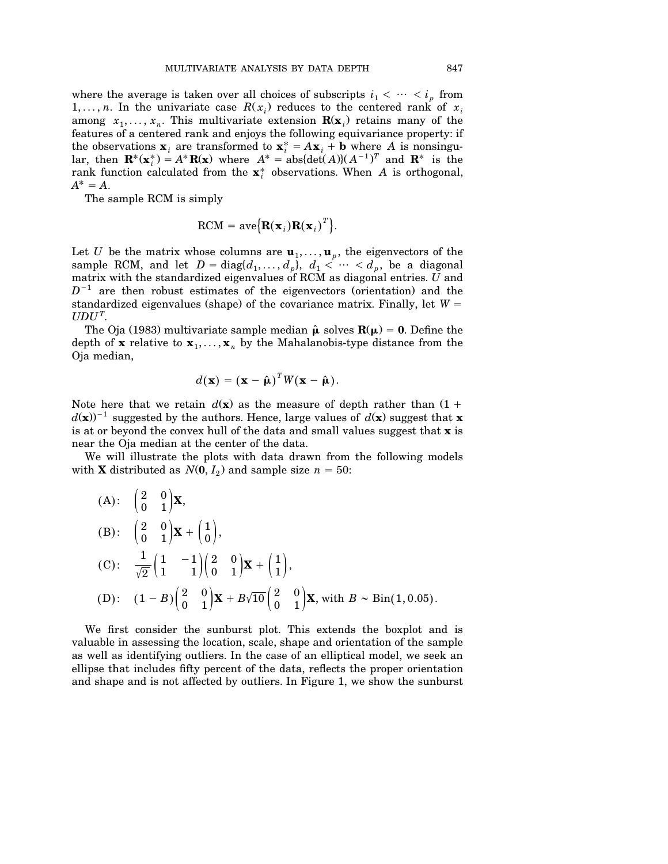where the average is taken over all choices of subscripts  $i_1 < \cdots < i_p$  from 1,..., *n*. In the univariate case  $R(x_i)$  reduces to the centered rank of  $x_i$ among  $x_1, \ldots, x_n$ . This multivariate extension  $\mathbf{R}(\mathbf{x}_i)$  retains many of the features of a centered rank and enjoys the following equivariance property: if the observations  $\mathbf{x}_i$  are transformed to  $\mathbf{x}_i^* = A\mathbf{x}_i + \mathbf{b}$  where A is nonsingular, then  $\mathbf{R}^*(\mathbf{x}_i^*) = A^* \mathbf{R}(\mathbf{x})$  where  $A^* = \text{abs}(\det(A)) (A^{-1})^T$  and  $\mathbf{R}^*$  is the rank function calculated from the  $\mathbf{x}_i^*$  observations. When *A* is orthogonal,  $A^* = A$ .

The sample RCM is simply

$$
RCM = ave[R(xi)R(xi)T].
$$

Let *U* be the matrix whose columns are  $\mathbf{u}_1, \ldots, \mathbf{u}_p$ , the eigenvectors of the sample RCM, and let  $D = \text{diag}(d_1, \ldots, d_p), d_1 < \cdots < d_p$ , be a diagonal matrix with the standardized eigenvalues of RCM as diagonal entries. *U* and  $D^{-1}$  are then robust estimates of the eigenvectors (orientation) and the standardized eigenvalues (shape) of the covariance matrix. Finally, let  $W =$  $UDU<sup>T</sup>$ .

The Oja (1983) multivariate sample median  $\hat{\mu}$  solves  $\mathbf{R}(\mu) = \mathbf{0}$ . Define the depth of **x** relative to  $\mathbf{x}_1, \ldots, \mathbf{x}_n$  by the Mahalanobis-type distance from the Oja median,

$$
d(\mathbf{x}) = (\mathbf{x} - \hat{\boldsymbol{\mu}})^T W(\mathbf{x} - \hat{\boldsymbol{\mu}}).
$$

Note here that we retain  $d(\mathbf{x})$  as the measure of depth rather than  $(1 +$  $d(\mathbf{x})^{-1}$  suggested by the authors. Hence, large values of  $d(\mathbf{x})$  suggest that **x** is at or beyond the convex hull of the data and small values suggest that **x** is near the Oja median at the center of the data.

We will illustrate the plots with data drawn from the following models with **X** distributed as  $N(0, I_2)$  and sample size  $n = 50$ :

(A): 
$$
\begin{pmatrix} 2 & 0 \\ 0 & 1 \end{pmatrix} \mathbf{X}
$$
,  
\n(B):  $\begin{pmatrix} 2 & 0 \\ 0 & 1 \end{pmatrix} \mathbf{X} + \begin{pmatrix} 1 \\ 0 \end{pmatrix}$ ,  
\n(C):  $\frac{1}{\sqrt{2}} \begin{pmatrix} 1 & -1 \\ 1 & 1 \end{pmatrix} \begin{pmatrix} 2 & 0 \\ 0 & 1 \end{pmatrix} \mathbf{X} + \begin{pmatrix} 1 \\ 1 \end{pmatrix}$ ,  
\n(D):  $(1 - B) \begin{pmatrix} 2 & 0 \\ 0 & 1 \end{pmatrix} \mathbf{X} + B \sqrt{10} \begin{pmatrix} 2 & 0 \\ 0 & 1 \end{pmatrix} \mathbf{X}$ , with  $B \sim Bin(1, 0.05)$ .

We first consider the sunburst plot. This extends the boxplot and is valuable in assessing the location, scale, shape and orientation of the sample as well as identifying outliers. In the case of an elliptical model, we seek an ellipse that includes fifty percent of the data, reflects the proper orientation and shape and is not affected by outliers. In Figure 1, we show the sunburst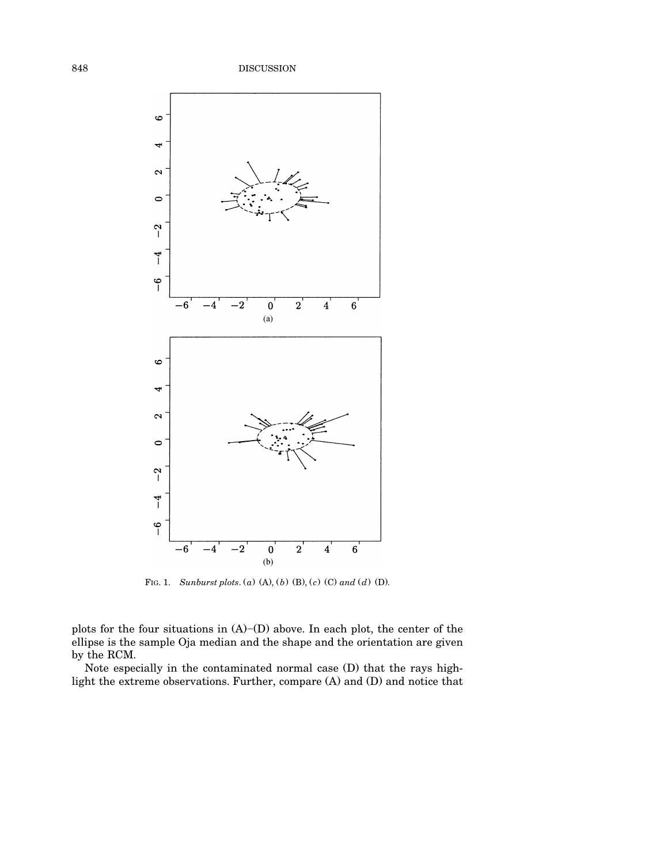

FIG. 1. *Sunburst plots.* (a) (A), (b) (B), (c) (C) and (d) (D).

plots for the four situations in  $(A)$ – $(D)$  above. In each plot, the center of the ellipse is the sample Oja median and the shape and the orientation are given by the RCM.

Note especially in the contaminated normal case (D) that the rays highlight the extreme observations. Further, compare  $(A)$  and  $(D)$  and notice that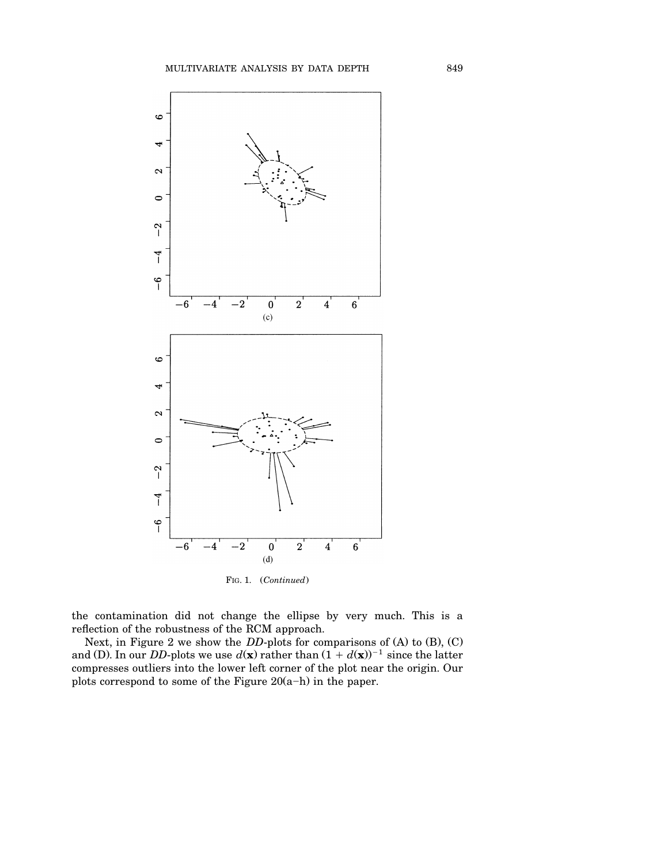

FIG. 1. (Continued)

the contamination did not change the ellipse by very much. This is a reflection of the robustness of the RCM approach.

Next, in Figure 2 we show the  $DD$ -plots for comparisons of  $(A)$  to  $(B)$ ,  $(C)$ and (D). In our *DD*-plots we use  $d(\mathbf{x})$  rather than  $(1 + d(\mathbf{x}))^{-1}$  since the latter compresses outliers into the lower left corner of the plot near the origin. Our plots correspond to some of the Figure  $20(a-h)$  in the paper.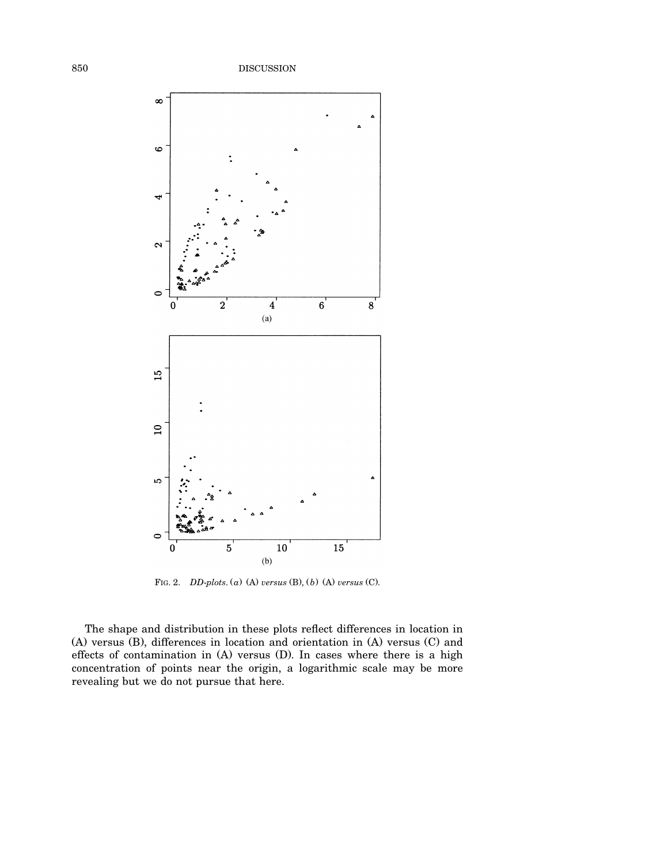

FIG. 2. *DD-plots.* (a) (A) versus (B), (b) (A) versus (C).

The shape and distribution in these plots reflect differences in location in  $(A)$  versus  $(B)$ , differences in location and orientation in  $(A)$  versus  $(C)$  and effects of contamination in  $(A)$  versus  $(D)$ . In cases where there is a high concentration of points near the origin, a logarithmic scale may be more revealing but we do not pursue that here.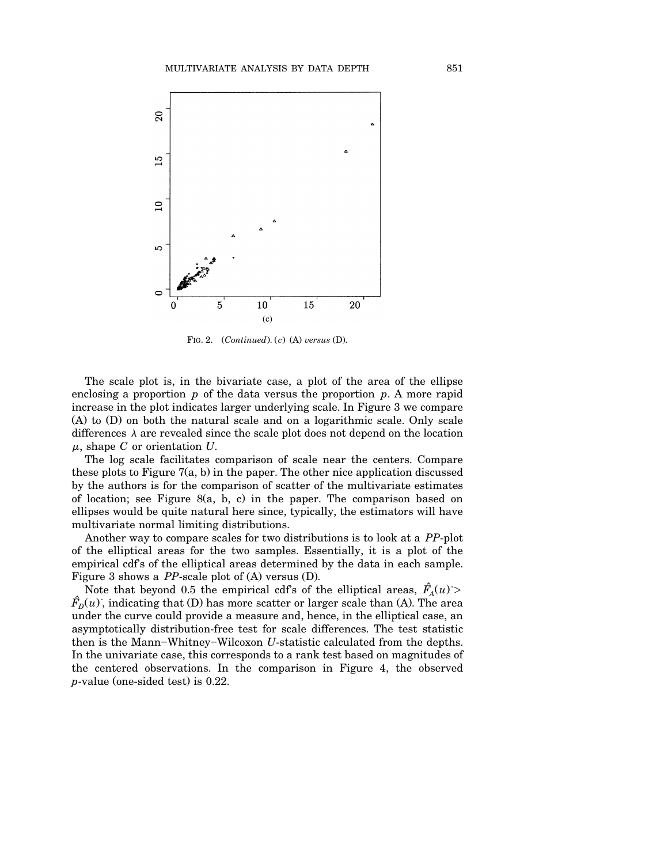

FIG. 2.  $(Continued)$ .  $(c)$   $(A)$  *versus*  $(D)$ .

The scale plot is, in the bivariate case, a plot of the area of the ellipse enclosing a proportion *p* of the data versus the proportion *p*. A more rapid increase in the plot indicates larger underlying scale. In Figure 3 we compare  $(A)$  to  $(D)$  on both the natural scale and on a logarithmic scale. Only scale differences  $\lambda$  are revealed since the scale plot does not depend on the location  $\mu$ , shape  $C$  or orientation  $U$ .

The log scale facilitates comparison of scale near the centers. Compare these plots to Figure 7 $(a, b)$  in the paper. The other nice application discussed by the authors is for the comparison of scatter of the multivariate estimates of location; see Figure 8(a, b, c) in the paper. The comparison based on ellipses would be quite natural here since, typically, the estimators will have multivariate normal limiting distributions.

Another way to compare scales for two distributions is to look at a *PP*-plot of the elliptical areas for the two samples. Essentially, it is a plot of the empirical cdf's of the elliptical areas determined by the data in each sample. Figure 3 shows a  $PP$ -scale plot of  $(A)$  versus  $(D)$ .

Note that beyond 0.5 the empirical cdf's of the elliptical areas,  $\hat{F}_A(u)$  $\hat{F}_p(u)$ , indicating that (D) has more scatter or larger scale than (A). The area under the curve could provide a measure and, hence, in the elliptical case, an asymptotically distribution-free test for scale differences. The test statistic then is the Mann-Whitney-Wilcoxon U-statistic calculated from the depths. In the univariate case, this corresponds to a rank test based on magnitudes of the centered observations. In the comparison in Figure 4, the observed *p*-value (one-sided test) is 0.22.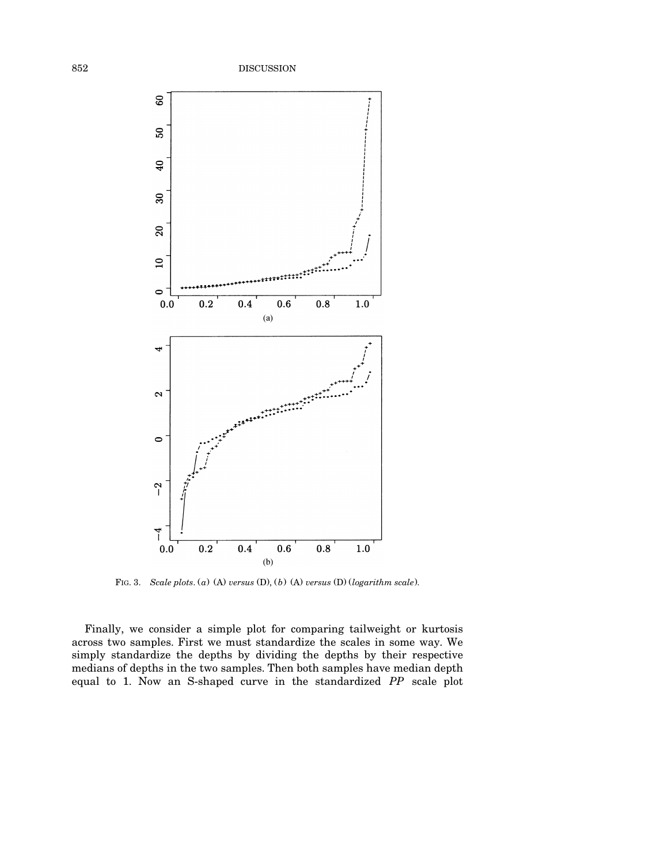

FIG. 3. *Scale plots.* (a) (A) versus (D), (b) (A) versus (D) *(logarithm scale*).

Finally, we consider a simple plot for comparing tailweight or kurtosis across two samples. First we must standardize the scales in some way. We simply standardize the depths by dividing the depths by their respective medians of depths in the two samples. Then both samples have median depth equal to 1. Now an S-shaped curve in the standardized *PP* scale plot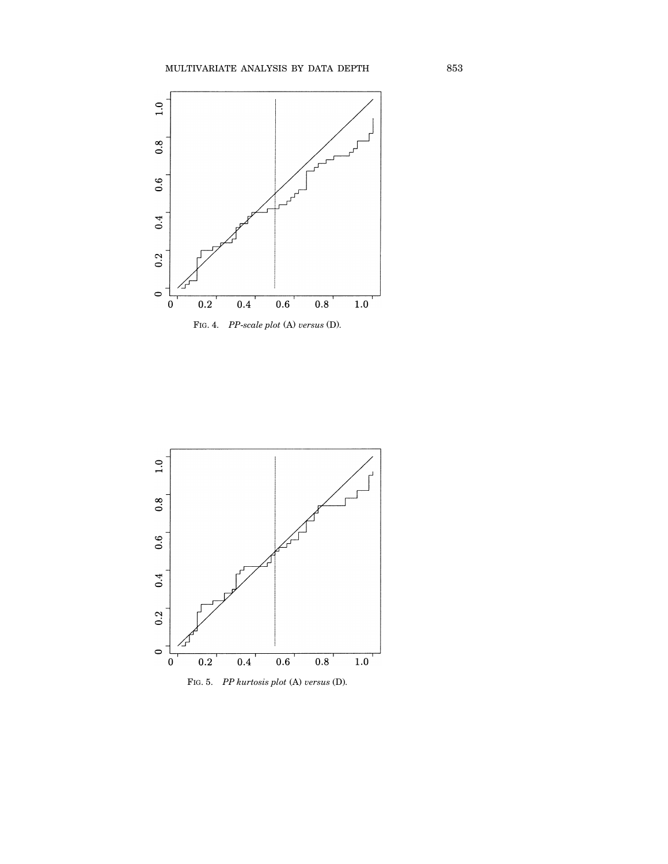

FIG. 4. *PP-scale plot* (A) *versus* (D).



FIG. 5. *PP kurtosis plot* (A) versus (D).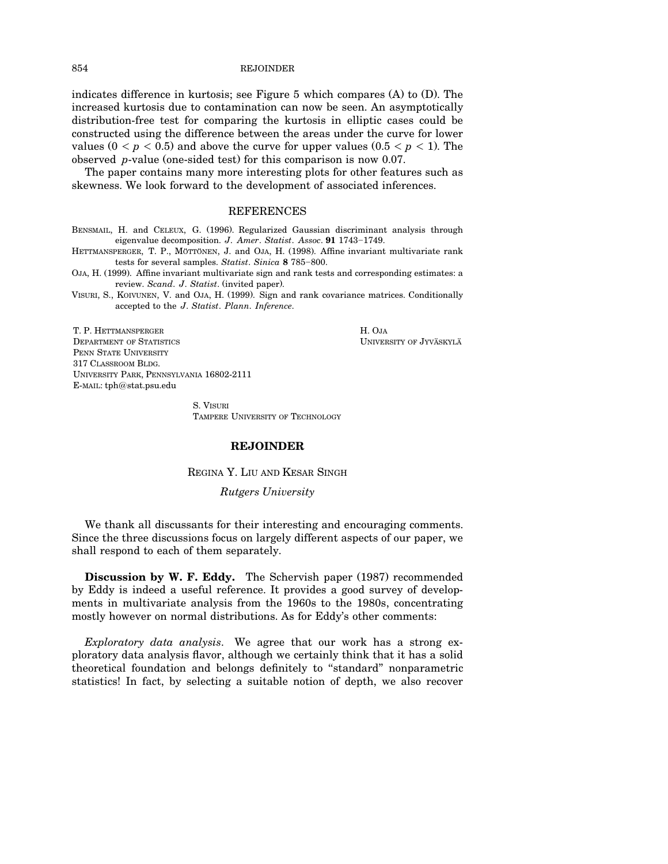#### 854 REJOINDER

indicates difference in kurtosis; see Figure  $5$  which compares  $(A)$  to  $(D)$ . The increased kurtosis due to contamination can now be seen. An asymptotically distribution-free test for comparing the kurtosis in elliptic cases could be constructed using the difference between the areas under the curve for lower values  $(0 < p < 0.5)$  and above the curve for upper values  $(0.5 < p < 1)$ . The observed *p*-value (one-sided test) for this comparison is now 0.07.

The paper contains many more interesting plots for other features such as skewness. We look forward to the development of associated inferences.

#### REFERENCES

BENSMAIL, H. and CELEUX, G. (1996). Regularized Gaussian discriminant analysis through eigenvalue decomposition. *J. Amer. Statist. Assoc.* **91** 1743-1749.

HETTMANSPERGER, T. P., MÖTTÖNEN, J. and OJA, H. (1998). Affine invariant multivariate rank tests for several samples. *Statist*. *Sinica* 8 785-800.

OJA, H. (1999). Affine invariant multivariate sign and rank tests and corresponding estimates: a review. *Scand. J. Statist.* (invited paper).

VISURI, S., KOIVUNEN, V. and OJA, H. (1999). Sign and rank covariance matrices. Conditionally accepted to the *J*. *Statist*. *Plann*. *Inference*.

T. P. HETTMANSPERGER H. OJA DEPARTMENT OF STATISTICS UNIVERSITY OF JYVASKYLA ¨ ¨ PENN STATE UNIVERSITY 317 CLASSROOM BLDG. UNIVERSITY PARK, PENNSYLVANIA 16802-2111 E-MAIL: tph@stat.psu.edu

S. VISURI TAMPERE UNIVERSITY OF TECHNOLOGY

# **REJOINDER**

# REGINA Y. LIU AND KESAR SINGH

*Rutgers University*

We thank all discussants for their interesting and encouraging comments. Since the three discussions focus on largely different aspects of our paper, we shall respond to each of them separately.

**Discussion by W. F. Eddy.** The Schervish paper (1987) recommended by Eddy is indeed a useful reference. It provides a good survey of developments in multivariate analysis from the 1960s to the 1980s, concentrating mostly however on normal distributions. As for Eddy's other comments:

*Exploratory data analysis*. We agree that our work has a strong exploratory data analysis flavor, although we certainly think that it has a solid theoretical foundation and belongs definitely to ''standard'' nonparametric statistics! In fact, by selecting a suitable notion of depth, we also recover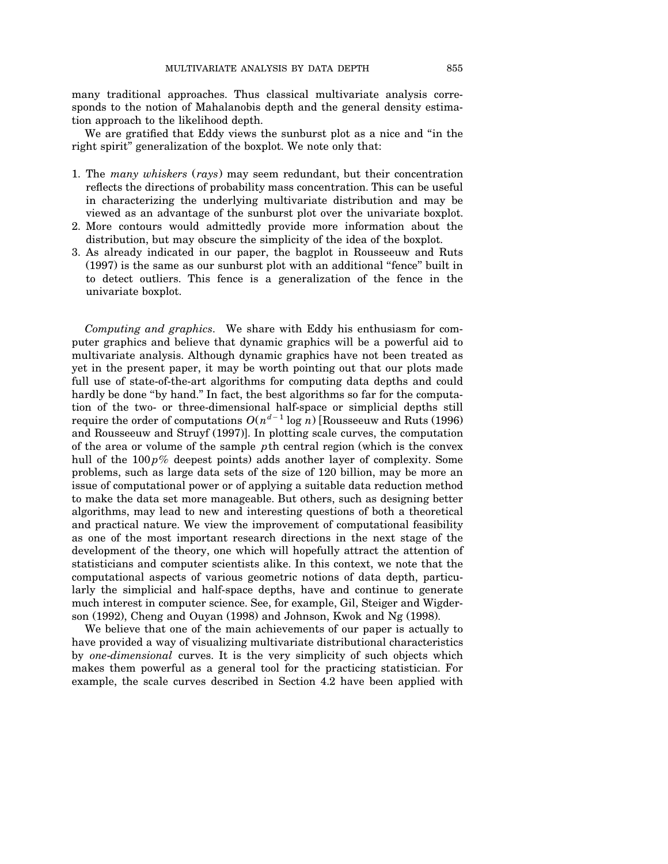many traditional approaches. Thus classical multivariate analysis corresponds to the notion of Mahalanobis depth and the general density estimation approach to the likelihood depth.

We are gratified that Eddy views the sunburst plot as a nice and ''in the right spirit'' generalization of the boxplot. We note only that:

- 1. The *many whiskers* (*rays*) may seem redundant, but their concentration reflects the directions of probability mass concentration. This can be useful in characterizing the underlying multivariate distribution and may be viewed as an advantage of the sunburst plot over the univariate boxplot.
- 2. More contours would admittedly provide more information about the distribution, but may obscure the simplicity of the idea of the boxplot.
- 3. As already indicated in our paper, the bagplot in Rousseeuw and Ruts  $(1997)$  is the same as our sunburst plot with an additional "fence" built in to detect outliers. This fence is a generalization of the fence in the univariate boxplot.

*Computing and graphics*. We share with Eddy his enthusiasm for computer graphics and believe that dynamic graphics will be a powerful aid to multivariate analysis. Although dynamic graphics have not been treated as yet in the present paper, it may be worth pointing out that our plots made full use of state-of-the-art algorithms for computing data depths and could hardly be done "by hand." In fact, the best algorithms so far for the computation of the two- or three-dimensional half-space or simplicial depths still require the order of computations  $O(n^{d-1} \log n)$  [Rousseeuw and Ruts (1996) and Rousseeuw and Struyf (1997)]. In plotting scale curves, the computation of the area or volume of the sample *p*th central region (which is the convex hull of the  $100 p\%$  deepest points) adds another layer of complexity. Some problems, such as large data sets of the size of 120 billion, may be more an issue of computational power or of applying a suitable data reduction method to make the data set more manageable. But others, such as designing better algorithms, may lead to new and interesting questions of both a theoretical and practical nature. We view the improvement of computational feasibility as one of the most important research directions in the next stage of the development of the theory, one which will hopefully attract the attention of statisticians and computer scientists alike. In this context, we note that the computational aspects of various geometric notions of data depth, particularly the simplicial and half-space depths, have and continue to generate much interest in computer science. See, for example, Gil, Steiger and Wigderson  $(1992)$ , Cheng and Ouyan  $(1998)$  and Johnson, Kwok and Ng  $(1998)$ .

We believe that one of the main achievements of our paper is actually to have provided a way of visualizing multivariate distributional characteristics by *one*-*dimensional* curves. It is the very simplicity of such objects which makes them powerful as a general tool for the practicing statistician. For example, the scale curves described in Section 4.2 have been applied with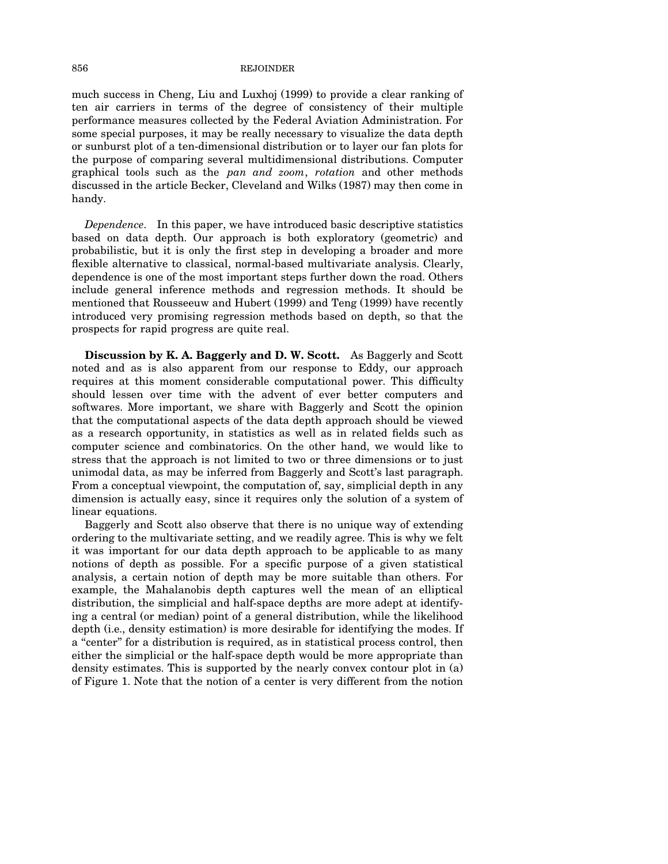## 856 REJOINDER

much success in Cheng, Liu and Luxhoj (1999) to provide a clear ranking of ten air carriers in terms of the degree of consistency of their multiple performance measures collected by the Federal Aviation Administration. For some special purposes, it may be really necessary to visualize the data depth or sunburst plot of a ten-dimensional distribution or to layer our fan plots for the purpose of comparing several multidimensional distributions. Computer graphical tools such as the *pan and zoom*, *rotation* and other methods discussed in the article Becker, Cleveland and Wilks (1987) may then come in handy.

*Dependence*. In this paper, we have introduced basic descriptive statistics based on data depth. Our approach is both exploratory (geometric) and probabilistic, but it is only the first step in developing a broader and more flexible alternative to classical, normal-based multivariate analysis. Clearly, dependence is one of the most important steps further down the road. Others include general inference methods and regression methods. It should be mentioned that Rousseeuw and Hubert (1999) and Teng (1999) have recently introduced very promising regression methods based on depth, so that the prospects for rapid progress are quite real.

**Discussion by K. A. Baggerly and D. W. Scott.** As Baggerly and Scott noted and as is also apparent from our response to Eddy, our approach requires at this moment considerable computational power. This difficulty should lessen over time with the advent of ever better computers and softwares. More important, we share with Baggerly and Scott the opinion that the computational aspects of the data depth approach should be viewed as a research opportunity, in statistics as well as in related fields such as computer science and combinatorics. On the other hand, we would like to stress that the approach is not limited to two or three dimensions or to just unimodal data, as may be inferred from Baggerly and Scott's last paragraph. From a conceptual viewpoint, the computation of, say, simplicial depth in any dimension is actually easy, since it requires only the solution of a system of linear equations.

Baggerly and Scott also observe that there is no unique way of extending ordering to the multivariate setting, and we readily agree. This is why we felt it was important for our data depth approach to be applicable to as many notions of depth as possible. For a specific purpose of a given statistical analysis, a certain notion of depth may be more suitable than others. For example, the Mahalanobis depth captures well the mean of an elliptical distribution, the simplicial and half-space depths are more adept at identifying a central (or median) point of a general distribution, while the likelihood depth (i.e., density estimation) is more desirable for identifying the modes. If a ''center'' for a distribution is required, as in statistical process control, then either the simplicial or the half-space depth would be more appropriate than density estimates. This is supported by the nearly convex contour plot in (a) of Figure 1. Note that the notion of a center is very different from the notion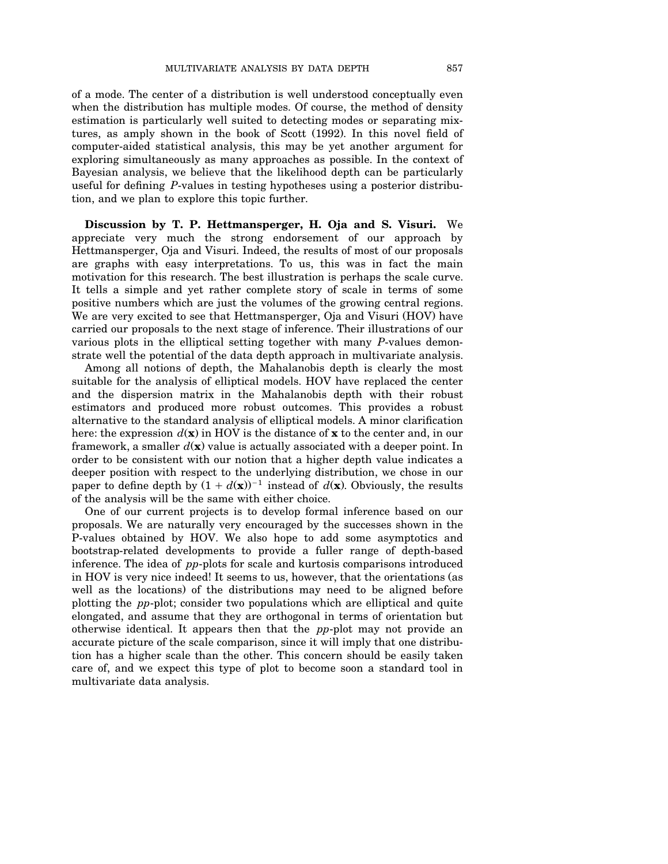of a mode. The center of a distribution is well understood conceptually even when the distribution has multiple modes. Of course, the method of density estimation is particularly well suited to detecting modes or separating mixtures, as amply shown in the book of Scott (1992). In this novel field of computer-aided statistical analysis, this may be yet another argument for exploring simultaneously as many approaches as possible. In the context of Bayesian analysis, we believe that the likelihood depth can be particularly useful for defining *P*-values in testing hypotheses using a posterior distribution, and we plan to explore this topic further.

**Discussion by T. P. Hettmansperger, H. Oja and S. Visuri.** We appreciate very much the strong endorsement of our approach by Hettmansperger, Oja and Visuri. Indeed, the results of most of our proposals are graphs with easy interpretations. To us, this was in fact the main motivation for this research. The best illustration is perhaps the scale curve. It tells a simple and yet rather complete story of scale in terms of some positive numbers which are just the volumes of the growing central regions. We are very excited to see that Hettmansperger, Oja and Visuri (HOV) have carried our proposals to the next stage of inference. Their illustrations of our various plots in the elliptical setting together with many *P*-values demonstrate well the potential of the data depth approach in multivariate analysis.

Among all notions of depth, the Mahalanobis depth is clearly the most suitable for the analysis of elliptical models. HOV have replaced the center and the dispersion matrix in the Mahalanobis depth with their robust estimators and produced more robust outcomes. This provides a robust alternative to the standard analysis of elliptical models. A minor clarification here: the expression  $d(\mathbf{x})$  in HOV is the distance of **x** to the center and, in our framework, a smaller  $d(\mathbf{x})$  value is actually associated with a deeper point. In order to be consistent with our notion that a higher depth value indicates a deeper position with respect to the underlying distribution, we chose in our paper to define depth by  $(1 + d(\mathbf{x}))^{-1}$  instead of  $d(\mathbf{x})$ . Obviously, the results of the analysis will be the same with either choice.

One of our current projects is to develop formal inference based on our proposals. We are naturally very encouraged by the successes shown in the P-values obtained by HOV. We also hope to add some asymptotics and bootstrap-related developments to provide a fuller range of depth-based inference. The idea of *pp*-plots for scale and kurtosis comparisons introduced in HOV is very nice indeed! It seems to us, however, that the orientations (as well as the locations) of the distributions may need to be aligned before plotting the *pp*-plot; consider two populations which are elliptical and quite elongated, and assume that they are orthogonal in terms of orientation but otherwise identical. It appears then that the *pp*-plot may not provide an accurate picture of the scale comparison, since it will imply that one distribution has a higher scale than the other. This concern should be easily taken care of, and we expect this type of plot to become soon a standard tool in multivariate data analysis.